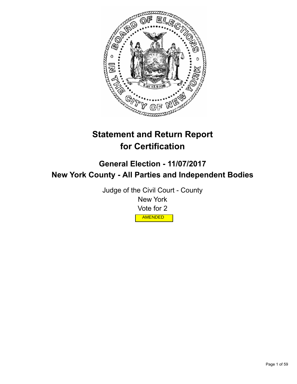

# **Statement and Return Report for Certification**

# **General Election - 11/07/2017 New York County - All Parties and Independent Bodies**

Judge of the Civil Court - County New York Vote for 2 AMENDED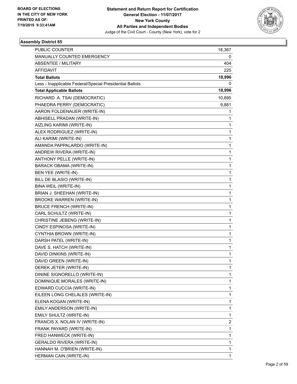

| <b>PUBLIC COUNTER</b>                                    | 18,367 |
|----------------------------------------------------------|--------|
| MANUALLY COUNTED EMERGENCY                               | 0      |
| <b>ABSENTEE / MILITARY</b>                               | 404    |
| AFFIDAVIT                                                | 225    |
| <b>Total Ballots</b>                                     | 18,996 |
| Less - Inapplicable Federal/Special Presidential Ballots | 0      |
| <b>Total Applicable Ballots</b>                          | 18,996 |
| RICHARD A. TSAI (DEMOCRATIC)                             | 10,895 |
| PHAEDRA PERRY (DEMOCRATIC)                               | 9,881  |
| AARON FOLDENAUER (WRITE-IN)                              | 1      |
| ABHISELL PRADAN (WRITE-IN)                               | 1      |
| AIZLING KARIMI (WRITE-IN)                                | 1      |
| ALEX RODRIGUEZ (WRITE-IN)                                | 1      |
| ALI KARIMI (WRITE-IN)                                    | 1      |
| AMANDA PAPPALARDO (WRITE-IN)                             | 1      |
| ANDREW RIVERA (WRITE-IN)                                 | 1      |
| ANTHONY PELLE (WRITE-IN)                                 | 1      |
| <b>BARACK OBAMA (WRITE-IN)</b>                           | 1      |
| BEN YEE (WRITE-IN)                                       | 1      |
| BILL DE BLASIO (WRITE-IN)                                | 1      |
| BINA WEIL (WRITE-IN)                                     | 1      |
| BRIAN J. SHEEHAN (WRITE-IN)                              | 1      |
| <b>BROOKE WARREN (WRITE-IN)</b>                          | 1      |
| <b>BRUCE FRENCH (WRITE-IN)</b>                           | 1      |
| CARL SCHULTZ (WRITE-IN)                                  | 1      |
| CHRISTINE JEBENG (WRITE-IN)                              | 1      |
| CINDY ESPINOSA (WRITE-IN)                                | 1      |
| CYNTHIA BROWN (WRITE-IN)                                 | 1      |
| DARSH PATEL (WRITE-IN)                                   | 1      |
| DAVE S. HATCH (WRITE-IN)                                 | 1      |
| DAVID DINKINS (WRITE-IN)                                 | 1      |
| DAVID GREEN (WRITE-IN)                                   | 1      |
| DEREK JETER (WRITE-IN)                                   | 1      |
| DININE SIGNORELLO (WRITE-IN)                             | 1      |
| DOMINIQUE MORALES (WRITE-IN)                             | 1      |
| EDWARD CUCCIA (WRITE-IN)                                 | 1      |
| EILEEN LONG CHELALES (WRITE-IN)                          | 1      |
| ELENA KOGAN (WRITE-IN)                                   | 1      |
| EMILY ANDERSON (WRITE-IN)                                | 1      |
| EMILY SHULTZ (WRITE-IN)                                  | 1      |
| FRANCIS X. NOLAN IV (WRITE-IN)                           | 2      |
| FRANK PAYARD (WRITE-IN)                                  | 1      |
| FRED HANWECK (WRITE-IN)                                  | 1      |
| GERALDO RIVERA (WRITE-IN)                                | 1      |
| HANNAH M. O'BRIEN (WRITE-IN)                             | 1      |
| HERMAN CAIN (WRITE-IN)                                   | 1      |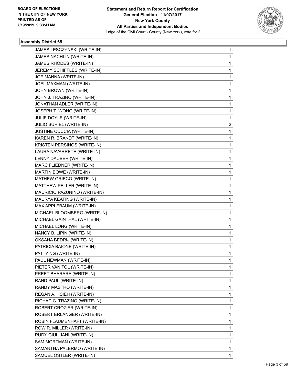

| JAMES LESCZYNSKI (WRITE-IN)  | 1              |
|------------------------------|----------------|
| JAMES NACHLIN (WRITE-IN)     | 1              |
| JAMES RHODES (WRITE-IN)      | 1              |
| JEREMY SCHIFFLES (WRITE-IN)  | 1              |
| JOE MANNA (WRITE-IN)         | 1              |
| JOEL MAXMAN (WRITE-IN)       | 1              |
| JOHN BROWN (WRITE-IN)        | 1              |
| JOHN J. TRAZINO (WRITE-IN)   | 1              |
| JONATHAN ADLER (WRITE-IN)    | 1              |
| JOSEPH T. WONG (WRITE-IN)    | 1              |
| JULIE DOYLE (WRITE-IN)       | 1              |
| JULIO SURIEL (WRITE-IN)      | $\overline{2}$ |
| JUSTINE CUCCIA (WRITE-IN)    | 1              |
| KAREN R. BRANDT (WRITE-IN)   | 1              |
| KRISTEN PERSINOS (WRITE-IN)  | 1              |
| LAURA NAVARRETE (WRITE-IN)   | 1              |
| LENNY DAUBER (WRITE-IN)      | 1              |
| MARC FLIEDNER (WRITE-IN)     | 1              |
| MARTIN BOWE (WRITE-IN)       | 1              |
| MATHEW GRIECO (WRITE-IN)     | 1              |
| MATTHEW PELLER (WRITE-IN)    | 1              |
| MAURICIO PAZUNINO (WRITE-IN) | 1              |
| MAURYA KEATING (WRITE-IN)    | 1              |
| MAX APPLEBAUM (WRITE-IN)     | 1              |
| MICHAEL BLOOMBERG (WRITE-IN) | 1              |
| MICHAEL GAINTHAL (WRITE-IN)  | 1              |
| MICHAEL LONG (WRITE-IN)      | 1              |
| NANCY B. LIPIN (WRITE-IN)    | 1              |
| OKSANA BEDRIJ (WRITE-IN)     | 1              |
| PATRICIA BAIONE (WRITE-IN)   | 1              |
| PATTY NG (WRITE-IN)          | 1              |
| PAUL NEWMAN (WRITE-IN)       | 1              |
| PIETER VAN TOL (WRITE-IN)    | 1              |
| PREET BHARARA (WRITE-IN)     | 1              |
| RAND PAUL (WRITE-IN)         | 1              |
| RANDY MASTRO (WRITE-IN)      | 1              |
| REGAN A. HSIEH (WRITE-IN)    | 1              |
| RICHAD C. TRAZINO (WRITE-IN) | 1              |
| ROBERT CROZIER (WRITE-IN)    | 1              |
| ROBERT ERLANGER (WRITE-IN)   | 1              |
| ROBIN FLAUMENHAFT (WRITE-IN) | 1              |
| ROW R. MILLER (WRITE-IN)     | 1              |
| RUDY GIULLIANI (WRITE-IN)    | 1              |
| SAM MORTMAN (WRITE-IN)       | 1              |
| SAMANTHA PALERMO (WRITE-IN)  | 1              |
| SAMUEL OSTLER (WRITE-IN)     | 1              |
|                              |                |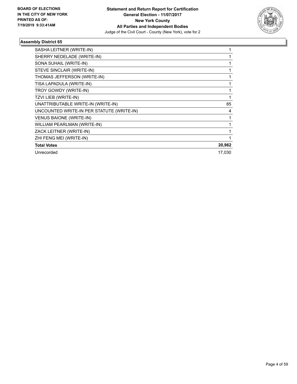

| SASHA LEITNER (WRITE-IN)                  |        |
|-------------------------------------------|--------|
| SHERRY NEDELADE (WRITE-IN)                |        |
| SONA SUHAIL (WRITE-IN)                    |        |
| STEVE SINCLAIR (WRITE-IN)                 |        |
| THOMAS JEFFERSON (WRITE-IN)               |        |
| TISA LAPADULA (WRITE-IN)                  |        |
| TROY GOWDY (WRITE-IN)                     |        |
| TZVI LIEB (WRITE-IN)                      |        |
| UNATTRIBUTABLE WRITE-IN (WRITE-IN)        | 85     |
| UNCOUNTED WRITE-IN PER STATUTE (WRITE-IN) | 4      |
| <b>VENUS BAIONE (WRITE-IN)</b>            |        |
| WILLIAM PEARLMAN (WRITE-IN)               |        |
| ZACK LEITNER (WRITE-IN)                   |        |
| ZHI FENG MEI (WRITE-IN)                   |        |
| <b>Total Votes</b>                        | 20,962 |
| Unrecorded                                | 17,030 |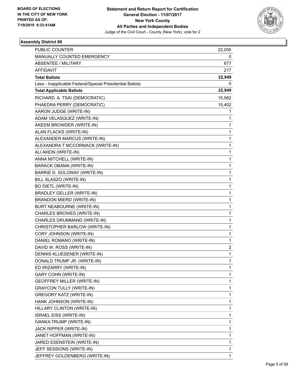

| <b>PUBLIC COUNTER</b>                                    | 22,055 |
|----------------------------------------------------------|--------|
| MANUALLY COUNTED EMERGENCY                               | 0      |
| <b>ABSENTEE / MILITARY</b>                               | 677    |
| <b>AFFIDAVIT</b>                                         | 217    |
| <b>Total Ballots</b>                                     | 22,949 |
| Less - Inapplicable Federal/Special Presidential Ballots | 0      |
| <b>Total Applicable Ballots</b>                          | 22,949 |
| RICHARD A. TSAI (DEMOCRATIC)                             | 15,562 |
| PHAEDRA PERRY (DEMOCRATIC)                               | 15,402 |
| AARON JUDGE (WRITE-IN)                                   | 1      |
| ADAM VELASQUEZ (WRITE-IN)                                | 1      |
| AKEEM BROWDER (WRITE-IN)                                 | 1      |
| ALAN FLACKS (WRITE-IN)                                   | 1      |
| ALEXANDER MARCUS (WRITE-IN)                              | 1      |
| ALEXANDRA T MCCORMACK (WRITE-IN)                         | 1      |
| ALI AKEIN (WRITE-IN)                                     | 1      |
| ANNA MITCHELL (WRITE-IN)                                 | 1      |
| <b>BARACK OBAMA (WRITE-IN)</b>                           | 1      |
| BARRIE D. SOLOWAY (WRITE-IN)                             | 1      |
| BILL SLASZO (WRITE-IN)                                   | 1      |
| <b>BO DIETL (WRITE-IN)</b>                               | 1      |
| <b>BRADLEY GELLER (WRITE-IN)</b>                         | 1      |
| <b>BRANDON MIERD (WRITE-IN)</b>                          | 1      |
| BURT NEABOURNE (WRITE-IN)                                | 1      |
| CHARLES BROWES (WRITE-IN)                                | 1      |
| CHARLES DRUMMAND (WRITE-IN)                              | 1      |
| CHRISTOPHER BARLOW (WRITE-IN)                            | 1      |
| CORY JOHNSON (WRITE-IN)                                  | 1      |
| DANIEL ROMANO (WRITE-IN)                                 | 1      |
| DAVID W. ROSS (WRITE-IN)                                 | 2      |
| DENNIS KLUESENER (WRITE-IN)                              | 1      |
| DONALD TRUMP JR. (WRITE-IN)                              | 1      |
| ED IRIZARRY (WRITE-IN)                                   | 1      |
| <b>GARY COHN (WRITE-IN)</b>                              | 1      |
| <b>GEOFFREY MILLER (WRITE-IN)</b>                        | 1      |
| <b>GRAYCON TULLY (WRITE-IN)</b>                          | 1      |
| <b>GREGORY KATZ (WRITE-IN)</b>                           | 1      |
| HANK JOHNSON (WRITE-IN)                                  | 1      |
| HILLARY CLINTON (WRITE-IN)                               | 1      |
| <b>ISRAEL EISS (WRITE-IN)</b>                            | 1      |
| IVANKA TRUMP (WRITE-IN)                                  | 1      |
| JACK RIPPER (WRITE-IN)                                   | 1      |
| JANET HOFFMAN (WRITE-IN)                                 | 1      |
| JARED ESENSTEIN (WRITE-IN)                               | 1      |
| JEFF SESSIONS (WRITE-IN)                                 | 1      |
| JEFFREY GOLDENBERG (WRITE-IN)                            | 1      |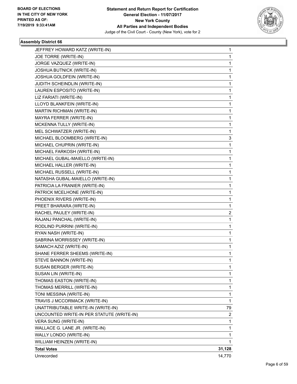

| JOE TORRE (WRITE-IN)<br>1<br>JORGE VAZQUEZ (WRITE-IN)<br>1<br>JOSHUA BUTNICK (WRITE-IN)<br>1<br>JOSHUA GOLDFEIN (WRITE-IN)<br>1<br>JUDITH SCHEINDLIN (WRITE-IN)<br>1<br>LAUREN ESPOSITO (WRITE-IN)<br>1<br>LIZ FARIATI (WRITE-IN)<br>1<br>LLOYD BLANKFEIN (WRITE-IN)<br>1<br>MARTIN RICHMAN (WRITE-IN)<br>1<br>MAYRA FERRER (WRITE-IN)<br>1<br>MCKENNA TULLY (WRITE-IN)<br>1<br>MEL SCHWATZER (WRITE-IN)<br>1<br>MICHAEL BLOOMBERG (WRITE-IN)<br>3<br>MICHAEL CHUPRIN (WRITE-IN)<br>1<br>MICHAEL FARKOSH (WRITE-IN)<br>1<br>MICHAEL GUBAL-MAIELLO (WRITE-IN)<br>1<br>MICHAEL HALLER (WRITE-IN)<br>1<br>MICHAEL RUSSELL (WRITE-IN)<br>1<br>NATASHA GUBAL-MAIELLO (WRITE-IN)<br>1<br>PATRICIA LA FRANIER (WRITE-IN)<br>1<br>PATRICK MCELHONE (WRITE-IN)<br>1<br>PHOENIX RIVERS (WRITE-IN)<br>1<br>PREET BHARARA (WRITE-IN)<br>1<br>RACHEL PAULEY (WRITE-IN)<br>2<br>RAJANJ PANCHAL (WRITE-IN)<br>1<br>RODLIND PURRINI (WRITE-IN)<br>1<br>RYAN NASH (WRITE-IN)<br>1<br>SABRINA MORRISSEY (WRITE-IN)<br>1<br>SAMACH AZIZ (WRITE-IN)<br>1<br>SHANE FERRER SHEEMS (WRITE-IN)<br>1<br>STEVE BANNON (WRITE-IN)<br>$\mathbf 1$<br>SUSAN BERGER (WRITE-IN)<br>1<br>SUSAN LIN (WRITE-IN)<br>1<br>THOMAS EASTON (WRITE-IN)<br>1<br>THOMAS MERRILL (WRITE-IN)<br>1<br>TONI MESSINA (WRITE-IN)<br>1<br>$\mathbf 1$<br>TRAVIS J MCCORMACK (WRITE-IN)<br>UNATTRIBUTABLE WRITE-IN (WRITE-IN)<br>79<br>UNCOUNTED WRITE-IN PER STATUTE (WRITE-IN)<br>2<br>1<br>VERA SUNG (WRITE-IN)<br>WALLACE G. LANE JR. (WRITE-IN)<br>1<br>WALLY LONDO (WRITE-IN)<br>1<br>WILLIAM HEINZEN (WRITE-IN)<br>1<br>31,128<br><b>Total Votes</b><br>Unrecorded<br>14,770 | JEFFREY HOWARD KATZ (WRITE-IN) | 1 |
|-----------------------------------------------------------------------------------------------------------------------------------------------------------------------------------------------------------------------------------------------------------------------------------------------------------------------------------------------------------------------------------------------------------------------------------------------------------------------------------------------------------------------------------------------------------------------------------------------------------------------------------------------------------------------------------------------------------------------------------------------------------------------------------------------------------------------------------------------------------------------------------------------------------------------------------------------------------------------------------------------------------------------------------------------------------------------------------------------------------------------------------------------------------------------------------------------------------------------------------------------------------------------------------------------------------------------------------------------------------------------------------------------------------------------------------------------------------------------------------------------------------------------------------------------------------------------------------------------------------------------------------|--------------------------------|---|
|                                                                                                                                                                                                                                                                                                                                                                                                                                                                                                                                                                                                                                                                                                                                                                                                                                                                                                                                                                                                                                                                                                                                                                                                                                                                                                                                                                                                                                                                                                                                                                                                                                   |                                |   |
|                                                                                                                                                                                                                                                                                                                                                                                                                                                                                                                                                                                                                                                                                                                                                                                                                                                                                                                                                                                                                                                                                                                                                                                                                                                                                                                                                                                                                                                                                                                                                                                                                                   |                                |   |
|                                                                                                                                                                                                                                                                                                                                                                                                                                                                                                                                                                                                                                                                                                                                                                                                                                                                                                                                                                                                                                                                                                                                                                                                                                                                                                                                                                                                                                                                                                                                                                                                                                   |                                |   |
|                                                                                                                                                                                                                                                                                                                                                                                                                                                                                                                                                                                                                                                                                                                                                                                                                                                                                                                                                                                                                                                                                                                                                                                                                                                                                                                                                                                                                                                                                                                                                                                                                                   |                                |   |
|                                                                                                                                                                                                                                                                                                                                                                                                                                                                                                                                                                                                                                                                                                                                                                                                                                                                                                                                                                                                                                                                                                                                                                                                                                                                                                                                                                                                                                                                                                                                                                                                                                   |                                |   |
|                                                                                                                                                                                                                                                                                                                                                                                                                                                                                                                                                                                                                                                                                                                                                                                                                                                                                                                                                                                                                                                                                                                                                                                                                                                                                                                                                                                                                                                                                                                                                                                                                                   |                                |   |
|                                                                                                                                                                                                                                                                                                                                                                                                                                                                                                                                                                                                                                                                                                                                                                                                                                                                                                                                                                                                                                                                                                                                                                                                                                                                                                                                                                                                                                                                                                                                                                                                                                   |                                |   |
|                                                                                                                                                                                                                                                                                                                                                                                                                                                                                                                                                                                                                                                                                                                                                                                                                                                                                                                                                                                                                                                                                                                                                                                                                                                                                                                                                                                                                                                                                                                                                                                                                                   |                                |   |
|                                                                                                                                                                                                                                                                                                                                                                                                                                                                                                                                                                                                                                                                                                                                                                                                                                                                                                                                                                                                                                                                                                                                                                                                                                                                                                                                                                                                                                                                                                                                                                                                                                   |                                |   |
|                                                                                                                                                                                                                                                                                                                                                                                                                                                                                                                                                                                                                                                                                                                                                                                                                                                                                                                                                                                                                                                                                                                                                                                                                                                                                                                                                                                                                                                                                                                                                                                                                                   |                                |   |
|                                                                                                                                                                                                                                                                                                                                                                                                                                                                                                                                                                                                                                                                                                                                                                                                                                                                                                                                                                                                                                                                                                                                                                                                                                                                                                                                                                                                                                                                                                                                                                                                                                   |                                |   |
|                                                                                                                                                                                                                                                                                                                                                                                                                                                                                                                                                                                                                                                                                                                                                                                                                                                                                                                                                                                                                                                                                                                                                                                                                                                                                                                                                                                                                                                                                                                                                                                                                                   |                                |   |
|                                                                                                                                                                                                                                                                                                                                                                                                                                                                                                                                                                                                                                                                                                                                                                                                                                                                                                                                                                                                                                                                                                                                                                                                                                                                                                                                                                                                                                                                                                                                                                                                                                   |                                |   |
|                                                                                                                                                                                                                                                                                                                                                                                                                                                                                                                                                                                                                                                                                                                                                                                                                                                                                                                                                                                                                                                                                                                                                                                                                                                                                                                                                                                                                                                                                                                                                                                                                                   |                                |   |
|                                                                                                                                                                                                                                                                                                                                                                                                                                                                                                                                                                                                                                                                                                                                                                                                                                                                                                                                                                                                                                                                                                                                                                                                                                                                                                                                                                                                                                                                                                                                                                                                                                   |                                |   |
|                                                                                                                                                                                                                                                                                                                                                                                                                                                                                                                                                                                                                                                                                                                                                                                                                                                                                                                                                                                                                                                                                                                                                                                                                                                                                                                                                                                                                                                                                                                                                                                                                                   |                                |   |
|                                                                                                                                                                                                                                                                                                                                                                                                                                                                                                                                                                                                                                                                                                                                                                                                                                                                                                                                                                                                                                                                                                                                                                                                                                                                                                                                                                                                                                                                                                                                                                                                                                   |                                |   |
|                                                                                                                                                                                                                                                                                                                                                                                                                                                                                                                                                                                                                                                                                                                                                                                                                                                                                                                                                                                                                                                                                                                                                                                                                                                                                                                                                                                                                                                                                                                                                                                                                                   |                                |   |
|                                                                                                                                                                                                                                                                                                                                                                                                                                                                                                                                                                                                                                                                                                                                                                                                                                                                                                                                                                                                                                                                                                                                                                                                                                                                                                                                                                                                                                                                                                                                                                                                                                   |                                |   |
|                                                                                                                                                                                                                                                                                                                                                                                                                                                                                                                                                                                                                                                                                                                                                                                                                                                                                                                                                                                                                                                                                                                                                                                                                                                                                                                                                                                                                                                                                                                                                                                                                                   |                                |   |
|                                                                                                                                                                                                                                                                                                                                                                                                                                                                                                                                                                                                                                                                                                                                                                                                                                                                                                                                                                                                                                                                                                                                                                                                                                                                                                                                                                                                                                                                                                                                                                                                                                   |                                |   |
|                                                                                                                                                                                                                                                                                                                                                                                                                                                                                                                                                                                                                                                                                                                                                                                                                                                                                                                                                                                                                                                                                                                                                                                                                                                                                                                                                                                                                                                                                                                                                                                                                                   |                                |   |
|                                                                                                                                                                                                                                                                                                                                                                                                                                                                                                                                                                                                                                                                                                                                                                                                                                                                                                                                                                                                                                                                                                                                                                                                                                                                                                                                                                                                                                                                                                                                                                                                                                   |                                |   |
|                                                                                                                                                                                                                                                                                                                                                                                                                                                                                                                                                                                                                                                                                                                                                                                                                                                                                                                                                                                                                                                                                                                                                                                                                                                                                                                                                                                                                                                                                                                                                                                                                                   |                                |   |
|                                                                                                                                                                                                                                                                                                                                                                                                                                                                                                                                                                                                                                                                                                                                                                                                                                                                                                                                                                                                                                                                                                                                                                                                                                                                                                                                                                                                                                                                                                                                                                                                                                   |                                |   |
|                                                                                                                                                                                                                                                                                                                                                                                                                                                                                                                                                                                                                                                                                                                                                                                                                                                                                                                                                                                                                                                                                                                                                                                                                                                                                                                                                                                                                                                                                                                                                                                                                                   |                                |   |
|                                                                                                                                                                                                                                                                                                                                                                                                                                                                                                                                                                                                                                                                                                                                                                                                                                                                                                                                                                                                                                                                                                                                                                                                                                                                                                                                                                                                                                                                                                                                                                                                                                   |                                |   |
|                                                                                                                                                                                                                                                                                                                                                                                                                                                                                                                                                                                                                                                                                                                                                                                                                                                                                                                                                                                                                                                                                                                                                                                                                                                                                                                                                                                                                                                                                                                                                                                                                                   |                                |   |
|                                                                                                                                                                                                                                                                                                                                                                                                                                                                                                                                                                                                                                                                                                                                                                                                                                                                                                                                                                                                                                                                                                                                                                                                                                                                                                                                                                                                                                                                                                                                                                                                                                   |                                |   |
|                                                                                                                                                                                                                                                                                                                                                                                                                                                                                                                                                                                                                                                                                                                                                                                                                                                                                                                                                                                                                                                                                                                                                                                                                                                                                                                                                                                                                                                                                                                                                                                                                                   |                                |   |
|                                                                                                                                                                                                                                                                                                                                                                                                                                                                                                                                                                                                                                                                                                                                                                                                                                                                                                                                                                                                                                                                                                                                                                                                                                                                                                                                                                                                                                                                                                                                                                                                                                   |                                |   |
|                                                                                                                                                                                                                                                                                                                                                                                                                                                                                                                                                                                                                                                                                                                                                                                                                                                                                                                                                                                                                                                                                                                                                                                                                                                                                                                                                                                                                                                                                                                                                                                                                                   |                                |   |
|                                                                                                                                                                                                                                                                                                                                                                                                                                                                                                                                                                                                                                                                                                                                                                                                                                                                                                                                                                                                                                                                                                                                                                                                                                                                                                                                                                                                                                                                                                                                                                                                                                   |                                |   |
|                                                                                                                                                                                                                                                                                                                                                                                                                                                                                                                                                                                                                                                                                                                                                                                                                                                                                                                                                                                                                                                                                                                                                                                                                                                                                                                                                                                                                                                                                                                                                                                                                                   |                                |   |
|                                                                                                                                                                                                                                                                                                                                                                                                                                                                                                                                                                                                                                                                                                                                                                                                                                                                                                                                                                                                                                                                                                                                                                                                                                                                                                                                                                                                                                                                                                                                                                                                                                   |                                |   |
|                                                                                                                                                                                                                                                                                                                                                                                                                                                                                                                                                                                                                                                                                                                                                                                                                                                                                                                                                                                                                                                                                                                                                                                                                                                                                                                                                                                                                                                                                                                                                                                                                                   |                                |   |
|                                                                                                                                                                                                                                                                                                                                                                                                                                                                                                                                                                                                                                                                                                                                                                                                                                                                                                                                                                                                                                                                                                                                                                                                                                                                                                                                                                                                                                                                                                                                                                                                                                   |                                |   |
|                                                                                                                                                                                                                                                                                                                                                                                                                                                                                                                                                                                                                                                                                                                                                                                                                                                                                                                                                                                                                                                                                                                                                                                                                                                                                                                                                                                                                                                                                                                                                                                                                                   |                                |   |
|                                                                                                                                                                                                                                                                                                                                                                                                                                                                                                                                                                                                                                                                                                                                                                                                                                                                                                                                                                                                                                                                                                                                                                                                                                                                                                                                                                                                                                                                                                                                                                                                                                   |                                |   |
|                                                                                                                                                                                                                                                                                                                                                                                                                                                                                                                                                                                                                                                                                                                                                                                                                                                                                                                                                                                                                                                                                                                                                                                                                                                                                                                                                                                                                                                                                                                                                                                                                                   |                                |   |
|                                                                                                                                                                                                                                                                                                                                                                                                                                                                                                                                                                                                                                                                                                                                                                                                                                                                                                                                                                                                                                                                                                                                                                                                                                                                                                                                                                                                                                                                                                                                                                                                                                   |                                |   |
|                                                                                                                                                                                                                                                                                                                                                                                                                                                                                                                                                                                                                                                                                                                                                                                                                                                                                                                                                                                                                                                                                                                                                                                                                                                                                                                                                                                                                                                                                                                                                                                                                                   |                                |   |
|                                                                                                                                                                                                                                                                                                                                                                                                                                                                                                                                                                                                                                                                                                                                                                                                                                                                                                                                                                                                                                                                                                                                                                                                                                                                                                                                                                                                                                                                                                                                                                                                                                   |                                |   |
|                                                                                                                                                                                                                                                                                                                                                                                                                                                                                                                                                                                                                                                                                                                                                                                                                                                                                                                                                                                                                                                                                                                                                                                                                                                                                                                                                                                                                                                                                                                                                                                                                                   |                                |   |
|                                                                                                                                                                                                                                                                                                                                                                                                                                                                                                                                                                                                                                                                                                                                                                                                                                                                                                                                                                                                                                                                                                                                                                                                                                                                                                                                                                                                                                                                                                                                                                                                                                   |                                |   |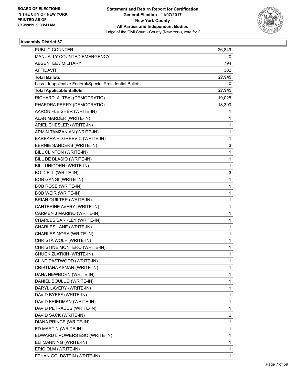

| <b>PUBLIC COUNTER</b>                                    | 26,849 |
|----------------------------------------------------------|--------|
| MANUALLY COUNTED EMERGENCY                               | 0      |
| <b>ABSENTEE / MILITARY</b>                               | 794    |
| <b>AFFIDAVIT</b>                                         | 302    |
| <b>Total Ballots</b>                                     | 27,945 |
| Less - Inapplicable Federal/Special Presidential Ballots | 0      |
| <b>Total Applicable Ballots</b>                          | 27,945 |
| RICHARD A. TSAI (DEMOCRATIC)                             | 19,025 |
| PHAEDRA PERRY (DEMOCRATIC)                               | 18,390 |
| AARON FLEISHER (WRITE-IN)                                | 1      |
| ALAN MARDER (WRITE-IN)                                   | 1      |
| ARIEL CHESLER (WRITE-IN)                                 | 1      |
| ARMIN TAMZANIAN (WRITE-IN)                               | 1      |
| BARBARA H. GREEVIC (WRITE-IN)                            | 1      |
| BERNIE SANDERS (WRITE-IN)                                | 3      |
| <b>BILL CLINTON (WRITE-IN)</b>                           | 1      |
| BILL DE BLASIO (WRITE-IN)                                | 1      |
| BILL UNICORN (WRITE-IN)                                  | 1      |
| <b>BO DIETL (WRITE-IN)</b>                               | 3      |
| <b>BOB GANGI (WRITE-IN)</b>                              | 1      |
| <b>BOB ROSE (WRITE-IN)</b>                               | 1      |
| <b>BOB WEIR (WRITE-IN)</b>                               | 1      |
| BRIAN QUILTER (WRITE-IN)                                 | 1      |
| CAHTERINE AVERY (WRITE-IN)                               | 1      |
| CARMEN J MARINO (WRITE-IN)                               | 1      |
| CHARLES BARKLEY (WRITE-IN)                               | 1      |
| CHARLES LANE (WRITE-IN)                                  | 1      |
| CHARLES MORA (WRITE-IN)                                  | 1      |
| CHRISTA WOLF (WRITE-IN)                                  | 1      |
| CHRISTINE MONTERO (WRITE-IN)                             | 1      |
| CHUCK ZLATKIN (WRITE-IN)                                 | 1      |
| CLINT EASTWOOD (WRITE-IN)                                | 1      |
| CRISTIANA ASMAN (WRITE-IN)                               | 1      |
| DANA NEWBORN (WRITE-IN)                                  | 1      |
| DANIEL BOULUD (WRITE-IN)                                 | 1      |
| DARYL LAVERY (WRITE-IN)                                  | 1      |
| DAVID BYEFF (WRITE-IN)                                   | 1      |
| DAVID FRIEDMAN (WRITE-IN)                                | 1      |
| DAVID PETRAEUS (WRITE-IN)                                | 1      |
| DAVID SACK (WRITE-IN)                                    | 2      |
| DIANA PRINCE (WRITE-IN)                                  | 1      |
| ED MARTIN (WRITE-IN)                                     | 1      |
| EDWARD L POWERS ESQ (WRITE-IN)                           | 1      |
| ELI MANNING (WRITE-IN)                                   | 1      |
| ERIC OLM (WRITE-IN)                                      | 1      |
| ETHAN GOLDSTEIN (WRITE-IN)                               | 1      |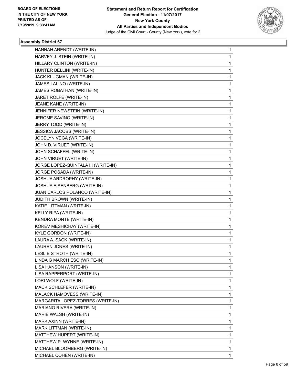

| HANNAH ARENDT (WRITE-IN)            | 1 |
|-------------------------------------|---|
| HARVEY J. STEIN (WRITE-IN)          | 1 |
| HILLARY CLINTON (WRITE-IN)          | 1 |
| HUNTER BELLINI (WRITE-IN)           | 1 |
| JACK KLUGMAN (WRITE-IN)             | 1 |
| JAMES LALINO (WRITE-IN)             | 1 |
| JAMES ROBATHAN (WRITE-IN)           | 1 |
| JARET ROLFE (WRITE-IN)              | 1 |
| JEANE KANE (WRITE-IN)               | 1 |
| JENNIFER NEWSTEIN (WRITE-IN)        | 1 |
| JEROME SAVINO (WRITE-IN)            | 1 |
| JERRY TODD (WRITE-IN)               | 1 |
| JESSICA JACOBS (WRITE-IN)           | 1 |
| JOCELYN VEGA (WRITE-IN)             | 1 |
| JOHN D. VIRUET (WRITE-IN)           | 1 |
| JOHN SCHAFFEL (WRITE-IN)            | 1 |
| JOHN VIRUET (WRITE-IN)              | 1 |
| JORGE LOPEZ-QUINTALA III (WRITE-IN) | 1 |
| JORGE POSADA (WRITE-IN)             | 1 |
| JOSHUA ARDROPHY (WRITE-IN)          | 1 |
| JOSHUA EISENBERG (WRITE-IN)         | 1 |
| JUAN CARLOS POLANCO (WRITE-IN)      | 1 |
| <b>JUDITH BROWN (WRITE-IN)</b>      | 1 |
| KATIE LITTMAN (WRITE-IN)            | 1 |
| KELLY RIPA (WRITE-IN)               | 1 |
| KENDRA MONTE (WRITE-IN)             | 1 |
| KOREV MESHICHAY (WRITE-IN)          | 1 |
| KYLE GORDON (WRITE-IN)              | 1 |
| LAURA A. SACK (WRITE-IN)            | 1 |
| LAUREN JONES (WRITE-IN)             | 1 |
| LESLIE STROTH (WRITE-IN)            | 1 |
| LINDA G MARCH ESQ (WRITE-IN)        | 1 |
| LISA HANSON (WRITE-IN)              | 1 |
| LISA RAPPERPORT (WRITE-IN)          | 1 |
| LORI WOLF (WRITE-IN)                | 1 |
| MACK SCHLEFER (WRITE-IN)            | 1 |
| MALACK HAMOVESS (WRITE-IN)          | 1 |
| MARGARITA LOPEZ-TORRES (WRITE-IN)   | 1 |
| MARIANO RIVERA (WRITE-IN)           | 1 |
| MARIE WALSH (WRITE-IN)              | 1 |
| MARK AXINN (WRITE-IN)               | 1 |
| MARK LITTMAN (WRITE-IN)             | 1 |
| MATTHEW HUPERT (WRITE-IN)           | 1 |
| MATTHEW P. WYNNE (WRITE-IN)         | 1 |
| MICHAEL BLOOMBERG (WRITE-IN)        | 1 |
| MICHAEL COHEN (WRITE-IN)            | 1 |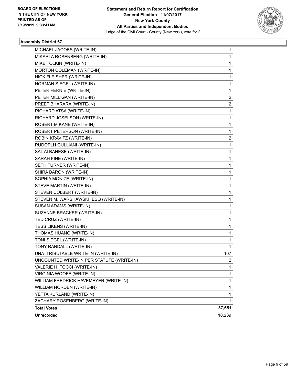

| MICHAEL JACOBS (WRITE-IN)                 | 1      |
|-------------------------------------------|--------|
| MIKARLA ROSENBERG (WRITE-IN)              | 1      |
| MIKE TOLKIN (WRITE-IN)                    | 1      |
| MORTON COLEMAN (WRITE-IN)                 | 1      |
| NICK FLEISHER (WRITE-IN)                  | 1      |
| NORMAN SIEGEL (WRITE-IN)                  | 1      |
| PETER FERNIE (WRITE-IN)                   | 1      |
| PETER MILLIGAN (WRITE-IN)                 | 2      |
| PREET BHARARA (WRITE-IN)                  | 2      |
| RICHARD ATSA (WRITE-IN)                   | 1      |
| RICHARD JOSELSON (WRITE-IN)               | 1      |
| ROBERT M KANE (WRITE-IN)                  | 1      |
| ROBERT PETERSON (WRITE-IN)                | 1      |
| ROBIN KRAVITZ (WRITE-IN)                  | 2      |
| RUDOPLH GULLIANI (WRITE-IN)               | 1      |
| SAL ALBANESE (WRITE-IN)                   | 1      |
| SARAH FINE (WRITE-IN)                     | 1      |
| SETH TURNER (WRITE-IN)                    | 1      |
| SHIRA BARON (WRITE-IN)                    | 1      |
| SOPHIA MONIZE (WRITE-IN)                  | 1      |
| STEVE MARTIN (WRITE-IN)                   | 1      |
| STEVEN COLBERT (WRITE-IN)                 | 1      |
| STEVEN M. WARSHAWSKI, ESQ (WRITE-IN)      | 1      |
| SUSAN ADAMS (WRITE-IN)                    | 1      |
| SUZANNE BRACKER (WRITE-IN)                | 1      |
| TED CRUZ (WRITE-IN)                       | 1      |
| <b>TESS LIKENS (WRITE-IN)</b>             | 1      |
| THOMAS HUANG (WRITE-IN)                   | 1      |
| TONI SIEGEL (WRITE-IN)                    | 1      |
| TONY RANDALL (WRITE-IN)                   | 1      |
| UNATTRIBUTABLE WRITE-IN (WRITE-IN)        | 107    |
| UNCOUNTED WRITE-IN PER STATUTE (WRITE-IN) | 2      |
| VALERIE H. TOCCI (WRITE-IN)               | 1      |
| VIRGINIA WOOFE (WRITE-IN)                 | 1      |
| WILLIAM FREDRICK HAVEMEYER (WRITE-IN)     | 1      |
| WILLIAM NORDEN (WRITE-IN)                 | 1      |
| YETTA KURLAND (WRITE-IN)                  | 1      |
| ZACHARY ROSENBERG (WRITE-IN)              | 1      |
| <b>Total Votes</b>                        | 37,651 |
| Unrecorded                                | 18,239 |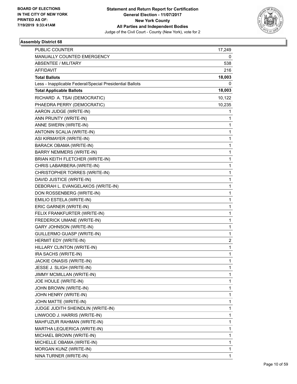

| <b>PUBLIC COUNTER</b>                                    | 17,249         |
|----------------------------------------------------------|----------------|
| MANUALLY COUNTED EMERGENCY                               | 0              |
| <b>ABSENTEE / MILITARY</b>                               | 538            |
| <b>AFFIDAVIT</b>                                         | 216            |
| <b>Total Ballots</b>                                     | 18,003         |
| Less - Inapplicable Federal/Special Presidential Ballots | 0              |
| <b>Total Applicable Ballots</b>                          | 18,003         |
| RICHARD A. TSAI (DEMOCRATIC)                             | 10,122         |
| PHAEDRA PERRY (DEMOCRATIC)                               | 10,235         |
| AARON JUDGE (WRITE-IN)                                   | 1              |
| ANN PRUNTY (WRITE-IN)                                    | 1              |
| ANNE SWERN (WRITE-IN)                                    | 1              |
| ANTONIN SCALIA (WRITE-IN)                                | 1              |
| ASI KIRMAYER (WRITE-IN)                                  | 1              |
| BARACK OBAMA (WRITE-IN)                                  | 1              |
| <b>BARRY NEMMERS (WRITE-IN)</b>                          | 1              |
| BRIAN KEITH FLETCHER (WRITE-IN)                          | 1              |
| CHRIS LABARBERA (WRITE-IN)                               | 1              |
| CHRISTOPHER TORRES (WRITE-IN)                            | 1              |
| DAVID JUSTICE (WRITE-IN)                                 | 1              |
| DEBORAH L. EVANGELAKOS (WRITE-IN)                        | 1              |
| DON ROSSENBERG (WRITE-IN)                                | 1              |
| EMILIO ESTELA (WRITE-IN)                                 | 1              |
| ERIC GARNER (WRITE-IN)                                   | 1              |
| FELIX FRANKFURTER (WRITE-IN)                             | 1              |
| FREDERICK UMANE (WRITE-IN)                               | 1              |
| <b>GARY JOHNSON (WRITE-IN)</b>                           | 1              |
| GUILLERMO GUASP (WRITE-IN)                               | 1              |
| HERMIT EDY (WRITE-IN)                                    | $\overline{2}$ |
| HILLARY CLINTON (WRITE-IN)                               | 1              |
| IRA SACHS (WRITE-IN)                                     | 1              |
| JACKIE ONASIS (WRITE-IN)                                 | 1              |
| JESSE J. SLIGH (WRITE-IN)                                | 1              |
| JIMMY MCMILLAN (WRITE-IN)                                | 1              |
| JOE HOULE (WRITE-IN)                                     | 1              |
| JOHN BROWN (WRITE-IN)                                    | 1              |
| JOHN HENRY (WRITE-IN)                                    | 1              |
| JOHN MATTE (WRITE-IN)                                    | 1              |
| JUDGE JUDITH SHEINDLIN (WRITE-IN)                        | 1              |
| LINWOOD J. HARRIS (WRITE-IN)                             | 1              |
| MAHFUZUR RAHMAN (WRITE-IN)                               | 1              |
| MARTHA LEQUERICA (WRITE-IN)                              | 1              |
| MICHAEL BROWN (WRITE-IN)                                 | 1              |
| MICHELLE OBAMA (WRITE-IN)                                | 1              |
| MORGAN KUNZ (WRITE-IN)                                   | 1              |
| NINA TURNER (WRITE-IN)                                   | 1              |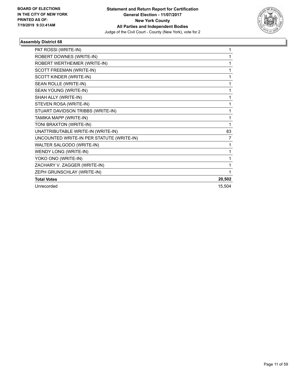

| PAT ROSSI (WRITE-IN)                      | 1      |
|-------------------------------------------|--------|
| ROBERT DOWNES (WRITE-IN)                  | 1      |
| ROBERT WERTHEIMER (WRITE-IN)              | 1      |
| SCOTT FREEMAN (WRITE-IN)                  | 1      |
| SCOTT KINDER (WRITE-IN)                   | 1      |
| SEAN ROLLE (WRITE-IN)                     | 1      |
| SEAN YOUNG (WRITE-IN)                     | 1      |
| SHAH ALLY (WRITE-IN)                      | 1      |
| STEVEN ROSA (WRITE-IN)                    | 1      |
| STUART DAVIDSON TRIBBS (WRITE-IN)         | 1      |
| TAMIKA MAPP (WRITE-IN)                    | 1      |
| TONI BRAXTON (WRITE-IN)                   | 1      |
| UNATTRIBUTABLE WRITE-IN (WRITE-IN)        | 83     |
| UNCOUNTED WRITE-IN PER STATUTE (WRITE-IN) | 7      |
| WALTER SALGODO (WRITE-IN)                 | 1      |
| WENDY LONG (WRITE-IN)                     | 1      |
| YOKO ONO (WRITE-IN)                       | 1      |
| ZACHARY V. ZAGGER (WRITE-IN)              | 1      |
| ZEPH GRUNSCHLAY (WRITE-IN)                |        |
| <b>Total Votes</b>                        | 20,502 |
| Unrecorded                                | 15,504 |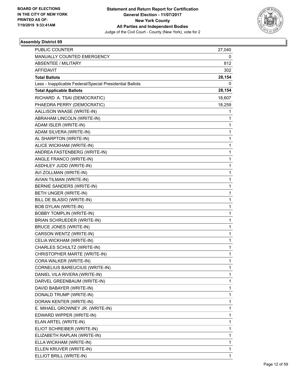

| <b>PUBLIC COUNTER</b>                                    | 27,040 |
|----------------------------------------------------------|--------|
| MANUALLY COUNTED EMERGENCY                               | 0      |
| <b>ABSENTEE / MILITARY</b>                               | 812    |
| <b>AFFIDAVIT</b>                                         | 302    |
| <b>Total Ballots</b>                                     | 28,154 |
| Less - Inapplicable Federal/Special Presidential Ballots | 0      |
| <b>Total Applicable Ballots</b>                          | 28,154 |
| RICHARD A. TSAI (DEMOCRATIC)                             | 18,607 |
| PHAEDRA PERRY (DEMOCRATIC)                               | 18,259 |
| AALLISON WAASE (WRITE-IN)                                | 1      |
| ABRAHAM LINCOLN (WRITE-IN)                               | 1      |
| ADAM ISLER (WRITE-IN)                                    | 1      |
| ADAM SILVERA (WRITE-IN)                                  | 1      |
| AL SHARPTON (WRITE-IN)                                   | 1      |
| ALICE WICKHAM (WRITE-IN)                                 | 1      |
| ANDREA FASTENBERG (WRITE-IN)                             | 1      |
| ANGLE FRANCO (WRITE-IN)                                  | 1      |
| ASDHLEY JUDD (WRITE-IN)                                  | 1      |
| AVI ZOLLMAN (WRITE-IN)                                   | 1      |
| AVIAN TILMAN (WRITE-IN)                                  | 1      |
| <b>BERNIE SANDERS (WRITE-IN)</b>                         | 1      |
| BETH UNGER (WRITE-IN)                                    | 1      |
| BILL DE BLASIO (WRITE-IN)                                | 1      |
| <b>BOB DYLAN (WRITE-IN)</b>                              | 1      |
| <b>BOBBY TOMPLIN (WRITE-IN)</b>                          | 1      |
| BRIAN SCHRUEDER (WRITE-IN)                               | 1      |
| <b>BRUCE JONES (WRITE-IN)</b>                            | 1      |
| CARSON WENTZ (WRITE-IN)                                  | 1      |
| CELIA WICKHAM (WRITE-IN)                                 | 1      |
| CHARLES SCHULTZ (WRITE-IN)                               | 1      |
| CHRISTOPHER MARTE (WRITE-IN)                             | 1      |
| CORA WALKER (WRITE-IN)                                   | 1      |
| CORNELIUS BAREUCIUS (WRITE-IN)                           | 1      |
| DANIEL VILA RIVERA (WRITE-IN)                            | 1      |
| DARVEL GREENBAUM (WRITE-IN)                              | 1      |
| DAVID BABAYER (WRITE-IN)                                 | 1      |
| DONALD TRUMP (WRITE-IN)                                  | 1      |
| DORAN KENTER (WRITE-IN)                                  | 1      |
| E. MIHAEL GROWNEY JR. (WRITE-IN)                         | 1      |
| EDWARD WIPPER (WRITE-IN)                                 | 1      |
| ELAN ARTEL (WRITE-IN)                                    | 1      |
| ELIOT SCHREIBER (WRITE-IN)                               | 1      |
| ELIZABETH RAPLAN (WRITE-IN)                              | 1      |
| ELLA WICKHAM (WRITE-IN)                                  | 1      |
| ELLEN KRUVER (WRITE-IN)                                  | 1      |
| ELLIOT BRILL (WRITE-IN)                                  | 1      |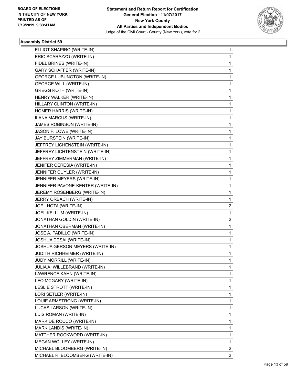

| ELLIOT SHAPIRO (WRITE-IN)          | 1              |
|------------------------------------|----------------|
| ERIC SCARAZZO (WRITE-IN)           | 1              |
| FIDEL BRINES (WRITE-IN)            | 1              |
| <b>GARY SCHAFFER (WRITE-IN)</b>    | 1              |
| <b>GEORGE LUBUNGTON (WRITE-IN)</b> | 1              |
| <b>GEORGE WILL (WRITE-IN)</b>      | 1              |
| <b>GREGG ROTH (WRITE-IN)</b>       | 1              |
| HENRY WALKER (WRITE-IN)            | 1              |
| HILLARY CLINTON (WRITE-IN)         | $\mathbf{1}$   |
| HOMER HARRIS (WRITE-IN)            | 1              |
| ILANA MARCUS (WRITE-IN)            | 1              |
| JAMES ROBINSON (WRITE-IN)          | 1              |
| JASON F. LOWE (WRITE-IN)           | 1              |
| JAY BURSTEIN (WRITE-IN)            | 1              |
| JEFFREY LICHENSTEIN (WRITE-IN)     | $\mathbf{1}$   |
| JEFFREY LICHTENSTEIN (WRITE-IN)    | 1              |
| JEFFREY ZIMMERMAN (WRITE-IN)       | 1              |
| JENIFER CERESIA (WRITE-IN)         | 1              |
| JENNIFER CUYLER (WRITE-IN)         | 1              |
| JENNIFER MEYERS (WRITE-IN)         | 1              |
| JENNIFER PAVONE-KENTER (WRITE-IN)  | $\mathbf{1}$   |
| JEREMY ROSENBERG (WRITE-IN)        | 1              |
| JERRY ORBACH (WRITE-IN)            | 1              |
| JOE LHOTA (WRITE-IN)               | $\overline{2}$ |
| JOEL KELLUM (WRITE-IN)             | 1              |
| JONATHAN GOLDIN (WRITE-IN)         | 2              |
| JONATHAN OBERMAN (WRITE-IN)        | $\mathbf{1}$   |
| JOSE A. PADILLO (WRITE-IN)         | 1              |
| JOSHUA DESAI (WRITE-IN)            | 1              |
| JOSHUA GERSON MEYERS (WRITE-IN)    | $\mathbf{1}$   |
| JUDITH RICHHEIMER (WRITE-IN)       | 1              |
| JUDY MORRILL (WRITE-IN)            | 1              |
| JULIA A. WILLEBRAND (WRITE-IN)     | 1              |
| LAWRENCE KAHN (WRITE-IN)           | 1              |
| LEO MCGARY (WRITE-IN)              | 1              |
| LESLIE STROTT (WRITE-IN)           | 1              |
| LORI SETLER (WRITE-IN)             | 1              |
| LOUIE ARMSTRONG (WRITE-IN)         | 1              |
| LUCAS LARSON (WRITE-IN)            | 1              |
| LUIS ROMAN (WRITE-IN)              | 1              |
| MARK DE ROCCO (WRITE-IN)           | 1              |
| MARK LANDIS (WRITE-IN)             | 1              |
| MATTHER ROCKWORD (WRITE-IN)        | 1              |
| MEGAN WOLLEY (WRITE-IN)            | 1              |
| MICHAEL BLOOMBERG (WRITE-IN)       | $\overline{2}$ |
| MICHAEL R. BLOOMBERG (WRITE-IN)    | $\overline{2}$ |
|                                    |                |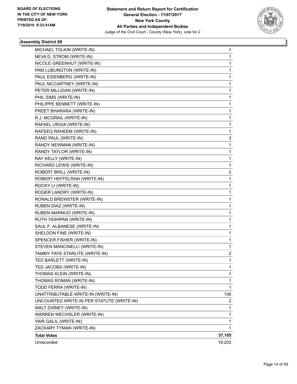

| NEVA D. STROM (WRITE-IN)<br>$\mathbf{1}$<br>$\mathbf 1$<br>NICOLE GREENHUT (WRITE-IN)<br>PAM LUBUNGTON (WRITE-IN)<br>1<br>PAUL EISENBERG (WRITE-IN)<br>1<br>PAUL MCCARTNEY (WRITE-IN)<br>1<br>PETER MILLIGAN (WRITE-IN)<br>1<br>PHIL SIMS (WRITE-IN)<br>1<br>$\mathbf 1$<br>PHILIPPE BENNETT (WRITE-IN)<br>PREET BHARARA (WRITE-IN)<br>1<br>R.J. MCGRAIL (WRITE-IN)<br>1<br>RAFAEL URGIA (WRITE-IN)<br>1<br>RAFEEQ RAHEEM (WRITE-IN)<br>1<br>RAND PAUL (WRITE-IN)<br>3<br>$\mathbf 1$<br>RANDY NEWMAN (WRITE-IN)<br>RANDY TAYLOR (WRITE-IN)<br>1<br>RAY KELLY (WRITE-IN)<br>1<br>RICHARD LEWIS (WRITE-IN)<br>1<br>ROBERT BRILL (WRITE-IN)<br>2<br>ROBERT HEFFELRAN (WRITE-IN)<br>$\mathbf 1$<br>$\mathbf 1$<br>ROCKY LI (WRITE-IN)<br>ROGER LANDRY (WRITE-IN)<br>1<br>RONALD BREWSTER (WRITE-IN)<br>1<br>RUBEN DIAZ (WRITE-IN)<br>1<br>RUBEN MARNUO (WRITE-IN)<br>1<br>RUTH YASHPAN (WRITE-IN)<br>1<br>$\mathbf 1$<br>SAUL F. ALBANESE (WRITE-IN)<br>SHELDON FINE (WRITE-IN)<br>1<br>SPENCER FISHER (WRITE-IN)<br>1<br>STEVEN MANCINELLI (WRITE-IN)<br>1<br>TAMMY FAYE STARLITE (WRITE-IN)<br>2<br>TED BARLETT (WRITE-IN)<br>$\mathbf{1}$<br>TED JACOBS (WRITE-IN)<br>1<br>THOMAS KLEIN (WRITE-IN)<br>1<br>THOMAS ROMAN (WRITE-IN)<br>1<br>1<br>TODD FERRA (WRITE-IN)<br>UNATTRIBUTABLE WRITE-IN (WRITE-IN)<br>106<br>UNCOUNTED WRITE-IN PER STATUTE (WRITE-IN)<br>2<br>1<br>WALT DISNEY (WRITE-IN)<br>WARREN WECHSLER (WRITE-IN)<br>1<br>YAIR GALIL (WRITE-IN)<br>1<br>ZACKARY TYMAN (WRITE-IN)<br>1<br><b>Total Votes</b><br>37,105 | MICHAEL TOLKIN (WRITE-IN) | 1      |
|---------------------------------------------------------------------------------------------------------------------------------------------------------------------------------------------------------------------------------------------------------------------------------------------------------------------------------------------------------------------------------------------------------------------------------------------------------------------------------------------------------------------------------------------------------------------------------------------------------------------------------------------------------------------------------------------------------------------------------------------------------------------------------------------------------------------------------------------------------------------------------------------------------------------------------------------------------------------------------------------------------------------------------------------------------------------------------------------------------------------------------------------------------------------------------------------------------------------------------------------------------------------------------------------------------------------------------------------------------------------------------------------------------------------------------------------------------------------------------------------------------------------------------------|---------------------------|--------|
|                                                                                                                                                                                                                                                                                                                                                                                                                                                                                                                                                                                                                                                                                                                                                                                                                                                                                                                                                                                                                                                                                                                                                                                                                                                                                                                                                                                                                                                                                                                                       |                           |        |
|                                                                                                                                                                                                                                                                                                                                                                                                                                                                                                                                                                                                                                                                                                                                                                                                                                                                                                                                                                                                                                                                                                                                                                                                                                                                                                                                                                                                                                                                                                                                       |                           |        |
|                                                                                                                                                                                                                                                                                                                                                                                                                                                                                                                                                                                                                                                                                                                                                                                                                                                                                                                                                                                                                                                                                                                                                                                                                                                                                                                                                                                                                                                                                                                                       |                           |        |
|                                                                                                                                                                                                                                                                                                                                                                                                                                                                                                                                                                                                                                                                                                                                                                                                                                                                                                                                                                                                                                                                                                                                                                                                                                                                                                                                                                                                                                                                                                                                       |                           |        |
|                                                                                                                                                                                                                                                                                                                                                                                                                                                                                                                                                                                                                                                                                                                                                                                                                                                                                                                                                                                                                                                                                                                                                                                                                                                                                                                                                                                                                                                                                                                                       |                           |        |
|                                                                                                                                                                                                                                                                                                                                                                                                                                                                                                                                                                                                                                                                                                                                                                                                                                                                                                                                                                                                                                                                                                                                                                                                                                                                                                                                                                                                                                                                                                                                       |                           |        |
|                                                                                                                                                                                                                                                                                                                                                                                                                                                                                                                                                                                                                                                                                                                                                                                                                                                                                                                                                                                                                                                                                                                                                                                                                                                                                                                                                                                                                                                                                                                                       |                           |        |
|                                                                                                                                                                                                                                                                                                                                                                                                                                                                                                                                                                                                                                                                                                                                                                                                                                                                                                                                                                                                                                                                                                                                                                                                                                                                                                                                                                                                                                                                                                                                       |                           |        |
|                                                                                                                                                                                                                                                                                                                                                                                                                                                                                                                                                                                                                                                                                                                                                                                                                                                                                                                                                                                                                                                                                                                                                                                                                                                                                                                                                                                                                                                                                                                                       |                           |        |
|                                                                                                                                                                                                                                                                                                                                                                                                                                                                                                                                                                                                                                                                                                                                                                                                                                                                                                                                                                                                                                                                                                                                                                                                                                                                                                                                                                                                                                                                                                                                       |                           |        |
|                                                                                                                                                                                                                                                                                                                                                                                                                                                                                                                                                                                                                                                                                                                                                                                                                                                                                                                                                                                                                                                                                                                                                                                                                                                                                                                                                                                                                                                                                                                                       |                           |        |
|                                                                                                                                                                                                                                                                                                                                                                                                                                                                                                                                                                                                                                                                                                                                                                                                                                                                                                                                                                                                                                                                                                                                                                                                                                                                                                                                                                                                                                                                                                                                       |                           |        |
|                                                                                                                                                                                                                                                                                                                                                                                                                                                                                                                                                                                                                                                                                                                                                                                                                                                                                                                                                                                                                                                                                                                                                                                                                                                                                                                                                                                                                                                                                                                                       |                           |        |
|                                                                                                                                                                                                                                                                                                                                                                                                                                                                                                                                                                                                                                                                                                                                                                                                                                                                                                                                                                                                                                                                                                                                                                                                                                                                                                                                                                                                                                                                                                                                       |                           |        |
|                                                                                                                                                                                                                                                                                                                                                                                                                                                                                                                                                                                                                                                                                                                                                                                                                                                                                                                                                                                                                                                                                                                                                                                                                                                                                                                                                                                                                                                                                                                                       |                           |        |
|                                                                                                                                                                                                                                                                                                                                                                                                                                                                                                                                                                                                                                                                                                                                                                                                                                                                                                                                                                                                                                                                                                                                                                                                                                                                                                                                                                                                                                                                                                                                       |                           |        |
|                                                                                                                                                                                                                                                                                                                                                                                                                                                                                                                                                                                                                                                                                                                                                                                                                                                                                                                                                                                                                                                                                                                                                                                                                                                                                                                                                                                                                                                                                                                                       |                           |        |
|                                                                                                                                                                                                                                                                                                                                                                                                                                                                                                                                                                                                                                                                                                                                                                                                                                                                                                                                                                                                                                                                                                                                                                                                                                                                                                                                                                                                                                                                                                                                       |                           |        |
|                                                                                                                                                                                                                                                                                                                                                                                                                                                                                                                                                                                                                                                                                                                                                                                                                                                                                                                                                                                                                                                                                                                                                                                                                                                                                                                                                                                                                                                                                                                                       |                           |        |
|                                                                                                                                                                                                                                                                                                                                                                                                                                                                                                                                                                                                                                                                                                                                                                                                                                                                                                                                                                                                                                                                                                                                                                                                                                                                                                                                                                                                                                                                                                                                       |                           |        |
|                                                                                                                                                                                                                                                                                                                                                                                                                                                                                                                                                                                                                                                                                                                                                                                                                                                                                                                                                                                                                                                                                                                                                                                                                                                                                                                                                                                                                                                                                                                                       |                           |        |
|                                                                                                                                                                                                                                                                                                                                                                                                                                                                                                                                                                                                                                                                                                                                                                                                                                                                                                                                                                                                                                                                                                                                                                                                                                                                                                                                                                                                                                                                                                                                       |                           |        |
|                                                                                                                                                                                                                                                                                                                                                                                                                                                                                                                                                                                                                                                                                                                                                                                                                                                                                                                                                                                                                                                                                                                                                                                                                                                                                                                                                                                                                                                                                                                                       |                           |        |
|                                                                                                                                                                                                                                                                                                                                                                                                                                                                                                                                                                                                                                                                                                                                                                                                                                                                                                                                                                                                                                                                                                                                                                                                                                                                                                                                                                                                                                                                                                                                       |                           |        |
|                                                                                                                                                                                                                                                                                                                                                                                                                                                                                                                                                                                                                                                                                                                                                                                                                                                                                                                                                                                                                                                                                                                                                                                                                                                                                                                                                                                                                                                                                                                                       |                           |        |
|                                                                                                                                                                                                                                                                                                                                                                                                                                                                                                                                                                                                                                                                                                                                                                                                                                                                                                                                                                                                                                                                                                                                                                                                                                                                                                                                                                                                                                                                                                                                       |                           |        |
|                                                                                                                                                                                                                                                                                                                                                                                                                                                                                                                                                                                                                                                                                                                                                                                                                                                                                                                                                                                                                                                                                                                                                                                                                                                                                                                                                                                                                                                                                                                                       |                           |        |
|                                                                                                                                                                                                                                                                                                                                                                                                                                                                                                                                                                                                                                                                                                                                                                                                                                                                                                                                                                                                                                                                                                                                                                                                                                                                                                                                                                                                                                                                                                                                       |                           |        |
|                                                                                                                                                                                                                                                                                                                                                                                                                                                                                                                                                                                                                                                                                                                                                                                                                                                                                                                                                                                                                                                                                                                                                                                                                                                                                                                                                                                                                                                                                                                                       |                           |        |
|                                                                                                                                                                                                                                                                                                                                                                                                                                                                                                                                                                                                                                                                                                                                                                                                                                                                                                                                                                                                                                                                                                                                                                                                                                                                                                                                                                                                                                                                                                                                       |                           |        |
|                                                                                                                                                                                                                                                                                                                                                                                                                                                                                                                                                                                                                                                                                                                                                                                                                                                                                                                                                                                                                                                                                                                                                                                                                                                                                                                                                                                                                                                                                                                                       |                           |        |
|                                                                                                                                                                                                                                                                                                                                                                                                                                                                                                                                                                                                                                                                                                                                                                                                                                                                                                                                                                                                                                                                                                                                                                                                                                                                                                                                                                                                                                                                                                                                       |                           |        |
|                                                                                                                                                                                                                                                                                                                                                                                                                                                                                                                                                                                                                                                                                                                                                                                                                                                                                                                                                                                                                                                                                                                                                                                                                                                                                                                                                                                                                                                                                                                                       |                           |        |
|                                                                                                                                                                                                                                                                                                                                                                                                                                                                                                                                                                                                                                                                                                                                                                                                                                                                                                                                                                                                                                                                                                                                                                                                                                                                                                                                                                                                                                                                                                                                       |                           |        |
|                                                                                                                                                                                                                                                                                                                                                                                                                                                                                                                                                                                                                                                                                                                                                                                                                                                                                                                                                                                                                                                                                                                                                                                                                                                                                                                                                                                                                                                                                                                                       |                           |        |
|                                                                                                                                                                                                                                                                                                                                                                                                                                                                                                                                                                                                                                                                                                                                                                                                                                                                                                                                                                                                                                                                                                                                                                                                                                                                                                                                                                                                                                                                                                                                       |                           |        |
|                                                                                                                                                                                                                                                                                                                                                                                                                                                                                                                                                                                                                                                                                                                                                                                                                                                                                                                                                                                                                                                                                                                                                                                                                                                                                                                                                                                                                                                                                                                                       |                           |        |
|                                                                                                                                                                                                                                                                                                                                                                                                                                                                                                                                                                                                                                                                                                                                                                                                                                                                                                                                                                                                                                                                                                                                                                                                                                                                                                                                                                                                                                                                                                                                       |                           |        |
|                                                                                                                                                                                                                                                                                                                                                                                                                                                                                                                                                                                                                                                                                                                                                                                                                                                                                                                                                                                                                                                                                                                                                                                                                                                                                                                                                                                                                                                                                                                                       |                           |        |
|                                                                                                                                                                                                                                                                                                                                                                                                                                                                                                                                                                                                                                                                                                                                                                                                                                                                                                                                                                                                                                                                                                                                                                                                                                                                                                                                                                                                                                                                                                                                       |                           |        |
|                                                                                                                                                                                                                                                                                                                                                                                                                                                                                                                                                                                                                                                                                                                                                                                                                                                                                                                                                                                                                                                                                                                                                                                                                                                                                                                                                                                                                                                                                                                                       |                           |        |
|                                                                                                                                                                                                                                                                                                                                                                                                                                                                                                                                                                                                                                                                                                                                                                                                                                                                                                                                                                                                                                                                                                                                                                                                                                                                                                                                                                                                                                                                                                                                       |                           |        |
|                                                                                                                                                                                                                                                                                                                                                                                                                                                                                                                                                                                                                                                                                                                                                                                                                                                                                                                                                                                                                                                                                                                                                                                                                                                                                                                                                                                                                                                                                                                                       | Unrecorded                | 19,203 |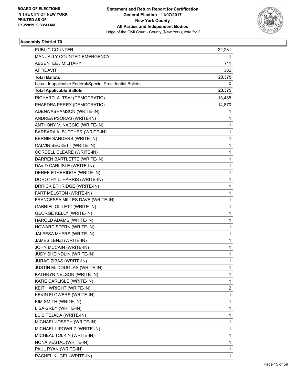

| <b>PUBLIC COUNTER</b>                                    | 22,281       |
|----------------------------------------------------------|--------------|
| MANUALLY COUNTED EMERGENCY                               | 1            |
| <b>ABSENTEE / MILITARY</b>                               | 711          |
| <b>AFFIDAVIT</b>                                         | 382          |
| <b>Total Ballots</b>                                     | 23,375       |
| Less - Inapplicable Federal/Special Presidential Ballots | 0            |
| <b>Total Applicable Ballots</b>                          | 23,375       |
| RICHARD A. TSAI (DEMOCRATIC)                             | 13,485       |
| PHAEDRA PERRY (DEMOCRATIC)                               | 14,870       |
| ADENA ABRAMSON (WRITE-IN)                                | 1            |
| ANDREA PSORAS (WRITE-IN)                                 | 1            |
| ANTHONY V. NACCIO (WRITE-IN)                             | 1            |
| BARBARA A. BUTCHER (WRITE-IN)                            | 1            |
| BERNIE SANDERS (WRITE-IN)                                | $\mathbf{1}$ |
| CALVIN BECKETT (WRITE-IN)                                | 1            |
| CORDELL CLEARE (WRITE-IN)                                | 1            |
| DARREN BARTLETTE (WRITE-IN)                              | 1            |
| DAVID CARLISLE (WRITE-IN)                                | 1            |
| DEREK ETHERIDGE (WRITE-IN)                               | 1            |
| DOROTHY L. HARRIS (WRITE-IN)                             | $\mathbf{1}$ |
| DRRICK ETHRIDGE (WRITE-IN)                               | 1            |
| FART MELSTON (WRITE-IN)                                  | 1            |
| FRANCESSA MILLES DAVE (WRITE-IN)                         | 1            |
| <b>GABRIEL GILLETT (WRITE-IN)</b>                        | 1            |
| <b>GEORGE KELLY (WRITE-IN)</b>                           | 1            |
| HAROLD ADAMS (WRITE-IN)                                  | $\mathbf{1}$ |
| HOWARD STERN (WRITE-IN)                                  | 1            |
| JALEESA MYERS (WRITE-IN)                                 | 1            |
| JAMES LENZI (WRITE-IN)                                   | 1            |
| JOHN MCCAIN (WRITE-IN)                                   | 1            |
| JUDY SHEINDLIN (WRITE-IN)                                | 1            |
| JURAC ZIBAS (WRITE-IN)                                   | 1            |
| JUSTIN M. DOUGLAS (WRITE-IN)                             | 1            |
| KATHRYN NELSON (WRITE-IN)                                | 1            |
| KATIE CARLISLE (WRITE-IN)                                | 1            |
| KEITH WRIGHT (WRITE-IN)                                  | 2            |
| KEVIN FLOWERS (WRITE-IN)                                 | 1            |
| KIM SMITH (WRITE-IN)                                     | 1            |
| LISA GREY (WRITE-IN)                                     | 1            |
| LUIS TEJADA (WRITE-IN)                                   | 1            |
| MICHAEL JOSEPH (WRITE-IN)                                | 1            |
| MICHAEL LIPOWRIZ (WRITE-IN)                              | 1            |
| MICHEAL TOLKIN (WRITE-IN)                                | 1            |
| NONA VESTAL (WRITE-IN)                                   | 1            |
| PAUL RYAN (WRITE-IN)                                     | 1            |
| RACHEL KUGEL (WRITE-IN)                                  | 1            |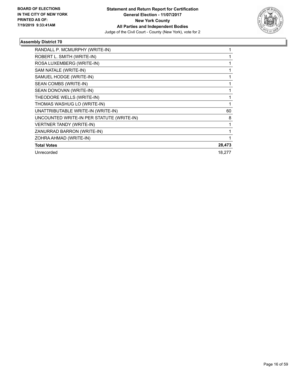

| RANDALL P. MCMURPHY (WRITE-IN)            |        |
|-------------------------------------------|--------|
| ROBERT L. SMITH (WRITE-IN)                |        |
| ROSA LUXEMBERG (WRITE-IN)                 |        |
| SAM NATALE (WRITE-IN)                     |        |
| SAMUEL HODGE (WRITE-IN)                   |        |
| SEAN COMBS (WRITE-IN)                     |        |
| SEAN DONOVAN (WRITE-IN)                   |        |
| THEODORE WELLS (WRITE-IN)                 |        |
| THOMAS WASHUG LO (WRITE-IN)               |        |
| UNATTRIBUTABLE WRITE-IN (WRITE-IN)        | 60     |
| UNCOUNTED WRITE-IN PER STATUTE (WRITE-IN) | 8      |
| <b>VERTNER TANDY (WRITE-IN)</b>           |        |
| ZANURRAD BARRON (WRITE-IN)                |        |
| ZOHRA AHMAD (WRITE-IN)                    |        |
| <b>Total Votes</b>                        | 28,473 |
| Unrecorded                                | 18,277 |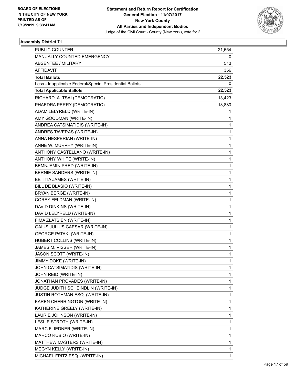

| <b>PUBLIC COUNTER</b>                                    | 21,654 |
|----------------------------------------------------------|--------|
| MANUALLY COUNTED EMERGENCY                               | 0      |
| <b>ABSENTEE / MILITARY</b>                               | 513    |
| <b>AFFIDAVIT</b>                                         | 356    |
| <b>Total Ballots</b>                                     | 22,523 |
| Less - Inapplicable Federal/Special Presidential Ballots | 0      |
| <b>Total Applicable Ballots</b>                          | 22,523 |
| RICHARD A. TSAI (DEMOCRATIC)                             | 13,423 |
| PHAEDRA PERRY (DEMOCRATIC)                               | 13,880 |
| ADAM LELYRELD (WRITE-IN)                                 | 1      |
| AMY GOODMAN (WRITE-IN)                                   | 1      |
| ANDREA CATSIMATIDIS (WRITE-IN)                           | 1      |
| ANDRES TAVERAS (WRITE-IN)                                | 1      |
| ANNA HESPERIAN (WRITE-IN)                                | 1      |
| ANNE W. MURPHY (WRITE-IN)                                | 1      |
| ANTHONY CASTELLANO (WRITE-IN)                            | 1      |
| ANTHONY WHITE (WRITE-IN)                                 | 1      |
| BEMNJAMIN PRED (WRITE-IN)                                | 1      |
| <b>BERNIE SANDERS (WRITE-IN)</b>                         | 1      |
| BETITIA JAMES (WRITE-IN)                                 | 1      |
| BILL DE BLASIO (WRITE-IN)                                | 1      |
| BRYAN BERGE (WRITE-IN)                                   | 1      |
| COREY FELDMAN (WRITE-IN)                                 | 1      |
| DAVID DINKINS (WRITE-IN)                                 | 1      |
| DAVID LELYRELD (WRITE-IN)                                | 1      |
| FIMA ZLATSIEN (WRITE-IN)                                 | 1      |
| GAIUS JULIUS CAESAR (WRITE-IN)                           | 1      |
| <b>GEORGE PATAKI (WRITE-IN)</b>                          | 1      |
| HUBERT COLLINS (WRITE-IN)                                | 1      |
| JAMES M. VISSER (WRITE-IN)                               | 1      |
| JASON SCOTT (WRITE-IN)                                   | 1      |
| JIMMY DOKE (WRITE-IN)                                    | 1      |
| JOHN CATSIMATIDIS (WRITE-IN)                             | 1      |
| JOHN REID (WRITE-IN)                                     | 1      |
| JONATHAN PROVADES (WRITE-IN)                             | 1      |
| JUDGE JUDITH SCHEINDLIN (WRITE-IN)                       | 1      |
| JUSTIN ROTHMAN ESQ. (WRITE-IN)                           | 1      |
| KAREN CHERRINGTON (WRITE-IN)                             | 1      |
| KATHERINE GREELY (WRITE-IN)                              | 1      |
| LAURIE JOHNSON (WRITE-IN)                                | 1      |
| LESLIE STROTH (WRITE-IN)                                 | 1      |
| MARC FLIEDNER (WRITE-IN)                                 | 1      |
| MARCO RUBIO (WRITE-IN)                                   | 1      |
| MATTHEW MASTERS (WRITE-IN)                               | 1      |
| MEGYN KELLY (WRITE-IN)                                   | 1      |
| MICHAEL FRITZ ESQ. (WRITE-IN)                            | 1      |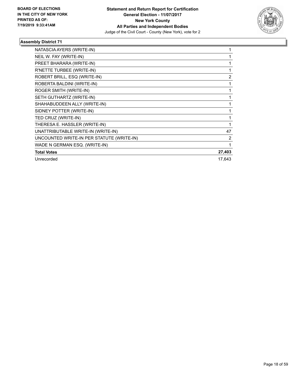

| NATASCIA AYERS (WRITE-IN)                 |                |
|-------------------------------------------|----------------|
| NEIL W. FAY (WRITE-IN)                    |                |
| PREET BHARARA (WRITE-IN)                  |                |
| R'NETTE TURBEE (WRITE-IN)                 |                |
| ROBERT BRILL, ESQ (WRITE-IN)              | $\overline{2}$ |
| ROBERTA BALDINI (WRITE-IN)                |                |
| ROGER SMITH (WRITE-IN)                    |                |
| SETH GUTHARTZ (WRITE-IN)                  |                |
| SHAHABUDDEEN ALLY (WRITE-IN)              | 1              |
| SIDNEY POTTER (WRITE-IN)                  |                |
| TED CRUZ (WRITE-IN)                       |                |
| THERESA E. HASSLER (WRITE-IN)             |                |
| UNATTRIBUTABLE WRITE-IN (WRITE-IN)        | 47             |
| UNCOUNTED WRITE-IN PER STATUTE (WRITE-IN) | 2              |
| WADE N GERMAN ESQ. (WRITE-IN)             | 1              |
| <b>Total Votes</b>                        | 27,403         |
| Unrecorded                                | 17,643         |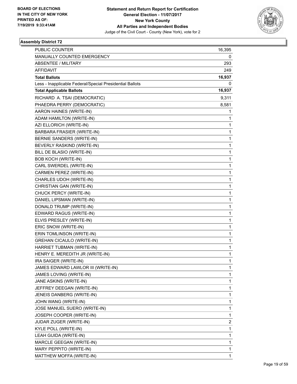

| PUBLIC COUNTER                                           | 16,395 |
|----------------------------------------------------------|--------|
| MANUALLY COUNTED EMERGENCY                               | 0      |
| <b>ABSENTEE / MILITARY</b>                               | 293    |
| <b>AFFIDAVIT</b>                                         | 249    |
| <b>Total Ballots</b>                                     | 16,937 |
| Less - Inapplicable Federal/Special Presidential Ballots | 0      |
| <b>Total Applicable Ballots</b>                          | 16,937 |
| RICHARD A. TSAI (DEMOCRATIC)                             | 9,311  |
| PHAEDRA PERRY (DEMOCRATIC)                               | 8,581  |
| AARON HAINES (WRITE-IN)                                  | 1      |
| ADAM HAMILTON (WRITE-IN)                                 | 1      |
| AZI ELLORICH (WRITE-IN)                                  | 1      |
| BARBARA FRASIER (WRITE-IN)                               | 1      |
| BERNIE SANDERS (WRITE-IN)                                | 1      |
| BEVERLY RASKIND (WRITE-IN)                               | 1      |
| BILL DE BLASIO (WRITE-IN)                                | 1      |
| <b>BOB KOCH (WRITE-IN)</b>                               | 1      |
| CARL SWERDEL (WRITE-IN)                                  | 1      |
| CARMEN PEREZ (WRITE-IN)                                  | 1      |
| CHARLES UDOH (WRITE-IN)                                  | 1      |
| CHRISTIAN GAN (WRITE-IN)                                 | 1      |
| CHUCK PERCY (WRITE-IN)                                   | 1      |
| DANIEL LIPSMAN (WRITE-IN)                                | 1      |
| DONALD TRUMP (WRITE-IN)                                  | 1      |
| EDWARD RAGUS (WRITE-IN)                                  | 1      |
| ELVIS PRESLEY (WRITE-IN)                                 | 1      |
| ERIC SNOW (WRITE-IN)                                     | 1      |
| ERIN TOMLINSON (WRITE-IN)                                | 1      |
| <b>GREHAN CICAULO (WRITE-IN)</b>                         | 1      |
| HARRIET TUBMAN (WRITE-IN)                                | 1      |
| HENRY E. MEREDITH JR (WRITE-IN)                          | 1      |
| IRA SAIGER (WRITE-IN)                                    | 1      |
| JAMES EDWARD LAWLOR III (WRITE-IN)                       | 1      |
| JAMES LOVING (WRITE-IN)                                  | 1      |
| JANE ASKINS (WRITE-IN)                                   | 1      |
| JEFFREY DEEGAN (WRITE-IN)                                | 1      |
| JENEIS DANBERG (WRITE-IN)                                | 1      |
| JOHN WANG (WRITE-IN)                                     | 1      |
| JOSE MANUEL SUERO (WRITE-IN)                             | 1      |
| JOSEPH COOPER (WRITE-IN)                                 | 1      |
| JUDAR ZUGER (WRITE-IN)                                   | 2      |
| KYLE POLL (WRITE-IN)                                     | 1      |
| LEAH GUIDA (WRITE-IN)                                    | 1      |
| MARCLE GEEGAN (WRITE-IN)                                 | 1      |
| MARY PEPPITO (WRITE-IN)                                  | 1      |
| MATTHEW MOFFA (WRITE-IN)                                 | 1      |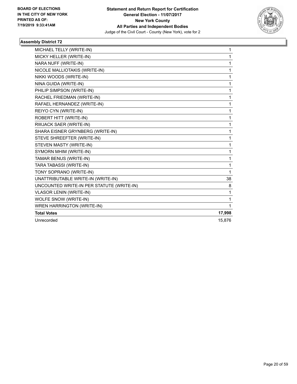

| MICHAEL TELLY (WRITE-IN)                  | $\mathbf{1}$ |
|-------------------------------------------|--------------|
| MICKY HELLER (WRITE-IN)                   | 1            |
| NARA NUFF (WRITE-IN)                      | 1            |
| NICOLE MALLIOTAKIS (WRITE-IN)             | 1            |
| NIKKI WOODS (WRITE-IN)                    | 1            |
| NINA GUIDA (WRITE-IN)                     | $\mathbf{1}$ |
| PHILIP SIMPSON (WRITE-IN)                 | 1            |
| RACHEL FRIEDMAN (WRITE-IN)                | $\mathbf{1}$ |
| RAFAEL HERNANDEZ (WRITE-IN)               | 1            |
| REIYO CYN (WRITE-IN)                      | 1            |
| ROBERT HITT (WRITE-IN)                    | 1            |
| RWJACK SAER (WRITE-IN)                    | 1            |
| SHARA EISNER GRYNBERG (WRITE-IN)          | $\mathbf{1}$ |
| STEVE SHREEFTER (WRITE-IN)                | 1            |
| STEVEN MASTY (WRITE-IN)                   | 1            |
| SYMORN MHIM (WRITE-IN)                    | 1            |
| TAMAR BENUS (WRITE-IN)                    | 1            |
| TARA TABASSI (WRITE-IN)                   | $\mathbf 1$  |
| TONY SOPRANO (WRITE-IN)                   | 1            |
| UNATTRIBUTABLE WRITE-IN (WRITE-IN)        | 38           |
| UNCOUNTED WRITE-IN PER STATUTE (WRITE-IN) | 8            |
| <b>VLASOR LENIN (WRITE-IN)</b>            | 1            |
| WOLFE SNOW (WRITE-IN)                     | 1            |
| WREN HARRINGTON (WRITE-IN)                | 1            |
| <b>Total Votes</b>                        | 17,998       |
| Unrecorded                                | 15,876       |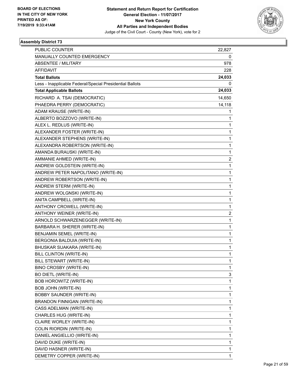

| PUBLIC COUNTER                                           | 22,827                  |
|----------------------------------------------------------|-------------------------|
| MANUALLY COUNTED EMERGENCY                               | 0                       |
| <b>ABSENTEE / MILITARY</b>                               | 978                     |
| <b>AFFIDAVIT</b>                                         | 228                     |
| <b>Total Ballots</b>                                     | 24,033                  |
| Less - Inapplicable Federal/Special Presidential Ballots | 0                       |
| <b>Total Applicable Ballots</b>                          | 24,033                  |
| RICHARD A. TSAI (DEMOCRATIC)                             | 14,650                  |
| PHAEDRA PERRY (DEMOCRATIC)                               | 14,118                  |
| ADAM KRAUSE (WRITE-IN)                                   | 1                       |
| ALBERTO BOZZOVO (WRITE-IN)                               | 1                       |
| ALEX L. REDLUS (WRITE-IN)                                | 1                       |
| ALEXANDER FOSTER (WRITE-IN)                              | 1                       |
| ALEXANDER STEPHENS (WRITE-IN)                            | 1                       |
| ALEXANDRA ROBERTSON (WRITE-IN)                           | 1                       |
| AMANDA BURAUSKI (WRITE-IN)                               | 1                       |
| AMMANIE AHMED (WRITE-IN)                                 | 2                       |
| ANDREW GOLDSTEIN (WRITE-IN)                              | 1                       |
| ANDREW PETER NAPOLITANO (WRITE-IN)                       | 1                       |
| ANDREW ROBERTSON (WRITE-IN)                              | $\mathbf{1}$            |
| ANDREW STERM (WRITE-IN)                                  | 1                       |
| ANDREW WOLGNSKI (WRITE-IN)                               | 1                       |
| ANITA CAMPBELL (WRITE-IN)                                | 1                       |
| ANTHONY CROWELL (WRITE-IN)                               | 1                       |
| ANTHONY WEINER (WRITE-IN)                                | $\overline{\mathbf{c}}$ |
| ARNOLD SCHWARZENEGGER (WRITE-IN)                         | $\mathbf{1}$            |
| BARBARA H. SHERER (WRITE-IN)                             | 1                       |
| BENJAMIN SEMEL (WRITE-IN)                                | 1                       |
| BERGONIA BALDUIA (WRITE-IN)                              | 1                       |
| BHUSKAR SUAKARA (WRITE-IN)                               | 1                       |
| BILL CLINTON (WRITE-IN)                                  | 1                       |
| BILL STEWART (WRITE-IN)                                  | 1                       |
| BINO CROSBY (WRITE-IN)                                   | 1                       |
| <b>BO DIETL (WRITE-IN)</b>                               | 3                       |
| BOB HOROWITZ (WRITE-IN)                                  | 1                       |
| <b>BOB JOHN (WRITE-IN)</b>                               | 1                       |
| BOBBY SAUNDER (WRITE-IN)                                 | 1                       |
| <b>BRANDON FINNIGAN (WRITE-IN)</b>                       | 1                       |
| CASS ADELMAN (WRITE-IN)                                  | 1                       |
| CHARLES HUG (WRITE-IN)                                   | 1                       |
| CLAIRE WORLEY (WRITE-IN)                                 | 1                       |
| COLIN RIORDIN (WRITE-IN)                                 | 1                       |
| DANIEL ANGIELLIO (WRITE-IN)                              | 1                       |
| DAVID DUKE (WRITE-IN)                                    | 1                       |
| DAVID HASNER (WRITE-IN)                                  | 1                       |
| DEMETRY COPPER (WRITE-IN)                                | 1                       |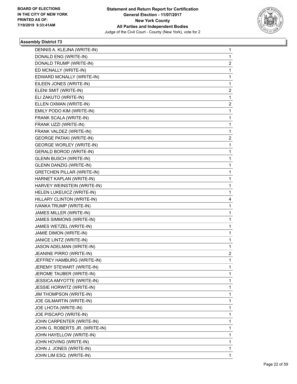

| DENNIS A. KLEJNA (WRITE-IN)       | $\mathbf{1}$   |
|-----------------------------------|----------------|
| DONALD ENG (WRITE-IN)             | $\mathbf{1}$   |
| DONALD TRUMP (WRITE-IN)           | $\overline{c}$ |
| ED MCNALLY (WRITE-IN)             | 1              |
| EDWARD MCNALLY (WRITE-IN)         | $\mathbf{1}$   |
| EILEEN JONES (WRITE-IN)           | $\mathbf{1}$   |
| ELENI SMIT (WRITE-IN)             | 2              |
| ELI ZAKUTO (WRITE-IN)             | $\mathbf{1}$   |
| ELLEN OXMAN (WRITE-IN)            | $\overline{2}$ |
| EMILY PODO KIM (WRITE-IN)         | 1              |
| FRANK SCALA (WRITE-IN)            | $\mathbf{1}$   |
| FRANK UZZI (WRITE-IN)             | $\mathbf{1}$   |
| FRANK VALDEZ (WRITE-IN)           | 1              |
| <b>GEORGE PATAKI (WRITE-IN)</b>   | $\overline{c}$ |
| <b>GEORGE WORLEY (WRITE-IN)</b>   | 1              |
| <b>GERALD BOROD (WRITE-IN)</b>    | 1              |
| <b>GLENN BUSCH (WRITE-IN)</b>     | $\mathbf{1}$   |
| <b>GLENN DANZIG (WRITE-IN)</b>    | $\mathbf{1}$   |
| <b>GRETCHEN PILLAR (WRITE-IN)</b> | 1              |
| HARNET KAPLAN (WRITE-IN)          | $\mathbf{1}$   |
| HARVEY WEINSTEIN (WRITE-IN)       | 1              |
| HELEN LUKEUICZ (WRITE-IN)         | 1              |
| HILLARY CLINTON (WRITE-IN)        | 4              |
| IVANKA TRUMP (WRITE-IN)           | $\mathbf{1}$   |
| JAMES MILLER (WRITE-IN)           | 1              |
| JAMES SIMMONS (WRITE-IN)          | $\mathbf{1}$   |
| JAMES WETZEL (WRITE-IN)           | 1              |
| JAMIE DIMON (WRITE-IN)            | 1              |
| JANICE LINTZ (WRITE-IN)           | $\mathbf{1}$   |
| JASON ADELMAN (WRITE-IN)          | $\mathbf{1}$   |
| JEANINE PIRRO (WRITE-IN)          | $\overline{a}$ |
| JEFFREY HAMBURG (WRITE-IN)        | $\mathbf{1}$   |
| JEREMY STEWART (WRITE-IN)         | 1              |
| JEROME TAUBER (WRITE-IN)          | 1              |
| JESSICA AMYOTTE (WRITE-IN)        | $\mathbf 1$    |
| <b>JESSIE HORWITZ (WRITE-IN)</b>  | 1              |
| <b>JIM THOMPSON (WRITE-IN)</b>    | 1              |
| JOE GILMARTIN (WRITE-IN)          | $\mathbf{1}$   |
| <b>JOE LHOTA (WRITE-IN)</b>       | 1              |
| JOE PISCAPO (WRITE-IN)            | 1              |
| JOHN CARPENTER (WRITE-IN)         | $\mathbf{1}$   |
| JOHN G. ROBERTS JR. (WRITE-IN)    | 1              |
| JOHN HAYELLOW (WRITE-IN)          | 1              |
| JOHN HOVING (WRITE-IN)            | $\mathbf 1$    |
| JOHN J. JONES (WRITE-IN)          | $\mathbf{1}$   |
| JOHN LIM ESQ. (WRITE-IN)          | 1              |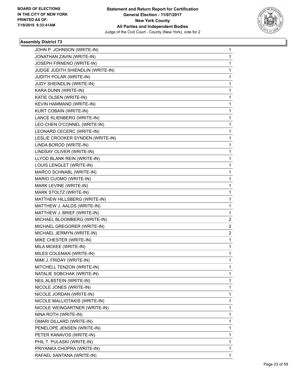

| JOHN P. JOHNSON (WRITE-IN)        | 1 |
|-----------------------------------|---|
| JONATHAN ZAVIN (WRITE-IN)         | 1 |
| JOSEPH FIRNENO (WRITE-IN)         | 1 |
| JUDGE JUDITH SHIENDLIN (WRITE-IN) | 1 |
| JUDITH POLAR (WRITE-IN)           | 1 |
| JUDY SHEINDLIN (WRITE-IN)         | 1 |
| KARA DUNN (WRITE-IN)              | 1 |
| KATIE OLSEN (WRITE-IN)            | 1 |
| KEVIN HAMMAND (WRITE-IN)          | 1 |
| KURT COBAIN (WRITE-IN)            | 1 |
| LANCE KLIENBERG (WRITE-IN)        | 1 |
| LEO CHEN O'CONNEL (WRITE-IN)      | 1 |
| LEONARD CECERC (WRITE-IN)         | 1 |
| LESLIE CROOKER SYNDEN (WRITE-IN)  | 1 |
| LINDA BOROD (WRITE-IN)            | 1 |
| LINDSAY OLIVER (WRITE-IN)         | 1 |
| LLYOD BLANK REIN (WRITE-IN)       | 1 |
| LOUIS LENGLET (WRITE-IN)          | 1 |
| MARCO SCHNABL (WRITE-IN)          | 1 |
| MARIO CUOMO (WRITE-IN)            | 1 |
| MARK LEVINE (WRITE-IN)            | 1 |
| MARK STOLTZ (WRITE-IN)            | 1 |
| MATTHEW HILLSBERG (WRITE-IN)      | 1 |
| MATTHEW J. AALDS (WRITE-IN)       | 1 |
| MATTHEW J. BRIEF (WRITE-IN)       | 1 |
| MICHAEL BLOOMBERG (WRITE-IN)      | 2 |
| MICHAEL GREGORER (WRITE-IN)       | 2 |
| MICHAEL JERMYN (WRITE-IN)         | 2 |
| MIKE CHESTER (WRITE-IN)           | 1 |
| MILA MCKEE (WRITE-IN)             | 1 |
| MILES COLEMAN (WRITE-IN)          | 1 |
| MIMI J. FRIDAY (WRITE-IN)         | 1 |
| MITCHELL TENZON (WRITE-IN)        | 1 |
| NATALIE SOBCHAK (WRITE-IN)        | 1 |
| NEIL ALBSTEIN (WRITE-IN)          | 1 |
| NICOLE JONES (WRITE-IN)           | 1 |
| NICOLE JORDAN (WRITE-IN)          | 1 |
| NICOLE MALLIOTAKIS (WRITE-IN)     | 1 |
| NICOLE WEINGARTNER (WRITE-IN)     | 1 |
| NINA ROTH (WRITE-IN)              | 1 |
| OMARI DILLARD (WRITE-IN)          | 1 |
| PENELOPE JENSEN (WRITE-IN)        | 1 |
| PETER KANAVOS (WRITE-IN)          | 1 |
| PHIL T. PULASKI (WRITE-IN)        | 1 |
| PRIYANKA CHOPRA (WRITE-IN)        | 1 |
| RAFAEL SANTANA (WRITE-IN)         | 1 |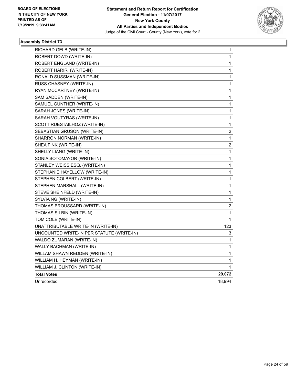

| RICHARD GELB (WRITE-IN)                   | 1                       |
|-------------------------------------------|-------------------------|
| ROBERT DOWD (WRITE-IN)                    | 1                       |
| ROBERT ENGLAND (WRITE-IN)                 | 1                       |
| ROBERT HARIRI (WRITE-IN)                  | 1                       |
| RONALD SUSSMAN (WRITE-IN)                 | 1                       |
| RUSS CHASNEY (WRITE-IN)                   | 1                       |
| RYAN MCCARTNEY (WRITE-IN)                 | 1                       |
| SAM SADDEN (WRITE-IN)                     | 1                       |
| SAMUEL GUNTHER (WRITE-IN)                 | $\mathbf{1}$            |
| SARAH JONES (WRITE-IN)                    | 1                       |
| SARAH VOUTYRAS (WRITE-IN)                 | 1                       |
| SCOTT RUESTAILHOZ (WRITE-IN)              | 1                       |
| SEBASTIAN GRUSON (WRITE-IN)               | $\overline{\mathbf{c}}$ |
| SHARRON NORMAN (WRITE-IN)                 | 1                       |
| SHEA FINK (WRITE-IN)                      | $\overline{\mathbf{c}}$ |
| SHELLY LIANG (WRITE-IN)                   | 1                       |
| SONIA SOTOMAYOR (WRITE-IN)                | 1                       |
| STANLEY WEISS ESQ. (WRITE-IN)             | 1                       |
| STEPHANIE HAYELLOW (WRITE-IN)             | 1                       |
| STEPHEN COLBERT (WRITE-IN)                | 1                       |
| STEPHEN MARSHALL (WRITE-IN)               | 1                       |
| STEVE SHEINFELD (WRITE-IN)                | 1                       |
| SYLVIA NG (WRITE-IN)                      | $\mathbf{1}$            |
| THOMAS BROUSSARD (WRITE-IN)               | 2                       |
| THOMAS SILBIN (WRITE-IN)                  | 1                       |
| TOM COLE (WRITE-IN)                       | 1                       |
| UNATTRIBUTABLE WRITE-IN (WRITE-IN)        | 123                     |
| UNCOUNTED WRITE-IN PER STATUTE (WRITE-IN) | 3                       |
| WALDO ZUMARAN (WRITE-IN)                  | 1                       |
| WALLY BACHMAN (WRITE-IN)                  | 1                       |
| WILLAM SHAWN REDDEN (WRITE-IN)            | $\mathbf{1}$            |
| WILLIAM H. HEYMAN (WRITE-IN)              | 1                       |
| WILLIAM J. CLINTON (WRITE-IN)             | 1                       |
| <b>Total Votes</b>                        | 29,072                  |
| Unrecorded                                | 18,994                  |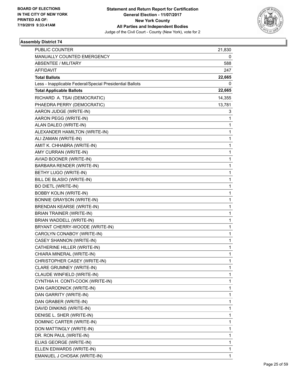

| <b>PUBLIC COUNTER</b>                                    | 21,830       |
|----------------------------------------------------------|--------------|
| MANUALLY COUNTED EMERGENCY                               | 0            |
| <b>ABSENTEE / MILITARY</b>                               | 588          |
| AFFIDAVIT                                                | 247          |
| <b>Total Ballots</b>                                     | 22,665       |
| Less - Inapplicable Federal/Special Presidential Ballots | 0            |
| <b>Total Applicable Ballots</b>                          | 22,665       |
| RICHARD A. TSAI (DEMOCRATIC)                             | 14,355       |
| PHAEDRA PERRY (DEMOCRATIC)                               | 13,781       |
| AARON JUDGE (WRITE-IN)                                   | 3            |
| AARON PEGG (WRITE-IN)                                    | 1            |
| ALAN DALEO (WRITE-IN)                                    | 1            |
| ALEXANDER HAMILTON (WRITE-IN)                            | 1            |
| ALI ZAMAN (WRITE-IN)                                     | $\mathbf{1}$ |
| AMIT K. CHHABRA (WRITE-IN)                               | 1            |
| AMY CURRAN (WRITE-IN)                                    | 1            |
| AVIAD BOONER (WRITE-IN)                                  | 1            |
| BARBARA RENDER (WRITE-IN)                                | 1            |
| BETHY LUGO (WRITE-IN)                                    | 1            |
| BILL DE BLASIO (WRITE-IN)                                | $\mathbf{1}$ |
| <b>BO DIETL (WRITE-IN)</b>                               | 1            |
| <b>BOBBY KOLIN (WRITE-IN)</b>                            | 1            |
| <b>BONNIE GRAYSON (WRITE-IN)</b>                         | 1            |
| <b>BRENDAN KEARSE (WRITE-IN)</b>                         | 1            |
| <b>BRIAN TRAINER (WRITE-IN)</b>                          | 1            |
| BRIAN WADDELL (WRITE-IN)                                 | $\mathbf{1}$ |
| BRYANT CHERRY-WOODE (WRITE-IN)                           | 1            |
| CAROLYN CONABOY (WRITE-IN)                               | 1            |
| <b>CASEY SHANNON (WRITE-IN)</b>                          | 1            |
| CATHERINE HILLER (WRITE-IN)                              | 1            |
| CHIARA MINERAL (WRITE-IN)                                | 1            |
| CHRISTOPHER CASEY (WRITE-IN)                             | 1            |
| CLARE GRUMNEY (WRITE-IN)                                 | 1            |
| CLAUDE WINFIELD (WRITE-IN)                               | 1            |
| CYNTHIA H. CONTI-COOK (WRITE-IN)                         | 1            |
| DAN GARODNICK (WRITE-IN)                                 | 1            |
| DAN GARRITY (WRITE-IN)                                   | 1            |
| DAN GRABER (WRITE-IN)                                    | 1            |
| DAVID DINKINS (WRITE-IN)                                 | 1            |
| DENISE L. SHER (WRITE-IN)                                | 1            |
| DOMINIC CARTER (WRITE-IN)                                | 1            |
| DON MATTINGLY (WRITE-IN)                                 | 1            |
| DR. RON PAUL (WRITE-IN)                                  | 1            |
| ELIAS GEORGE (WRITE-IN)                                  | 1            |
| ELLEN EDWARDS (WRITE-IN)                                 | 1            |
| EMANUEL J CHOSAK (WRITE-IN)                              | 1            |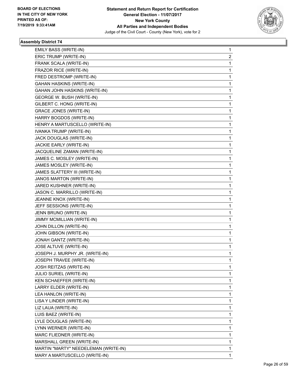

| EMILY BASS (WRITE-IN)                | 1 |
|--------------------------------------|---|
| ERIC TRUMP (WRITE-IN)                | 2 |
| FRANK SCALA (WRITE-IN)               | 1 |
| FRAZOR RICE (WRITE-IN)               | 1 |
| FRED DESTROMP (WRITE-IN)             | 1 |
| <b>GAHAN HASKINS (WRITE-IN)</b>      | 1 |
| <b>GAHAN JOHN HASKINS (WRITE-IN)</b> | 1 |
| <b>GEORGE W. BUSH (WRITE-IN)</b>     | 1 |
| GILBERT C. HONG (WRITE-IN)           | 1 |
| <b>GRACE JONES (WRITE-IN)</b>        | 1 |
| HARRY BOGDOS (WRITE-IN)              | 1 |
| HENRY A MARTUSCELLO (WRITE-IN)       | 1 |
| IVANKA TRUMP (WRITE-IN)              | 1 |
| JACK DOUGLAS (WRITE-IN)              | 1 |
| <b>JACKIE EARLY (WRITE-IN)</b>       | 1 |
| JACQUELINE ZAMAN (WRITE-IN)          | 1 |
| JAMES C. MOSLEY (WRITE-IN)           | 1 |
| JAMES MOSLEY (WRITE-IN)              | 1 |
| JAMES SLATTERY III (WRITE-IN)        | 1 |
| JANOS MARTON (WRITE-IN)              | 1 |
| JARED KUSHNER (WRITE-IN)             | 1 |
| JASON C. MARRILLO (WRITE-IN)         | 1 |
| JEANNE KNOX (WRITE-IN)               | 1 |
| JEFF SESSIONS (WRITE-IN)             | 1 |
| JENN BRUNO (WRITE-IN)                | 1 |
| JIMMY MCMILLIAN (WRITE-IN)           | 1 |
| JOHN DILLON (WRITE-IN)               | 1 |
| JOHN GIBSON (WRITE-IN)               | 1 |
| JONAH GANTZ (WRITE-IN)               | 1 |
| JOSE ALTUVE (WRITE-IN)               | 1 |
| JOSEPH J. MURPHY JR. (WRITE-IN)      | 1 |
| JOSEPH TRAVEE (WRITE-IN)             | 1 |
| JOSH REITZAS (WRITE-IN)              | 1 |
| JULIO SURIEL (WRITE-IN)              | 1 |
| KEN SCHAEFFER (WRITE-IN)             | 1 |
| LARRY ELDER (WRITE-IN)               | 1 |
| LEA HANLON (WRITE-IN)                | 1 |
| LISA Y LINDER (WRITE-IN)             | 1 |
| LIZ LAUA (WRITE-IN)                  | 1 |
| LUIS BAEZ (WRITE-IN)                 | 1 |
| LYLE DOUGLAS (WRITE-IN)              | 1 |
| LYNN WERNER (WRITE-IN)               | 1 |
| MARC FLIEDNER (WRITE-IN)             | 1 |
| MARSHALL GREEN (WRITE-IN)            | 1 |
| MARTIN "MARTY" NEEDELEMAN (WRITE-IN) | 1 |
| MARY A MARTUSCELLO (WRITE-IN)        | 1 |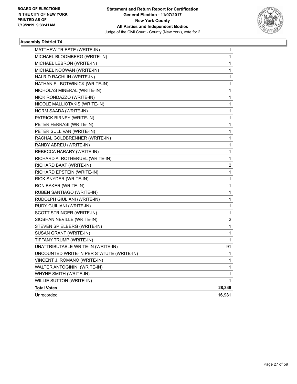

| MATTHEW TRIESTE (WRITE-IN)                | 1      |
|-------------------------------------------|--------|
| MICHAEL BLOOMBERG (WRITE-IN)              | 1      |
| MICHAEL LEBRON (WRITE-IN)                 | 1      |
| MICHAEL NOOWAN (WRITE-IN)                 | 1      |
| NALRID RACHLIN (WRITE-IN)                 | 1      |
| NATHANIEL BOTWINICK (WRITE-IN)            | 1      |
| NICHOLAS MINERAL (WRITE-IN)               | 1      |
| NICK RONDAZZO (WRITE-IN)                  | 1      |
| NICOLE MALLIOTAKIS (WRITE-IN)             | 1      |
| NORM SAADA (WRITE-IN)                     | 1      |
| PATRICK BIRNEY (WRITE-IN)                 | 1      |
| PETER FERRASI (WRITE-IN)                  | 1      |
| PETER SULLIVAN (WRITE-IN)                 | 1      |
| RACHAL GOLDBRENNER (WRITE-IN)             | 1      |
| RANDY ABREU (WRITE-IN)                    | 1      |
| REBECCA HARARY (WRITE-IN)                 | 1      |
| RICHARD A. ROTHERUEL (WRITE-IN)           | 1      |
| RICHARD BAXT (WRITE-IN)                   | 2      |
| RICHARD EPSTEIN (WRITE-IN)                | 1      |
| RICK SNYDER (WRITE-IN)                    | 1      |
| RON BAKER (WRITE-IN)                      | 1      |
| RUBEN SANTIAGO (WRITE-IN)                 | 1      |
| RUDOLPH GIULIANI (WRITE-IN)               | 1      |
| RUDY GUILIANI (WRITE-IN)                  | 1      |
| SCOTT STRINGER (WRITE-IN)                 | 1      |
| SIOBHAN NEVILLE (WRITE-IN)                | 2      |
| STEVEN SPIELBERG (WRITE-IN)               | 1      |
| SUSAN GRANT (WRITE-IN)                    | 1      |
| TIFFANY TRUMP (WRITE-IN)                  | 1      |
| UNATTRIBUTABLE WRITE-IN (WRITE-IN)        | 91     |
| UNCOUNTED WRITE-IN PER STATUTE (WRITE-IN) | 1      |
| VINCENT J. ROMANO (WRITE-IN)              | 1      |
| WALTER ANTOGININI (WRITE-IN)              | 1      |
| WHYNE SMITH (WRITE-IN)                    | 1      |
| <b>WILLIE SUTTON (WRITE-IN)</b>           | 1      |
| <b>Total Votes</b>                        | 28,349 |
| Unrecorded                                | 16,981 |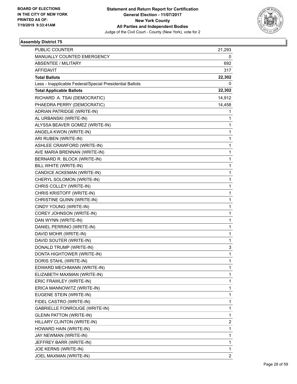

| <b>PUBLIC COUNTER</b>                                    | 21,293                  |
|----------------------------------------------------------|-------------------------|
| MANUALLY COUNTED EMERGENCY                               | 0                       |
| <b>ABSENTEE / MILITARY</b>                               | 692                     |
| AFFIDAVIT                                                | 317                     |
| <b>Total Ballots</b>                                     | 22,302                  |
| Less - Inapplicable Federal/Special Presidential Ballots | 0                       |
| <b>Total Applicable Ballots</b>                          | 22,302                  |
| RICHARD A. TSAI (DEMOCRATIC)                             | 14,912                  |
| PHAEDRA PERRY (DEMOCRATIC)                               | 14,458                  |
| ADRIAN PATRIDGE (WRITE-IN)                               | 1                       |
| AL URBANSKI (WRITE-IN)                                   | 1                       |
| ALYSSA BEAVER GOMEZ (WRITE-IN)                           | 1                       |
| ANGELA KWON (WRITE-IN)                                   | 1                       |
| ARI RUBEN (WRITE-IN)                                     | $\mathbf{1}$            |
| ASHLEE CRAWFORD (WRITE-IN)                               | 1                       |
| AVE MARIA BRENNAN (WRITE-IN)                             | 1                       |
| BERNARD R. BLOCK (WRITE-IN)                              | 1                       |
| BILL WHITE (WRITE-IN)                                    | 1                       |
| CANDICE ACKEMAN (WRITE-IN)                               | 1                       |
| CHERYL SOLOMON (WRITE-IN)                                | $\mathbf{1}$            |
| CHRIS COLLEY (WRITE-IN)                                  | 1                       |
| CHRIS KRISTOFF (WRITE-IN)                                | 1                       |
| CHRISTINE QUINN (WRITE-IN)                               | 1                       |
| CINDY YOUNG (WRITE-IN)                                   | 1                       |
| COREY JOHNSON (WRITE-IN)                                 | 1                       |
| DAN WYNN (WRITE-IN)                                      | $\mathbf{1}$            |
| DANIEL PERRINO (WRITE-IN)                                | 1                       |
| DAVID MOHR (WRITE-IN)                                    | 1                       |
| DAVID SOUTER (WRITE-IN)                                  | 1                       |
| DONALD TRUMP (WRITE-IN)                                  | 3                       |
| DONTA HIGHTOWER (WRITE-IN)                               | 1                       |
| DORIS STAHL (WRITE-IN)                                   | 1                       |
| EDWARD MECHMANN (WRITE-IN)                               | 1                       |
| ELIZABETH MAXMAN (WRITE-IN)                              | 1                       |
| ERIC FRAWLEY (WRITE-IN)                                  | 1                       |
| ERICA MANNOWITZ (WRITE-IN)                               | 1                       |
| EUGENE STEIN (WRITE-IN)                                  | 1                       |
| FIDEL CASTRO (WRITE-IN)                                  | 1                       |
| <b>GABRIELLE FONROUGE (WRITE-IN)</b>                     | 1                       |
| <b>GLENN PATTON (WRITE-IN)</b>                           | 1                       |
| HILLARY CLINTON (WRITE-IN)                               | $\overline{\mathbf{c}}$ |
| HOWARD HAIN (WRITE-IN)                                   | 1                       |
| JAY NEWMAN (WRITE-IN)                                    | 1                       |
| JEFFREY BARR (WRITE-IN)                                  | 1                       |
| JOE KERNS (WRITE-IN)                                     | 1                       |
| JOEL MAXMAN (WRITE-IN)                                   | $\overline{2}$          |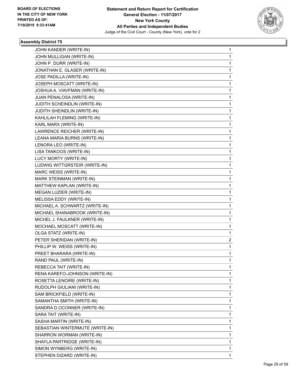

| JOHN KANDER (WRITE-IN)          | 1 |
|---------------------------------|---|
| JOHN MULLIGAN (WRITE-IN)        | 1 |
| JOHN P. DURR (WRITE-IN)         | 1 |
| JONATHAN E. GLASER (WRITE-IN)   | 1 |
| JOSE PADILLA (WRITE-IN)         | 1 |
| JOSEPH MOSCATT (WRITE-IN)       | 1 |
| JOSHUA A. VIAVFMAN (WRITE-IN)   | 1 |
| JUAN PENALOSA (WRITE-IN)        | 1 |
| JUDITH SCHEINDLIN (WRITE-IN)    | 1 |
| JUDITH SHEINDLIN (WRITE-IN)     | 1 |
| KAHLILAH FLEMING (WRITE-IN)     | 1 |
| KARL MARX (WRITE-IN)            | 1 |
| LAWRENCE REICHER (WRITE-IN)     | 1 |
| LEANA MARIA BURNS (WRITE-IN)    | 1 |
| LENORA LEO (WRITE-IN)           | 1 |
| LISA TANKOOS (WRITE-IN)         | 1 |
| LUCY MORTY (WRITE-IN)           | 1 |
| LUDWIG WITTGRSTEIR (WRITE-IN)   | 1 |
| MARC WEISS (WRITE-IN)           | 1 |
| MARK STEINMAN (WRITE-IN)        | 1 |
| MATTHEW KAPLAN (WRITE-IN)       | 1 |
| MEGAN LUZIER (WRITE-IN)         | 1 |
| MELISSA EDDY (WRITE-IN)         | 1 |
| MICHAEL A. SCHWARTZ (WRITE-IN)  | 1 |
| MICHAEL SHANABROOK (WRITE-IN)   | 1 |
| MICHEL J. FAULKNER (WRITE-IN)   | 1 |
| MOCHAEL MOSCATT (WRITE-IN)      | 1 |
| OLGA STATZ (WRITE-IN)           | 1 |
| PETER SHERIDAN (WRITE-IN)       | 2 |
| PHILLIP W. WEISS (WRITE-IN)     | 1 |
| PREET BHARARA (WRITE-IN)        | 1 |
| RAND PAUL (WRITE-IN)            | 1 |
| REBECCA TAIT (WRITE-IN)         | 1 |
| RENA KAREFO-JOHNSON (WRITE-IN)  | 1 |
| ROSETTA LENOIRE (WRITE-IN)      | 1 |
| RUDOLPH GIULIANI (WRITE-IN)     | 1 |
| SAM BRICKFIELD (WRITE-IN)       | 1 |
| SAMANTHA SMITH (WRITE-IN)       | 1 |
| SANDRA D OCONNER (WRITE-IN)     | 1 |
| SARA TAIT (WRITE-IN)            | 1 |
| SASHA MARTIN (WRITE-IN)         | 1 |
| SEBASTIAN WINTERMUTE (WRITE-IN) | 1 |
| SHARRON WORMAN (WRITE-IN)       | 1 |
| SHAYLA PARTRIDGE (WRITE-IN)     | 1 |
| SIMON WYNBERG (WRITE-IN)        | 1 |
| STEPHEN DIZARD (WRITE-IN)       | 1 |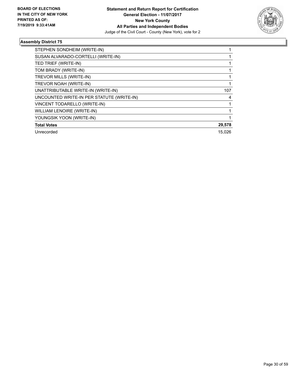

| STEPHEN SONDHEIM (WRITE-IN)               |        |
|-------------------------------------------|--------|
| SUSAN ALVARADO-CORTELLI (WRITE-IN)        |        |
| TED TRIEF (WRITE-IN)                      |        |
| TOM BRADY (WRITE-IN)                      |        |
| TREVOR MILLS (WRITE-IN)                   |        |
| TREVOR NOAH (WRITE-IN)                    |        |
| UNATTRIBUTABLE WRITE-IN (WRITE-IN)        | 107    |
| UNCOUNTED WRITE-IN PER STATUTE (WRITE-IN) | 4      |
| VINCENT TODARELLO (WRITE-IN)              |        |
| <b>WILLIAM LENOIRE (WRITE-IN)</b>         |        |
| YOUNGSIK YOON (WRITE-IN)                  |        |
| <b>Total Votes</b>                        | 29,578 |
| Unrecorded                                | 15.026 |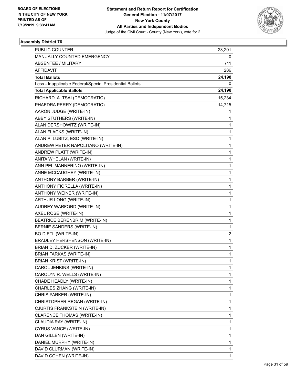

| <b>PUBLIC COUNTER</b>                                    | 23,201 |
|----------------------------------------------------------|--------|
| MANUALLY COUNTED EMERGENCY                               | 0      |
| <b>ABSENTEE / MILITARY</b>                               | 711    |
| <b>AFFIDAVIT</b>                                         | 286    |
| <b>Total Ballots</b>                                     | 24,198 |
| Less - Inapplicable Federal/Special Presidential Ballots | 0      |
| <b>Total Applicable Ballots</b>                          | 24,198 |
| RICHARD A. TSAI (DEMOCRATIC)                             | 15,234 |
| PHAEDRA PERRY (DEMOCRATIC)                               | 14,715 |
| AARON JUDGE (WRITE-IN)                                   | 1      |
| ABBY STUTHERS (WRITE-IN)                                 | 1      |
| ALAN DERSHOWITZ (WRITE-IN)                               | 1      |
| ALAN FLACKS (WRITE-IN)                                   | 1      |
| ALAN P. LUBITZ, ESQ (WRITE-IN)                           | 1      |
| ANDREW PETER NAPOLITANO (WRITE-IN)                       | 1      |
| ANDREW PLATT (WRITE-IN)                                  | 1      |
| ANITA WHELAN (WRITE-IN)                                  | 1      |
| ANN PEL MANNERINO (WRITE-IN)                             | 1      |
| ANNE MCCAUGHEY (WRITE-IN)                                | 1      |
| ANTHONY BARBER (WRITE-IN)                                | 1      |
| ANTHONY FIORELLA (WRITE-IN)                              | 1      |
| ANTHONY WEINER (WRITE-IN)                                | 1      |
| ARTHUR LONG (WRITE-IN)                                   | 1      |
| AUDREY WARFORD (WRITE-IN)                                | 1      |
| AXEL ROSE (WRITE-IN)                                     | 1      |
| BEATRICE BERENBRIM (WRITE-IN)                            | 1      |
| BERNIE SANDERS (WRITE-IN)                                | 1      |
| <b>BO DIETL (WRITE-IN)</b>                               | 2      |
| BRADLEY HERSHENSON (WRITE-IN)                            | 1      |
| BRIAN D. ZUCKER (WRITE-IN)                               | 1      |
| <b>BRIAN FARKAS (WRITE-IN)</b>                           | 1      |
| <b>BRIAN KRIST (WRITE-IN)</b>                            | 1      |
| CAROL JENKINS (WRITE-IN)                                 | 1      |
| CAROLYN R. WELLS (WRITE-IN)                              | 1      |
| CHADE HEADLY (WRITE-IN)                                  | 1      |
| CHARLES ZHANG (WRITE-IN)                                 | 1      |
| CHRIS PARKER (WRITE-IN)                                  | 1      |
| CHRISTOPHER REGAN (WRITE-IN)                             | 1      |
| CJURTIS FRANKSTEIN (WRITE-IN)                            | 1      |
| CLARENCE THOMAS (WRITE-IN)                               | 1      |
| CLAUDIA RAY (WRITE-IN)                                   | 1      |
| CYRUS VANCE (WRITE-IN)                                   | 1      |
| DAN GILLEN (WRITE-IN)                                    | 1      |
| DANIEL MURPHY (WRITE-IN)                                 | 1      |
| DAVID CLURMAN (WRITE-IN)                                 | 1      |
| DAVID COHEN (WRITE-IN)                                   | 1      |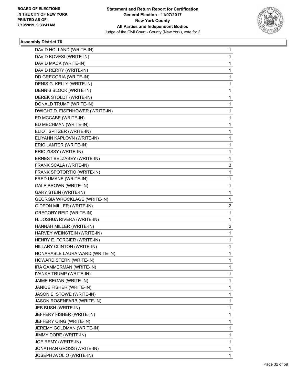

| DAVID HOLLAND (WRITE-IN)<br>DAVID KOVESI (WRITE-IN)<br>DAVID MACK (WRITE-IN)<br>DAVID RERRY (WRITE-IN)<br>DD GREGORIA (WRITE-IN)<br>DENIS G. KELLY (WRITE-IN)<br>DENNIS BLOCK (WRITE-IN)<br>DEREK STOLDT (WRITE-IN)<br>DONALD TRUMP (WRITE-IN)<br>DWIGHT D. EISENHOWER (WRITE-IN)<br>ED MCCABE (WRITE-IN)<br>ED MECHMAN (WRITE-IN)<br>ELIOT SPITZER (WRITE-IN)<br>ELIYAHN KAPLOVN (WRITE-IN)<br>ERIC LANTER (WRITE-IN)<br>ERIC ZISSY (WRITE-IN)<br>ERNEST BELZASEY (WRITE-IN)<br>FRANK SCALA (WRITE-IN)<br>FRANK SPOTORTIO (WRITE-IN)<br>FRED UMANE (WRITE-IN)<br><b>GALE BROWN (WRITE-IN)</b> |   |
|------------------------------------------------------------------------------------------------------------------------------------------------------------------------------------------------------------------------------------------------------------------------------------------------------------------------------------------------------------------------------------------------------------------------------------------------------------------------------------------------------------------------------------------------------------------------------------------------|---|
|                                                                                                                                                                                                                                                                                                                                                                                                                                                                                                                                                                                                | 1 |
|                                                                                                                                                                                                                                                                                                                                                                                                                                                                                                                                                                                                | 1 |
|                                                                                                                                                                                                                                                                                                                                                                                                                                                                                                                                                                                                | 1 |
|                                                                                                                                                                                                                                                                                                                                                                                                                                                                                                                                                                                                | 1 |
|                                                                                                                                                                                                                                                                                                                                                                                                                                                                                                                                                                                                | 1 |
|                                                                                                                                                                                                                                                                                                                                                                                                                                                                                                                                                                                                | 1 |
|                                                                                                                                                                                                                                                                                                                                                                                                                                                                                                                                                                                                | 1 |
|                                                                                                                                                                                                                                                                                                                                                                                                                                                                                                                                                                                                | 1 |
|                                                                                                                                                                                                                                                                                                                                                                                                                                                                                                                                                                                                | 1 |
|                                                                                                                                                                                                                                                                                                                                                                                                                                                                                                                                                                                                | 1 |
|                                                                                                                                                                                                                                                                                                                                                                                                                                                                                                                                                                                                | 1 |
|                                                                                                                                                                                                                                                                                                                                                                                                                                                                                                                                                                                                | 1 |
|                                                                                                                                                                                                                                                                                                                                                                                                                                                                                                                                                                                                | 1 |
|                                                                                                                                                                                                                                                                                                                                                                                                                                                                                                                                                                                                | 1 |
|                                                                                                                                                                                                                                                                                                                                                                                                                                                                                                                                                                                                | 1 |
|                                                                                                                                                                                                                                                                                                                                                                                                                                                                                                                                                                                                | 1 |
|                                                                                                                                                                                                                                                                                                                                                                                                                                                                                                                                                                                                | 1 |
|                                                                                                                                                                                                                                                                                                                                                                                                                                                                                                                                                                                                | 3 |
|                                                                                                                                                                                                                                                                                                                                                                                                                                                                                                                                                                                                | 1 |
|                                                                                                                                                                                                                                                                                                                                                                                                                                                                                                                                                                                                | 1 |
|                                                                                                                                                                                                                                                                                                                                                                                                                                                                                                                                                                                                | 1 |
| <b>GARY STEIN (WRITE-IN)</b>                                                                                                                                                                                                                                                                                                                                                                                                                                                                                                                                                                   | 1 |
| <b>GEORGIA WROCKLAGE (WRITE-IN)</b>                                                                                                                                                                                                                                                                                                                                                                                                                                                                                                                                                            | 1 |
| GIDEON MILLER (WRITE-IN)                                                                                                                                                                                                                                                                                                                                                                                                                                                                                                                                                                       | 2 |
| <b>GREGORY REID (WRITE-IN)</b>                                                                                                                                                                                                                                                                                                                                                                                                                                                                                                                                                                 | 1 |
| H. JOSHUA RIVERA (WRITE-IN)                                                                                                                                                                                                                                                                                                                                                                                                                                                                                                                                                                    | 1 |
| HANNAH MILLER (WRITE-IN)                                                                                                                                                                                                                                                                                                                                                                                                                                                                                                                                                                       | 2 |
| HARVEY WEINSTEIN (WRITE-IN)                                                                                                                                                                                                                                                                                                                                                                                                                                                                                                                                                                    | 1 |
| HENRY E. FORCIER (WRITE-IN)                                                                                                                                                                                                                                                                                                                                                                                                                                                                                                                                                                    | 1 |
| HILLARY CLINTON (WRITE-IN)                                                                                                                                                                                                                                                                                                                                                                                                                                                                                                                                                                     | 1 |
| HONARABLE LAURA WARD (WRITE-IN)                                                                                                                                                                                                                                                                                                                                                                                                                                                                                                                                                                | 1 |
| HOWARD STERN (WRITE-IN)                                                                                                                                                                                                                                                                                                                                                                                                                                                                                                                                                                        | 1 |
| IRA GAMMERMAN (WRITE-IN)                                                                                                                                                                                                                                                                                                                                                                                                                                                                                                                                                                       | 1 |
| <b>IVANKA TRUMP (WRITE-IN)</b>                                                                                                                                                                                                                                                                                                                                                                                                                                                                                                                                                                 | 1 |
| JAIME REGAN (WRITE-IN)                                                                                                                                                                                                                                                                                                                                                                                                                                                                                                                                                                         | 1 |
| JANICE FISHER (WRITE-IN)                                                                                                                                                                                                                                                                                                                                                                                                                                                                                                                                                                       | 1 |
| JASON E. STOWE (WRITE-IN)                                                                                                                                                                                                                                                                                                                                                                                                                                                                                                                                                                      | 1 |
| <b>JASON ROSENFARB (WRITE-IN)</b>                                                                                                                                                                                                                                                                                                                                                                                                                                                                                                                                                              | 1 |
| JEB BUSH (WRITE-IN)                                                                                                                                                                                                                                                                                                                                                                                                                                                                                                                                                                            | 1 |
| JEFFERY FISHER (WRITE-IN)                                                                                                                                                                                                                                                                                                                                                                                                                                                                                                                                                                      | 1 |
| JEFFERY OING (WRITE-IN)                                                                                                                                                                                                                                                                                                                                                                                                                                                                                                                                                                        | 1 |
| JEREMY GOLDMAN (WRITE-IN)                                                                                                                                                                                                                                                                                                                                                                                                                                                                                                                                                                      | 1 |
| JIMMY DORE (WRITE-IN)                                                                                                                                                                                                                                                                                                                                                                                                                                                                                                                                                                          | 1 |
| JOE REMY (WRITE-IN)                                                                                                                                                                                                                                                                                                                                                                                                                                                                                                                                                                            | 1 |
| JONATHAN GROSS (WRITE-IN)                                                                                                                                                                                                                                                                                                                                                                                                                                                                                                                                                                      | 1 |
| JOSEPH AVOLIO (WRITE-IN)                                                                                                                                                                                                                                                                                                                                                                                                                                                                                                                                                                       | 1 |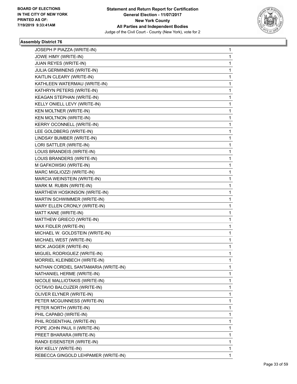

| JOSEPH P PIAZZA (WRITE-IN)           | 1 |
|--------------------------------------|---|
| JOWE HIMY (WRITE-IN)                 | 1 |
| JUAN REYES (WRITE-IN)                | 1 |
| JULIA GERMINENS (WRITE-IN)           | 1 |
| KAITLIN CLEARY (WRITE-IN)            | 1 |
| KATHLEEN WATERMAU (WRITE-IN)         | 1 |
| KATHRYN PETERS (WRITE-IN)            | 1 |
| KEAGAN STEPHAN (WRITE-IN)            | 1 |
| KELLY ONIELL LEVY (WRITE-IN)         | 1 |
| KEN MOLTNER (WRITE-IN)               | 1 |
| KEN MOLTNON (WRITE-IN)               | 1 |
| KERRY OCONNELL (WRITE-IN)            | 1 |
| LEE GOLDBERG (WRITE-IN)              | 1 |
| LINDSAY BUMBER (WRITE-IN)            | 1 |
| LORI SATTLER (WRITE-IN)              | 1 |
| LOUIS BRANDEIS (WRITE-IN)            | 1 |
| LOUIS BRANDERS (WRITE-IN)            | 1 |
| M GAFKOWSKI (WRITE-IN)               | 1 |
| MARC MIGLIOZZI (WRITE-IN)            | 1 |
| MARCIA WEINSTEIN (WRITE-IN)          | 1 |
| MARK M. RUBIN (WRITE-IN)             | 1 |
| MARTHEW HOSKINSON (WRITE-IN)         | 1 |
| MARTIN SCHWIMMER (WRITE-IN)          | 1 |
| MARY ELLEN CRONLY (WRITE-IN)         | 1 |
| MATT KANE (WRITE-IN)                 | 1 |
| MATTHEW GRIECO (WRITE-IN)            | 1 |
| MAX FIDLER (WRITE-IN)                | 1 |
| MICHAEL W. GOLDSTEIN (WRITE-IN)      | 1 |
| MICHAEL WEST (WRITE-IN)              | 1 |
| MICK JAGGER (WRITE-IN)               | 1 |
| MIGUEL RODRIGUEZ (WRITE-IN)          | 1 |
| MORRIEL KLEINBECH (WRITE-IN)         | 1 |
| NATHAN CORDIEL SANTAMARIA (WRITE-IN) | 1 |
| NATHANIEL HERME (WRITE-IN)           | 1 |
| NICOLE MALLIOTAKIS (WRITE-IN)        | 1 |
| OCTAVIO BALCUZER (WRITE-IN)          | 1 |
| OLIVER ELYNER (WRITE-IN)             | 1 |
| PETER MCGUINNESS (WRITE-IN)          | 1 |
| PETER NORTH (WRITE-IN)               | 1 |
| PHIL CAPABO (WRITE-IN)               | 1 |
| PHIL ROSENTHAL (WRITE-IN)            | 1 |
| POPE JOHN PAUL II (WRITE-IN)         | 1 |
| PREET BHARARA (WRITE-IN)             | 1 |
| RANDI EISENSTER (WRITE-IN)           | 1 |
| RAY KELLY (WRITE-IN)                 | 1 |
| REBECCA GINGOLD LEHPAMER (WRITE-IN)  | 1 |
|                                      |   |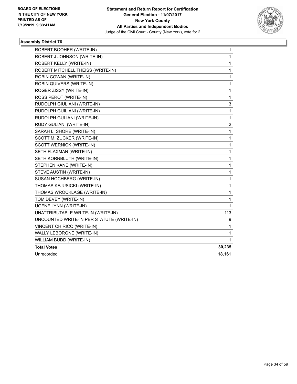

| ROBERT BOOHER (WRITE-IN)                  | 1                       |
|-------------------------------------------|-------------------------|
| ROBERT J JOHNSON (WRITE-IN)               | $\mathbf{1}$            |
| ROBERT KELLY (WRITE-IN)                   | 1                       |
| ROBERT MITCHELL THEISS (WRITE-IN)         | 1                       |
| ROBIN COWAN (WRITE-IN)                    | 1                       |
| ROBIN QUIVERS (WRITE-IN)                  | 1                       |
| ROGER ZISSY (WRITE-IN)                    | $\mathbf{1}$            |
| ROSS PEROT (WRITE-IN)                     | 1                       |
| RUDOLPH GIULIANI (WRITE-IN)               | 3                       |
| RUDOLPH GUILIANI (WRITE-IN)               | 1                       |
| RUDOLPH GULIANI (WRITE-IN)                | $\mathbf{1}$            |
| RUDY GULIANI (WRITE-IN)                   | $\overline{\mathbf{c}}$ |
| SARAH L. SHORE (WRITE-IN)                 | $\mathbf{1}$            |
| SCOTT M. ZUCKER (WRITE-IN)                | 1                       |
| SCOTT WERNICK (WRITE-IN)                  | 1                       |
| SETH FLAXMAN (WRITE-IN)                   | $\mathbf{1}$            |
| SETH KORNBLUTH (WRITE-IN)                 | 1                       |
| STEPHEN KANE (WRITE-IN)                   | $\mathbf{1}$            |
| STEVE AUSTIN (WRITE-IN)                   | 1                       |
| SUSAN HOCHBERG (WRITE-IN)                 | 1                       |
| THOMAS KEJUSICKI (WRITE-IN)               | 1                       |
| THOMAS WROCKLAGE (WRITE-IN)               | $\mathbf{1}$            |
| TOM DEVEY (WRITE-IN)                      | 1                       |
| UGENE LYNN (WRITE-IN)                     | 1                       |
| UNATTRIBUTABLE WRITE-IN (WRITE-IN)        | 113                     |
| UNCOUNTED WRITE-IN PER STATUTE (WRITE-IN) | 9                       |
| VINCENT CHIRICO (WRITE-IN)                | $\mathbf{1}$            |
| WALLY LEBORGNE (WRITE-IN)                 | 1                       |
| WILLIAM BUDD (WRITE-IN)                   | 1                       |
| <b>Total Votes</b>                        | 30,235                  |
| Unrecorded                                | 18,161                  |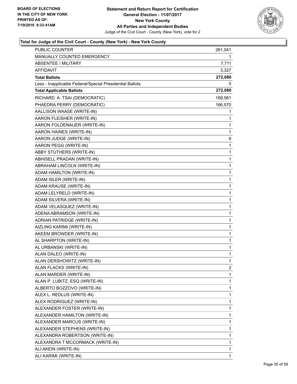

| PUBLIC COUNTER                                           | 261,041      |
|----------------------------------------------------------|--------------|
| MANUALLY COUNTED EMERGENCY                               | 1.           |
| <b>ABSENTEE / MILITARY</b>                               | 7,711        |
| <b>AFFIDAVIT</b>                                         | 3,327        |
| <b>Total Ballots</b>                                     | 272,080      |
| Less - Inapplicable Federal/Special Presidential Ballots | 0            |
| <b>Total Applicable Ballots</b>                          | 272,080      |
| RICHARD A. TSAI (DEMOCRATIC)                             | 169,581      |
| PHAEDRA PERRY (DEMOCRATIC)                               | 166,570      |
| AALLISON WAASE (WRITE-IN)                                | 1            |
| AARON FLEISHER (WRITE-IN)                                | 1            |
| AARON FOLDENAUER (WRITE-IN)                              | 1            |
| AARON HAINES (WRITE-IN)                                  | 1            |
| AARON JUDGE (WRITE-IN)                                   | 6            |
| AARON PEGG (WRITE-IN)                                    | 1            |
| ABBY STUTHERS (WRITE-IN)                                 | 1            |
| ABHISELL PRADAN (WRITE-IN)                               | 1            |
| ABRAHAM LINCOLN (WRITE-IN)                               | 1            |
| ADAM HAMILTON (WRITE-IN)                                 | 1            |
| ADAM ISLER (WRITE-IN)                                    | 1            |
| ADAM KRAUSE (WRITE-IN)                                   | 1            |
| ADAM LELYRELD (WRITE-IN)                                 | 1            |
| ADAM SILVERA (WRITE-IN)                                  | 1            |
| ADAM VELASQUEZ (WRITE-IN)                                | 1            |
| ADENA ABRAMSON (WRITE-IN)                                | 1            |
| ADRIAN PATRIDGE (WRITE-IN)                               | 1            |
| AIZLING KARIMI (WRITE-IN)                                | 1            |
| AKEEM BROWDER (WRITE-IN)                                 | 1            |
| AL SHARPTON (WRITE-IN)                                   | 1            |
| AL URBANSKI (WRITE-IN)                                   | 1            |
| ALAN DALEO (WRITE-IN)                                    | 1            |
| ALAN DERSHOWITZ (WRITE-IN)                               | $\mathbf{1}$ |
| ALAN FLACKS (WRITE-IN)                                   | 2            |
| ALAN MARDER (WRITE-IN)                                   | 1            |
| ALAN P. LUBITZ, ESQ (WRITE-IN)                           | 1            |
| ALBERTO BOZZOVO (WRITE-IN)                               | 1            |
| ALEX L. REDLUS (WRITE-IN)                                | 1            |
| ALEX RODRIGUEZ (WRITE-IN)                                | 1            |
| ALEXANDER FOSTER (WRITE-IN)                              | 1            |
| ALEXANDER HAMILTON (WRITE-IN)                            | 1            |
| ALEXANDER MARCUS (WRITE-IN)                              | 1            |
| ALEXANDER STEPHENS (WRITE-IN)                            | 1            |
| ALEXANDRA ROBERTSON (WRITE-IN)                           | 1            |
| ALEXANDRA T MCCORMACK (WRITE-IN)                         | 1            |
| ALI AKEIN (WRITE-IN)                                     | 1            |
| ALI KARIMI (WRITE-IN)                                    | 1            |
|                                                          |              |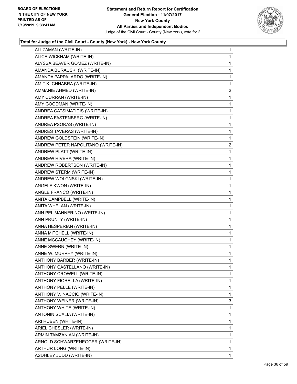

| ALI ZAMAN (WRITE-IN)               | $\mathbf{1}$   |
|------------------------------------|----------------|
| ALICE WICKHAM (WRITE-IN)           | $\mathbf{1}$   |
| ALYSSA BEAVER GOMEZ (WRITE-IN)     | $\mathbf{1}$   |
| AMANDA BURAUSKI (WRITE-IN)         | $\mathbf{1}$   |
| AMANDA PAPPALARDO (WRITE-IN)       | 1              |
| AMIT K. CHHABRA (WRITE-IN)         | 1              |
| AMMANIE AHMED (WRITE-IN)           | $\overline{c}$ |
| AMY CURRAN (WRITE-IN)              | $\mathbf{1}$   |
| AMY GOODMAN (WRITE-IN)             | 1              |
| ANDREA CATSIMATIDIS (WRITE-IN)     | $\mathbf{1}$   |
| ANDREA FASTENBERG (WRITE-IN)       | 1              |
| ANDREA PSORAS (WRITE-IN)           | 1              |
| ANDRES TAVERAS (WRITE-IN)          | $\mathbf{1}$   |
| ANDREW GOLDSTEIN (WRITE-IN)        | 1              |
| ANDREW PETER NAPOLITANO (WRITE-IN) | 2              |
| ANDREW PLATT (WRITE-IN)            | $\mathbf{1}$   |
| ANDREW RIVERA (WRITE-IN)           | 1              |
| ANDREW ROBERTSON (WRITE-IN)        | 1              |
| ANDREW STERM (WRITE-IN)            | $\mathbf 1$    |
| ANDREW WOLGNSKI (WRITE-IN)         | $\mathbf 1$    |
| ANGELA KWON (WRITE-IN)             | $\mathbf 1$    |
| ANGLE FRANCO (WRITE-IN)            | $\mathbf 1$    |
| ANITA CAMPBELL (WRITE-IN)          | 1              |
| ANITA WHELAN (WRITE-IN)            | 1              |
| ANN PEL MANNERINO (WRITE-IN)       | $\mathbf 1$    |
| ANN PRUNTY (WRITE-IN)              | $\mathbf 1$    |
| ANNA HESPERIAN (WRITE-IN)          | $\mathbf 1$    |
| ANNA MITCHELL (WRITE-IN)           | $\mathbf 1$    |
| ANNE MCCAUGHEY (WRITE-IN)          | 1              |
| ANNE SWERN (WRITE-IN)              | 1              |
| ANNE W. MURPHY (WRITE-IN)          | $\mathbf 1$    |
| ANTHONY BARBER (WRITE-IN)          | 1              |
| ANTHONY CASTELLANO (WRITE-IN)      | 1              |
| ANTHONY CROWELL (WRITE-IN)         | 1              |
| ANTHONY FIORELLA (WRITE-IN)        | 1              |
| ANTHONY PELLE (WRITE-IN)           | 1              |
| ANTHONY V. NACCIO (WRITE-IN)       | $\mathbf 1$    |
| ANTHONY WEINER (WRITE-IN)          | 3              |
| ANTHONY WHITE (WRITE-IN)           | 1              |
| ANTONIN SCALIA (WRITE-IN)          | 1              |
| ARI RUBEN (WRITE-IN)               | 1              |
| ARIEL CHESLER (WRITE-IN)           | 1              |
| ARMIN TAMZANIAN (WRITE-IN)         | 1              |
| ARNOLD SCHWARZENEGGER (WRITE-IN)   | 1              |
| ARTHUR LONG (WRITE-IN)             | 1              |
| ASDHLEY JUDD (WRITE-IN)            | $\mathbf{1}$   |
|                                    |                |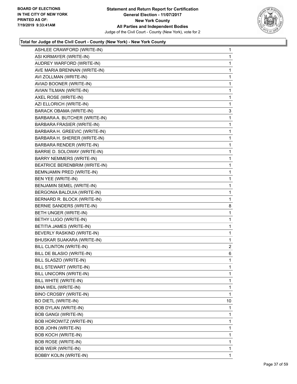

| ASHLEE CRAWFORD (WRITE-IN)      | 1              |
|---------------------------------|----------------|
| ASI KIRMAYER (WRITE-IN)         | 1              |
| AUDREY WARFORD (WRITE-IN)       | 1              |
| AVE MARIA BRENNAN (WRITE-IN)    | 1              |
| AVI ZOLLMAN (WRITE-IN)          | 1              |
| AVIAD BOONER (WRITE-IN)         | 1              |
| AVIAN TILMAN (WRITE-IN)         | 1              |
| AXEL ROSE (WRITE-IN)            | 1              |
| AZI ELLORICH (WRITE-IN)         | 1              |
| BARACK OBAMA (WRITE-IN)         | 3              |
| BARBARA A. BUTCHER (WRITE-IN)   | 1              |
| BARBARA FRASIER (WRITE-IN)      | 1              |
| BARBARA H. GREEVIC (WRITE-IN)   | 1              |
| BARBARA H. SHERER (WRITE-IN)    | 1              |
| BARBARA RENDER (WRITE-IN)       | 1              |
| BARRIE D. SOLOWAY (WRITE-IN)    | 1              |
| <b>BARRY NEMMERS (WRITE-IN)</b> | 1              |
| BEATRICE BERENBRIM (WRITE-IN)   | 1              |
| BEMNJAMIN PRED (WRITE-IN)       | 1              |
| <b>BEN YEE (WRITE-IN)</b>       | 1              |
| BENJAMIN SEMEL (WRITE-IN)       | 1              |
| BERGONIA BALDUIA (WRITE-IN)     | 1              |
| BERNARD R. BLOCK (WRITE-IN)     | 1              |
| BERNIE SANDERS (WRITE-IN)       | 8              |
| BETH UNGER (WRITE-IN)           | 1              |
| BETHY LUGO (WRITE-IN)           | 1              |
| BETITIA JAMES (WRITE-IN)        | 1              |
| BEVERLY RASKIND (WRITE-IN)      | 1              |
| BHUSKAR SUAKARA (WRITE-IN)      | 1              |
| BILL CLINTON (WRITE-IN)         | $\overline{2}$ |
| BILL DE BLASIO (WRITE-IN)       | 6              |
| BILL SLASZO (WRITE-IN)          | 1              |
| BILL STEWART (WRITE-IN)         | 1              |
| BILL UNICORN (WRITE-IN)         | 1              |
| BILL WHITE (WRITE-IN)           | 1              |
| BINA WEIL (WRITE-IN)            | 1              |
| BINO CROSBY (WRITE-IN)          | 1              |
| <b>BO DIETL (WRITE-IN)</b>      | 10             |
| <b>BOB DYLAN (WRITE-IN)</b>     | 1              |
| <b>BOB GANGI (WRITE-IN)</b>     | 1              |
| BOB HOROWITZ (WRITE-IN)         | 1              |
| <b>BOB JOHN (WRITE-IN)</b>      | 1              |
| <b>BOB KOCH (WRITE-IN)</b>      | 1              |
| <b>BOB ROSE (WRITE-IN)</b>      | 1              |
| <b>BOB WEIR (WRITE-IN)</b>      | 1              |
| <b>BOBBY KOLIN (WRITE-IN)</b>   | 1              |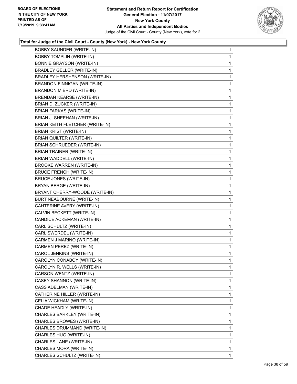

| <b>BOBBY TOMPLIN (WRITE-IN)</b>      | $\mathbf{1}$ |
|--------------------------------------|--------------|
|                                      | 1            |
| <b>BONNIE GRAYSON (WRITE-IN)</b>     | 1            |
| BRADLEY GELLER (WRITE-IN)            | 1            |
| <b>BRADLEY HERSHENSON (WRITE-IN)</b> | 1            |
| <b>BRANDON FINNIGAN (WRITE-IN)</b>   | 1            |
| <b>BRANDON MIERD (WRITE-IN)</b>      | 1            |
| <b>BRENDAN KEARSE (WRITE-IN)</b>     | 1            |
| BRIAN D. ZUCKER (WRITE-IN)           | 1            |
| <b>BRIAN FARKAS (WRITE-IN)</b>       | 1            |
| BRIAN J. SHEEHAN (WRITE-IN)          | 1            |
| BRIAN KEITH FLETCHER (WRITE-IN)      | 1            |
| <b>BRIAN KRIST (WRITE-IN)</b>        | 1            |
| BRIAN QUILTER (WRITE-IN)             | 1            |
| <b>BRIAN SCHRUEDER (WRITE-IN)</b>    | 1            |
| <b>BRIAN TRAINER (WRITE-IN)</b>      | 1            |
| BRIAN WADDELL (WRITE-IN)             | 1            |
| <b>BROOKE WARREN (WRITE-IN)</b>      | 1            |
| <b>BRUCE FRENCH (WRITE-IN)</b>       | 1            |
| <b>BRUCE JONES (WRITE-IN)</b>        | 1            |
| BRYAN BERGE (WRITE-IN)               | 1            |
| BRYANT CHERRY-WOODE (WRITE-IN)       | 1            |
| BURT NEABOURNE (WRITE-IN)            | 1            |
| CAHTERINE AVERY (WRITE-IN)           | 1            |
| CALVIN BECKETT (WRITE-IN)            | 1            |
|                                      |              |
| CANDICE ACKEMAN (WRITE-IN)           | 1            |
| CARL SCHULTZ (WRITE-IN)              | 1            |
| CARL SWERDEL (WRITE-IN)              | 1            |
| CARMEN J MARINO (WRITE-IN)           | 1            |
| CARMEN PEREZ (WRITE-IN)              | 1            |
| CAROL JENKINS (WRITE-IN)             | 1            |
| CAROLYN CONABOY (WRITE-IN)           | 1            |
| CAROLYN R. WELLS (WRITE-IN)          | 1            |
| CARSON WENTZ (WRITE-IN)              | 1            |
| CASEY SHANNON (WRITE-IN)             | 1            |
| CASS ADELMAN (WRITE-IN)              | 1            |
| CATHERINE HILLER (WRITE-IN)          | 1            |
| CELIA WICKHAM (WRITE-IN)             | 1            |
| CHADE HEADLY (WRITE-IN)              | 1            |
| CHARLES BARKLEY (WRITE-IN)           | 1            |
| CHARLES BROWES (WRITE-IN)            | 1            |
| CHARLES DRUMMAND (WRITE-IN)          | 1            |
| CHARLES HUG (WRITE-IN)               | 1            |
| CHARLES LANE (WRITE-IN)              | 1            |
| CHARLES MORA (WRITE-IN)              | 1            |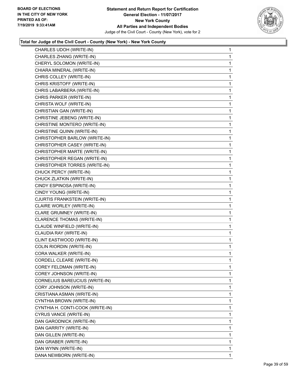

| CHARLES UDOH (WRITE-IN)           | $\mathbf{1}$ |
|-----------------------------------|--------------|
| CHARLES ZHANG (WRITE-IN)          | 1            |
| CHERYL SOLOMON (WRITE-IN)         | 1            |
| CHIARA MINERAL (WRITE-IN)         | 1            |
| CHRIS COLLEY (WRITE-IN)           | 1            |
| CHRIS KRISTOFF (WRITE-IN)         | 1            |
| CHRIS LABARBERA (WRITE-IN)        | 1            |
| CHRIS PARKER (WRITE-IN)           | 1            |
| CHRISTA WOLF (WRITE-IN)           | 1            |
| CHRISTIAN GAN (WRITE-IN)          | 1            |
| CHRISTINE JEBENG (WRITE-IN)       | 1            |
| CHRISTINE MONTERO (WRITE-IN)      | 1            |
| CHRISTINE QUINN (WRITE-IN)        | 1            |
| CHRISTOPHER BARLOW (WRITE-IN)     | 1            |
| CHRISTOPHER CASEY (WRITE-IN)      | 1            |
| CHRISTOPHER MARTE (WRITE-IN)      | 1            |
| CHRISTOPHER REGAN (WRITE-IN)      | 1            |
| CHRISTOPHER TORRES (WRITE-IN)     | 1            |
| CHUCK PERCY (WRITE-IN)            | 1            |
| CHUCK ZLATKIN (WRITE-IN)          | 1            |
| CINDY ESPINOSA (WRITE-IN)         | 1            |
| CINDY YOUNG (WRITE-IN)            | 1            |
| CJURTIS FRANKSTEIN (WRITE-IN)     | 1            |
| CLAIRE WORLEY (WRITE-IN)          | 1            |
| CLARE GRUMNEY (WRITE-IN)          | 1            |
| <b>CLARENCE THOMAS (WRITE-IN)</b> | 1            |
| CLAUDE WINFIELD (WRITE-IN)        | 1            |
| CLAUDIA RAY (WRITE-IN)            | 1            |
| CLINT EASTWOOD (WRITE-IN)         | 1            |
| COLIN RIORDIN (WRITE-IN)          | $\mathbf{1}$ |
| CORA WALKER (WRITE-IN)            | 1            |
| CORDELL CLEARE (WRITE-IN)         | 1            |
| COREY FELDMAN (WRITE-IN)          | 1            |
| COREY JOHNSON (WRITE-IN)          | 1            |
| CORNELIUS BAREUCIUS (WRITE-IN)    | 1            |
| CORY JOHNSON (WRITE-IN)           | 1            |
| CRISTIANA ASMAN (WRITE-IN)        | 1            |
| CYNTHIA BROWN (WRITE-IN)          | 1            |
| CYNTHIA H. CONTI-COOK (WRITE-IN)  | 1            |
| CYRUS VANCE (WRITE-IN)            | 1            |
| DAN GARODNICK (WRITE-IN)          | 1            |
| DAN GARRITY (WRITE-IN)            | 1            |
| DAN GILLEN (WRITE-IN)             | 1            |
| DAN GRABER (WRITE-IN)             | 1            |
| DAN WYNN (WRITE-IN)               | 1            |
|                                   |              |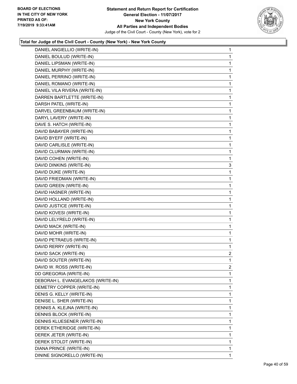

| DANIEL ANGIELLIO (WRITE-IN)       | $\mathbf{1}$   |
|-----------------------------------|----------------|
| DANIEL BOULUD (WRITE-IN)          | 1              |
| DANIEL LIPSMAN (WRITE-IN)         | 1              |
| DANIEL MURPHY (WRITE-IN)          | 1              |
| DANIEL PERRINO (WRITE-IN)         | 1              |
| DANIEL ROMANO (WRITE-IN)          | 1              |
| DANIEL VILA RIVERA (WRITE-IN)     | 1              |
| DARREN BARTLETTE (WRITE-IN)       | 1              |
| DARSH PATEL (WRITE-IN)            | 1              |
| DARVEL GREENBAUM (WRITE-IN)       | 1              |
| DARYL LAVERY (WRITE-IN)           | 1              |
| DAVE S. HATCH (WRITE-IN)          | 1              |
| DAVID BABAYER (WRITE-IN)          | 1              |
| DAVID BYEFF (WRITE-IN)            | 1              |
| DAVID CARLISLE (WRITE-IN)         | 1              |
| DAVID CLURMAN (WRITE-IN)          | 1              |
| DAVID COHEN (WRITE-IN)            | 1              |
| DAVID DINKINS (WRITE-IN)          | 3              |
| DAVID DUKE (WRITE-IN)             | 1              |
| DAVID FRIEDMAN (WRITE-IN)         | 1              |
| DAVID GREEN (WRITE-IN)            | 1              |
| DAVID HASNER (WRITE-IN)           | 1              |
| DAVID HOLLAND (WRITE-IN)          | 1              |
| DAVID JUSTICE (WRITE-IN)          | 1              |
| DAVID KOVESI (WRITE-IN)           | 1              |
| DAVID LELYRELD (WRITE-IN)         | 1              |
| DAVID MACK (WRITE-IN)             | 1              |
| DAVID MOHR (WRITE-IN)             | 1              |
| DAVID PETRAEUS (WRITE-IN)         | 1              |
| DAVID RERRY (WRITE-IN)            | 1              |
| DAVID SACK (WRITE-IN)             | $\overline{a}$ |
| DAVID SOUTER (WRITE-IN)           | 1              |
| DAVID W. ROSS (WRITE-IN)          | 2              |
| DD GREGORIA (WRITE-IN)            | 1              |
| DEBORAH L. EVANGELAKOS (WRITE-IN) | 1              |
| DEMETRY COPPER (WRITE-IN)         | 1              |
| DENIS G. KELLY (WRITE-IN)         | 1              |
| DENISE L. SHER (WRITE-IN)         | 1              |
| DENNIS A. KLEJNA (WRITE-IN)       | 1              |
| DENNIS BLOCK (WRITE-IN)           | 1              |
| DENNIS KLUESENER (WRITE-IN)       | 1              |
| DEREK ETHERIDGE (WRITE-IN)        | 1              |
| DEREK JETER (WRITE-IN)            | 1              |
| DEREK STOLDT (WRITE-IN)           | 1              |
| DIANA PRINCE (WRITE-IN)           | 1              |
| DININE SIGNORELLO (WRITE-IN)      | 1              |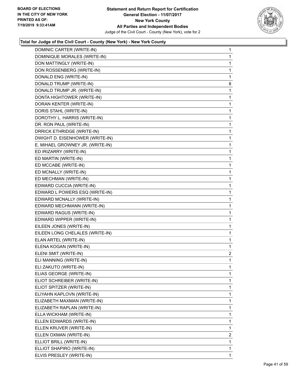

| DOMINIC CARTER (WRITE-IN)        | $\mathbf{1}$   |
|----------------------------------|----------------|
| DOMINIQUE MORALES (WRITE-IN)     | 1              |
| DON MATTINGLY (WRITE-IN)         | 1              |
| DON ROSSENBERG (WRITE-IN)        | 1              |
| DONALD ENG (WRITE-IN)            | 1              |
| DONALD TRUMP (WRITE-IN)          | 8              |
| DONALD TRUMP JR. (WRITE-IN)      | $\mathbf{1}$   |
| DONTA HIGHTOWER (WRITE-IN)       | 1              |
| DORAN KENTER (WRITE-IN)          | 1              |
| DORIS STAHL (WRITE-IN)           | 1              |
| DOROTHY L. HARRIS (WRITE-IN)     | 1              |
| DR. RON PAUL (WRITE-IN)          | 1              |
| DRRICK ETHRIDGE (WRITE-IN)       | 1              |
| DWIGHT D. EISENHOWER (WRITE-IN)  | 1              |
| E. MIHAEL GROWNEY JR. (WRITE-IN) | 1              |
| ED IRIZARRY (WRITE-IN)           | 1              |
| ED MARTIN (WRITE-IN)             | 1              |
| ED MCCABE (WRITE-IN)             | 1              |
| ED MCNALLY (WRITE-IN)            | 1              |
| ED MECHMAN (WRITE-IN)            | 1              |
| EDWARD CUCCIA (WRITE-IN)         | 1              |
| EDWARD L POWERS ESQ (WRITE-IN)   | 1              |
| EDWARD MCNALLY (WRITE-IN)        | 1              |
| EDWARD MECHMANN (WRITE-IN)       | 1              |
| EDWARD RAGUS (WRITE-IN)          | 1              |
| EDWARD WIPPER (WRITE-IN)         | 1              |
| EILEEN JONES (WRITE-IN)          | 1              |
| EILEEN LONG CHELALES (WRITE-IN)  | 1              |
| ELAN ARTEL (WRITE-IN)            | 1              |
| ELENA KOGAN (WRITE-IN)           | 1              |
| ELENI SMIT (WRITE-IN)            | $\overline{2}$ |
| ELI MANNING (WRITE-IN)           | 1              |
| ELI ZAKUTO (WRITE-IN)            | 1              |
| ELIAS GEORGE (WRITE-IN)          | 1              |
| ELIOT SCHREIBER (WRITE-IN)       | 1              |
| ELIOT SPITZER (WRITE-IN)         | 1              |
| ELIYAHN KAPLOVN (WRITE-IN)       | 1              |
| ELIZABETH MAXMAN (WRITE-IN)      | 1              |
| ELIZABETH RAPLAN (WRITE-IN)      | 1              |
| ELLA WICKHAM (WRITE-IN)          | 1              |
| ELLEN EDWARDS (WRITE-IN)         | 1              |
| ELLEN KRUVER (WRITE-IN)          | 1              |
| ELLEN OXMAN (WRITE-IN)           | $\overline{2}$ |
| ELLIOT BRILL (WRITE-IN)          | 1              |
| ELLIOT SHAPIRO (WRITE-IN)        | 1              |
| ELVIS PRESLEY (WRITE-IN)         | 1              |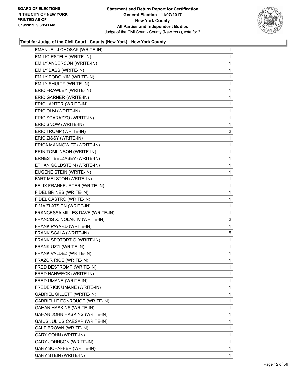

| EMANUEL J CHOSAK (WRITE-IN)       | $\mathbf{1}$   |
|-----------------------------------|----------------|
| EMILIO ESTELA (WRITE-IN)          | 1              |
| EMILY ANDERSON (WRITE-IN)         | 1              |
| EMILY BASS (WRITE-IN)             | 1              |
| EMILY PODO KIM (WRITE-IN)         | 1              |
| EMILY SHULTZ (WRITE-IN)           | 1              |
| ERIC FRAWLEY (WRITE-IN)           | 1              |
| ERIC GARNER (WRITE-IN)            | 1              |
| ERIC LANTER (WRITE-IN)            | 1              |
| ERIC OLM (WRITE-IN)               | 1              |
| ERIC SCARAZZO (WRITE-IN)          | 1              |
| ERIC SNOW (WRITE-IN)              | 1              |
| ERIC TRUMP (WRITE-IN)             | $\overline{c}$ |
| ERIC ZISSY (WRITE-IN)             | 1              |
| ERICA MANNOWITZ (WRITE-IN)        | 1              |
| ERIN TOMLINSON (WRITE-IN)         | 1              |
| ERNEST BELZASEY (WRITE-IN)        | 1              |
| ETHAN GOLDSTEIN (WRITE-IN)        | 1              |
| <b>EUGENE STEIN (WRITE-IN)</b>    | 1              |
| FART MELSTON (WRITE-IN)           | 1              |
| FELIX FRANKFURTER (WRITE-IN)      | 1              |
| FIDEL BRINES (WRITE-IN)           | 1              |
| FIDEL CASTRO (WRITE-IN)           | 1              |
| FIMA ZLATSIEN (WRITE-IN)          | 1              |
| FRANCESSA MILLES DAVE (WRITE-IN)  | $\mathbf{1}$   |
| FRANCIS X. NOLAN IV (WRITE-IN)    | 2              |
| FRANK PAYARD (WRITE-IN)           | 1              |
| FRANK SCALA (WRITE-IN)            | 5              |
| FRANK SPOTORTIO (WRITE-IN)        | 1              |
| FRANK UZZI (WRITE-IN)             | 1              |
| FRANK VALDEZ (WRITE-IN)           | 1              |
| FRAZOR RICE (WRITE-IN)            | 1              |
| FRED DESTROMP (WRITE-IN)          | 1              |
| FRED HANWECK (WRITE-IN)           | 1              |
| FRED UMANE (WRITE-IN)             | 1              |
| FREDERICK UMANE (WRITE-IN)        | 1              |
| <b>GABRIEL GILLETT (WRITE-IN)</b> | 1              |
| GABRIELLE FONROUGE (WRITE-IN)     | 1              |
| GAHAN HASKINS (WRITE-IN)          | 1              |
| GAHAN JOHN HASKINS (WRITE-IN)     | 1              |
| GAIUS JULIUS CAESAR (WRITE-IN)    | 1              |
| GALE BROWN (WRITE-IN)             | 1              |
| GARY COHN (WRITE-IN)              | 1              |
| GARY JOHNSON (WRITE-IN)           | 1              |
| GARY SCHAFFER (WRITE-IN)          | 1              |
|                                   |                |
| <b>GARY STEIN (WRITE-IN)</b>      | 1              |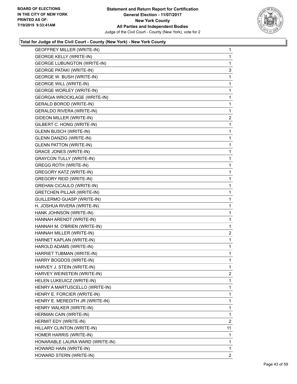

| <b>GEOFFREY MILLER (WRITE-IN)</b>   | $\mathbf{1}$   |
|-------------------------------------|----------------|
| <b>GEORGE KELLY (WRITE-IN)</b>      | 1              |
| <b>GEORGE LUBUNGTON (WRITE-IN)</b>  | 1              |
| <b>GEORGE PATAKI (WRITE-IN)</b>     | 3              |
| GEORGE W. BUSH (WRITE-IN)           | 1              |
| <b>GEORGE WILL (WRITE-IN)</b>       | 1              |
| <b>GEORGE WORLEY (WRITE-IN)</b>     | $\mathbf 1$    |
| <b>GEORGIA WROCKLAGE (WRITE-IN)</b> | 1              |
| <b>GERALD BOROD (WRITE-IN)</b>      | 1              |
| <b>GERALDO RIVERA (WRITE-IN)</b>    | 1              |
| GIDEON MILLER (WRITE-IN)            | $\overline{c}$ |
| GILBERT C. HONG (WRITE-IN)          | $\mathbf{1}$   |
| <b>GLENN BUSCH (WRITE-IN)</b>       | $\mathbf{1}$   |
| <b>GLENN DANZIG (WRITE-IN)</b>      | 1              |
| <b>GLENN PATTON (WRITE-IN)</b>      | 1              |
| <b>GRACE JONES (WRITE-IN)</b>       | 1              |
| <b>GRAYCON TULLY (WRITE-IN)</b>     | 1              |
| <b>GREGG ROTH (WRITE-IN)</b>        | 1              |
| <b>GREGORY KATZ (WRITE-IN)</b>      | $\mathbf{1}$   |
| <b>GREGORY REID (WRITE-IN)</b>      | 1              |
| <b>GREHAN CICAULO (WRITE-IN)</b>    | 1              |
| <b>GRETCHEN PILLAR (WRITE-IN)</b>   | 1              |
| GUILLERMO GUASP (WRITE-IN)          | 1              |
| H. JOSHUA RIVERA (WRITE-IN)         | 1              |
| HANK JOHNSON (WRITE-IN)             | 1              |
| HANNAH ARENDT (WRITE-IN)            | 1              |
| HANNAH M. O'BRIEN (WRITE-IN)        | 1              |
| HANNAH MILLER (WRITE-IN)            | $\overline{2}$ |
| HARNET KAPLAN (WRITE-IN)            | 1              |
| HAROLD ADAMS (WRITE-IN)             | 1              |
| HARRIET TUBMAN (WRITE-IN)           | 1              |
| HARRY BOGDOS (WRITE-IN)             | 1              |
| HARVEY J. STEIN (WRITE-IN)          | 1              |
| HARVEY WEINSTEIN (WRITE-IN)         | $\overline{2}$ |
| HELEN LUKEUICZ (WRITE-IN)           | 1              |
| HENRY A MARTUSCELLO (WRITE-IN)      | 1              |
| HENRY E. FORCIER (WRITE-IN)         | 1              |
| HENRY E. MEREDITH JR (WRITE-IN)     | 1              |
| HENRY WALKER (WRITE-IN)             | 1              |
| HERMAN CAIN (WRITE-IN)              | 1              |
| HERMIT EDY (WRITE-IN)               | 2              |
| HILLARY CLINTON (WRITE-IN)          | 11             |
| HOMER HARRIS (WRITE-IN)             | 1              |
| HONARABLE LAURA WARD (WRITE-IN)     | 1              |
| HOWARD HAIN (WRITE-IN)              | 1              |
| HOWARD STERN (WRITE-IN)             | $\overline{2}$ |
|                                     |                |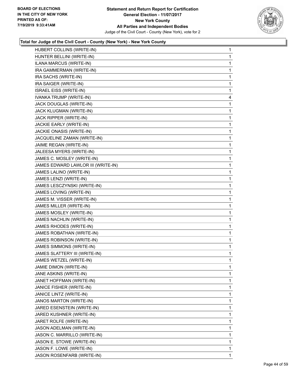

| HUBERT COLLINS (WRITE-IN)          | $\mathbf{1}$ |
|------------------------------------|--------------|
| HUNTER BELLINI (WRITE-IN)          | 1            |
| ILANA MARCUS (WRITE-IN)            | 1            |
| IRA GAMMERMAN (WRITE-IN)           | 1            |
| IRA SACHS (WRITE-IN)               | 1            |
| IRA SAIGER (WRITE-IN)              | 1            |
| <b>ISRAEL EISS (WRITE-IN)</b>      | 1            |
| <b>IVANKA TRUMP (WRITE-IN)</b>     | 4            |
| JACK DOUGLAS (WRITE-IN)            | 1            |
| JACK KLUGMAN (WRITE-IN)            | 1            |
| JACK RIPPER (WRITE-IN)             | 1            |
| JACKIE EARLY (WRITE-IN)            | 1            |
| JACKIE ONASIS (WRITE-IN)           | 1            |
| JACQUELINE ZAMAN (WRITE-IN)        | 1            |
| JAIME REGAN (WRITE-IN)             | 1            |
| JALEESA MYERS (WRITE-IN)           | 1            |
| JAMES C. MOSLEY (WRITE-IN)         | 1            |
| JAMES EDWARD LAWLOR III (WRITE-IN) | 1            |
| JAMES LALINO (WRITE-IN)            | 1            |
| JAMES LENZI (WRITE-IN)             | 1            |
| JAMES LESCZYNSKI (WRITE-IN)        | 1            |
| JAMES LOVING (WRITE-IN)            | 1            |
| JAMES M. VISSER (WRITE-IN)         | 1            |
| JAMES MILLER (WRITE-IN)            | 1            |
| JAMES MOSLEY (WRITE-IN)            | 1            |
| JAMES NACHLIN (WRITE-IN)           | 1            |
| JAMES RHODES (WRITE-IN)            | 1            |
| JAMES ROBATHAN (WRITE-IN)          | 1            |
| JAMES ROBINSON (WRITE-IN)          | 1            |
| JAMES SIMMONS (WRITE-IN)           | 1            |
| JAMES SLATTERY III (WRITE-IN)      | 1            |
| JAMES WETZEL (WRITE-IN)            | 1            |
| JAMIE DIMON (WRITE-IN)             | 1            |
| JANE ASKINS (WRITE-IN)             | 1            |
| JANET HOFFMAN (WRITE-IN)           | 1            |
| JANICE FISHER (WRITE-IN)           | 1            |
| JANICE LINTZ (WRITE-IN)            | 1            |
| JANOS MARTON (WRITE-IN)            | 1            |
| JARED ESENSTEIN (WRITE-IN)         | 1            |
| JARED KUSHNER (WRITE-IN)           | 1            |
| JARET ROLFE (WRITE-IN)             | 1            |
| JASON ADELMAN (WRITE-IN)           | 1            |
| JASON C. MARRILLO (WRITE-IN)       | 1            |
| JASON E. STOWE (WRITE-IN)          | 1            |
| JASON F. LOWE (WRITE-IN)           | 1            |
| JASON ROSENFARB (WRITE-IN)         | 1            |
|                                    |              |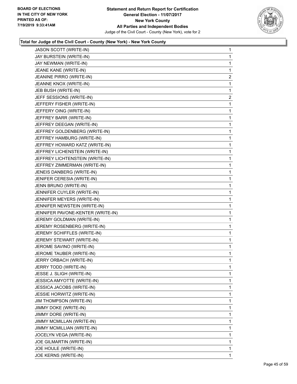

| JASON SCOTT (WRITE-IN)            | 1                       |
|-----------------------------------|-------------------------|
| JAY BURSTEIN (WRITE-IN)           | 1                       |
| JAY NEWMAN (WRITE-IN)             | 1                       |
| JEANE KANE (WRITE-IN)             | 1                       |
| JEANINE PIRRO (WRITE-IN)          | $\overline{c}$          |
| JEANNE KNOX (WRITE-IN)            | 1                       |
| JEB BUSH (WRITE-IN)               | 1                       |
| JEFF SESSIONS (WRITE-IN)          | $\overline{\mathbf{c}}$ |
| JEFFERY FISHER (WRITE-IN)         | $\mathbf{1}$            |
| JEFFERY OING (WRITE-IN)           | 1                       |
| JEFFREY BARR (WRITE-IN)           | 1                       |
| JEFFREY DEEGAN (WRITE-IN)         | 1                       |
| JEFFREY GOLDENBERG (WRITE-IN)     | 1                       |
| JEFFREY HAMBURG (WRITE-IN)        | 1                       |
| JEFFREY HOWARD KATZ (WRITE-IN)    | 1                       |
| JEFFREY LICHENSTEIN (WRITE-IN)    | 1                       |
| JEFFREY LICHTENSTEIN (WRITE-IN)   | 1                       |
| JEFFREY ZIMMERMAN (WRITE-IN)      | 1                       |
| JENEIS DANBERG (WRITE-IN)         | 1                       |
| JENIFER CERESIA (WRITE-IN)        | 1                       |
| JENN BRUNO (WRITE-IN)             | 1                       |
| JENNIFER CUYLER (WRITE-IN)        | 1                       |
| JENNIFER MEYERS (WRITE-IN)        | 1                       |
| JENNIFER NEWSTEIN (WRITE-IN)      | 1                       |
| JENNIFER PAVONE-KENTER (WRITE-IN) | 1                       |
| JEREMY GOLDMAN (WRITE-IN)         | 1                       |
| JEREMY ROSENBERG (WRITE-IN)       | 1                       |
| JEREMY SCHIFFLES (WRITE-IN)       | 1                       |
| JEREMY STEWART (WRITE-IN)         | 1                       |
| JEROME SAVINO (WRITE-IN)          | $\mathbf{1}$            |
| JEROME TAUBER (WRITE-IN)          | 1                       |
| JERRY ORBACH (WRITE-IN)           | 1                       |
| JERRY TODD (WRITE-IN)             | 1                       |
| JESSE J. SLIGH (WRITE-IN)         | 1                       |
| JESSICA AMYOTTE (WRITE-IN)        | 1                       |
| JESSICA JACOBS (WRITE-IN)         | 1                       |
| JESSIE HORWITZ (WRITE-IN)         | 1                       |
| JIM THOMPSON (WRITE-IN)           | 1                       |
| JIMMY DOKE (WRITE-IN)             | 1                       |
| JIMMY DORE (WRITE-IN)             | 1                       |
| JIMMY MCMILLAN (WRITE-IN)         | 1                       |
| JIMMY MCMILLIAN (WRITE-IN)        | 1                       |
| JOCELYN VEGA (WRITE-IN)           | 1                       |
| JOE GILMARTIN (WRITE-IN)          | 1                       |
| JOE HOULE (WRITE-IN)              | 1                       |
| JOE KERNS (WRITE-IN)              | 1                       |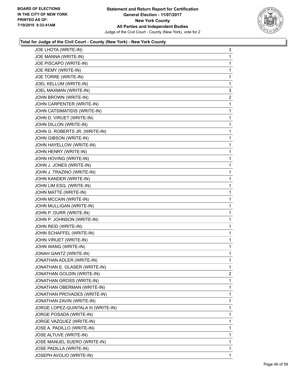

| JOE LHOTA (WRITE-IN)                | 3              |
|-------------------------------------|----------------|
| JOE MANNA (WRITE-IN)                | 1              |
| JOE PISCAPO (WRITE-IN)              | 1              |
| JOE REMY (WRITE-IN)                 | 1              |
| JOE TORRE (WRITE-IN)                | 1              |
| JOEL KELLUM (WRITE-IN)              | $\mathbf{1}$   |
| JOEL MAXMAN (WRITE-IN)              | 3              |
| JOHN BROWN (WRITE-IN)               | $\overline{2}$ |
| JOHN CARPENTER (WRITE-IN)           | 1              |
| JOHN CATSIMATIDIS (WRITE-IN)        | 1              |
| JOHN D. VIRUET (WRITE-IN)           | 1              |
| JOHN DILLON (WRITE-IN)              | 1              |
| JOHN G. ROBERTS JR. (WRITE-IN)      | 1              |
| JOHN GIBSON (WRITE-IN)              | 1              |
| JOHN HAYELLOW (WRITE-IN)            | 1              |
| JOHN HENRY (WRITE-IN)               | 1              |
| JOHN HOVING (WRITE-IN)              | 1              |
| JOHN J. JONES (WRITE-IN)            | 1              |
| JOHN J. TRAZINO (WRITE-IN)          | 1              |
| JOHN KANDER (WRITE-IN)              | 1              |
| JOHN LIM ESQ. (WRITE-IN)            | 1              |
| JOHN MATTE (WRITE-IN)               | 1              |
| JOHN MCCAIN (WRITE-IN)              | 1              |
| JOHN MULLIGAN (WRITE-IN)            | 1              |
| JOHN P. DURR (WRITE-IN)             | 1              |
| JOHN P. JOHNSON (WRITE-IN)          | 1              |
| JOHN REID (WRITE-IN)                | 1              |
| JOHN SCHAFFEL (WRITE-IN)            | 1              |
| JOHN VIRUET (WRITE-IN)              | 1              |
| JOHN WANG (WRITE-IN)                | 1              |
| JONAH GANTZ (WRITE-IN)              | 1              |
| JONATHAN ADLER (WRITE-IN)           | 1              |
| JONATHAN E. GLASER (WRITE-IN)       | 1              |
| JONATHAN GOLDIN (WRITE-IN)          | 2              |
| JONATHAN GROSS (WRITE-IN)           | 1              |
| JONATHAN OBERMAN (WRITE-IN)         | 1              |
| JONATHAN PROVADES (WRITE-IN)        | 1              |
| JONATHAN ZAVIN (WRITE-IN)           | 1              |
| JORGE LOPEZ-QUINTALA III (WRITE-IN) | 1              |
| JORGE POSADA (WRITE-IN)             | 1              |
| JORGE VAZQUEZ (WRITE-IN)            | 1              |
| JOSE A. PADILLO (WRITE-IN)          | 1              |
| JOSE ALTUVE (WRITE-IN)              | 1              |
| JOSE MANUEL SUERO (WRITE-IN)        | 1              |
| JOSE PADILLA (WRITE-IN)             | 1              |
| JOSEPH AVOLIO (WRITE-IN)            | 1              |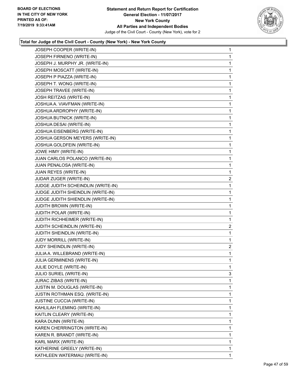

| JOSEPH COOPER (WRITE-IN)            | 1              |
|-------------------------------------|----------------|
| JOSEPH FIRNENO (WRITE-IN)           | 1              |
| JOSEPH J. MURPHY JR. (WRITE-IN)     | 1              |
| JOSEPH MOSCATT (WRITE-IN)           | 1              |
| JOSEPH P PIAZZA (WRITE-IN)          | 1              |
| JOSEPH T. WONG (WRITE-IN)           | 1              |
| JOSEPH TRAVEE (WRITE-IN)            | 1              |
| JOSH REITZAS (WRITE-IN)             | 1              |
| JOSHUA A. VIAVFMAN (WRITE-IN)       | 1              |
| JOSHUA ARDROPHY (WRITE-IN)          | 1              |
| JOSHUA BUTNICK (WRITE-IN)           | 1              |
| JOSHUA DESAI (WRITE-IN)             | 1              |
| JOSHUA EISENBERG (WRITE-IN)         | 1              |
| JOSHUA GERSON MEYERS (WRITE-IN)     | 1              |
| JOSHUA GOLDFEIN (WRITE-IN)          | 1              |
| JOWE HIMY (WRITE-IN)                | 1              |
| JUAN CARLOS POLANCO (WRITE-IN)      | 1              |
| JUAN PENALOSA (WRITE-IN)            | 1              |
| JUAN REYES (WRITE-IN)               | 1              |
| JUDAR ZUGER (WRITE-IN)              | $\overline{c}$ |
| JUDGE JUDITH SCHEINDLIN (WRITE-IN)  | 1              |
| JUDGE JUDITH SHEINDLIN (WRITE-IN)   | 1              |
| JUDGE JUDITH SHIENDLIN (WRITE-IN)   | 1              |
| <b>JUDITH BROWN (WRITE-IN)</b>      | 1              |
| JUDITH POLAR (WRITE-IN)             | 1              |
| JUDITH RICHHEIMER (WRITE-IN)        | 1              |
| JUDITH SCHEINDLIN (WRITE-IN)        | $\overline{2}$ |
| JUDITH SHEINDLIN (WRITE-IN)         | 1              |
| JUDY MORRILL (WRITE-IN)             | 1              |
| JUDY SHEINDLIN (WRITE-IN)           | $\overline{a}$ |
| JULIA A. WILLEBRAND (WRITE-IN)      | 1              |
| JULIA GERMINENS (WRITE-IN)          | 1              |
| JULIE DOYLE (WRITE-IN)              | 1              |
| JULIO SURIEL (WRITE-IN)             | 3              |
| JURAC ZIBAS (WRITE-IN)              | 1              |
| <b>JUSTIN M. DOUGLAS (WRITE-IN)</b> | 1              |
| JUSTIN ROTHMAN ESQ. (WRITE-IN)      | 1              |
| JUSTINE CUCCIA (WRITE-IN)           | 1              |
| KAHLILAH FLEMING (WRITE-IN)         | 1              |
| KAITLIN CLEARY (WRITE-IN)           | 1              |
| KARA DUNN (WRITE-IN)                | 1              |
| KAREN CHERRINGTON (WRITE-IN)        | 1              |
| KAREN R. BRANDT (WRITE-IN)          | 1              |
| KARL MARX (WRITE-IN)                | 1              |
|                                     |                |
| KATHERINE GREELY (WRITE-IN)         | $\mathbf{1}$   |
| KATHLEEN WATERMAU (WRITE-IN)        | 1              |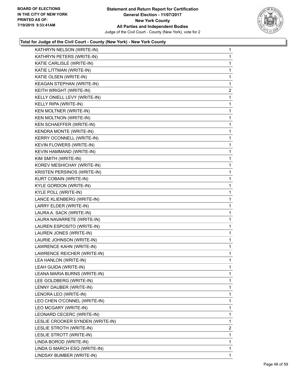

| KATHRYN NELSON (WRITE-IN)        | 1              |
|----------------------------------|----------------|
| KATHRYN PETERS (WRITE-IN)        | 1              |
| KATIE CARLISLE (WRITE-IN)        | 1              |
| KATIE LITTMAN (WRITE-IN)         | 1              |
| KATIE OLSEN (WRITE-IN)           | 1              |
| KEAGAN STEPHAN (WRITE-IN)        | 1              |
| KEITH WRIGHT (WRITE-IN)          | $\overline{c}$ |
| KELLY ONIELL LEVY (WRITE-IN)     | 1              |
| KELLY RIPA (WRITE-IN)            | 1              |
| KEN MOLTNER (WRITE-IN)           | 1              |
| KEN MOLTNON (WRITE-IN)           | 1              |
| KEN SCHAEFFER (WRITE-IN)         | 1              |
| KENDRA MONTE (WRITE-IN)          | 1              |
| KERRY OCONNELL (WRITE-IN)        | 1              |
| KEVIN FLOWERS (WRITE-IN)         | 1              |
| KEVIN HAMMAND (WRITE-IN)         | 1              |
| KIM SMITH (WRITE-IN)             | 1              |
| KOREV MESHICHAY (WRITE-IN)       | 1              |
| KRISTEN PERSINOS (WRITE-IN)      | 1              |
| KURT COBAIN (WRITE-IN)           | 1              |
| KYLE GORDON (WRITE-IN)           | 1              |
| KYLE POLL (WRITE-IN)             | 1              |
| LANCE KLIENBERG (WRITE-IN)       | 1              |
| LARRY ELDER (WRITE-IN)           | 1              |
| LAURA A. SACK (WRITE-IN)         | 1              |
| LAURA NAVARRETE (WRITE-IN)       | 1              |
| LAUREN ESPOSITO (WRITE-IN)       | 1              |
| LAUREN JONES (WRITE-IN)          | 1              |
| LAURIE JOHNSON (WRITE-IN)        | $\mathbf{1}$   |
| LAWRENCE KAHN (WRITE-IN)         | 1              |
| LAWRENCE REICHER (WRITE-IN)      | 1              |
| LEA HANLON (WRITE-IN)            | 1              |
| LEAH GUIDA (WRITE-IN)            | 1              |
| LEANA MARIA BURNS (WRITE-IN)     | 1              |
| LEE GOLDBERG (WRITE-IN)          | 1              |
| LENNY DAUBER (WRITE-IN)          | 1              |
| LENORA LEO (WRITE-IN)            | 1              |
| LEO CHEN O'CONNEL (WRITE-IN)     | 1              |
| LEO MCGARY (WRITE-IN)            | 1              |
| LEONARD CECERC (WRITE-IN)        | 1              |
| LESLIE CROOKER SYNDEN (WRITE-IN) | 1              |
| LESLIE STROTH (WRITE-IN)         | 2              |
| LESLIE STROTT (WRITE-IN)         | 1              |
| LINDA BOROD (WRITE-IN)           | 1              |
| LINDA G MARCH ESQ (WRITE-IN)     | 1              |
| LINDSAY BUMBER (WRITE-IN)        | 1              |
|                                  |                |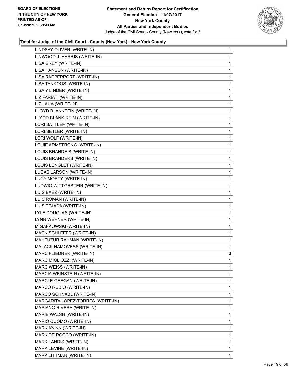

| LINDSAY OLIVER (WRITE-IN)         | 1            |
|-----------------------------------|--------------|
| LINWOOD J. HARRIS (WRITE-IN)      | 1            |
| LISA GREY (WRITE-IN)              | 1            |
| LISA HANSON (WRITE-IN)            | 1            |
| LISA RAPPERPORT (WRITE-IN)        | 1            |
| LISA TANKOOS (WRITE-IN)           | 1            |
| LISA Y LINDER (WRITE-IN)          | 1            |
| LIZ FARIATI (WRITE-IN)            | 1            |
| LIZ LAUA (WRITE-IN)               | 1            |
| LLOYD BLANKFEIN (WRITE-IN)        | 1            |
| LLYOD BLANK REIN (WRITE-IN)       | 1            |
| LORI SATTLER (WRITE-IN)           | 1            |
| LORI SETLER (WRITE-IN)            | 1            |
| LORI WOLF (WRITE-IN)              | 1            |
| LOUIE ARMSTRONG (WRITE-IN)        | 1            |
| LOUIS BRANDEIS (WRITE-IN)         | 1            |
| LOUIS BRANDERS (WRITE-IN)         | $\mathbf{1}$ |
| LOUIS LENGLET (WRITE-IN)          | 1            |
| LUCAS LARSON (WRITE-IN)           | 1            |
| LUCY MORTY (WRITE-IN)             | 1            |
| LUDWIG WITTGRSTEIR (WRITE-IN)     | 1            |
| LUIS BAEZ (WRITE-IN)              | 1            |
| LUIS ROMAN (WRITE-IN)             | $\mathbf{1}$ |
| LUIS TEJADA (WRITE-IN)            | 1            |
| LYLE DOUGLAS (WRITE-IN)           | 1            |
| LYNN WERNER (WRITE-IN)            | 1            |
| M GAFKOWSKI (WRITE-IN)            | 1            |
| MACK SCHLEFER (WRITE-IN)          | 1            |
| MAHFUZUR RAHMAN (WRITE-IN)        | $\mathbf{1}$ |
| MALACK HAMOVESS (WRITE-IN)        | 1            |
| MARC FLIEDNER (WRITE-IN)          | 3            |
| MARC MIGLIOZZI (WRITE-IN)         | 1            |
| MARC WEISS (WRITE-IN)             | 1            |
| MARCIA WEINSTEIN (WRITE-IN)       | 1            |
| MARCLE GEEGAN (WRITE-IN)          | 1            |
| MARCO RUBIO (WRITE-IN)            | 1            |
| MARCO SCHNABL (WRITE-IN)          | 1            |
| MARGARITA LOPEZ-TORRES (WRITE-IN) | 1            |
| MARIANO RIVERA (WRITE-IN)         | 1            |
| MARIE WALSH (WRITE-IN)            | 1            |
| MARIO CUOMO (WRITE-IN)            | 1            |
| MARK AXINN (WRITE-IN)             | 1            |
| MARK DE ROCCO (WRITE-IN)          | 1            |
| MARK LANDIS (WRITE-IN)            | 1            |
| MARK LEVINE (WRITE-IN)            | 1            |
| MARK LITTMAN (WRITE-IN)           | 1            |
|                                   |              |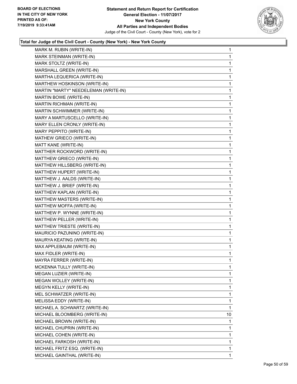

| MARK M. RUBIN (WRITE-IN)             | $\mathbf{1}$ |
|--------------------------------------|--------------|
| MARK STEINMAN (WRITE-IN)             | 1            |
| MARK STOLTZ (WRITE-IN)               | 1            |
| MARSHALL GREEN (WRITE-IN)            | 1            |
| MARTHA LEQUERICA (WRITE-IN)          | 1            |
| MARTHEW HOSKINSON (WRITE-IN)         | 1            |
| MARTIN "MARTY" NEEDELEMAN (WRITE-IN) | 1            |
| MARTIN BOWE (WRITE-IN)               | 1            |
| MARTIN RICHMAN (WRITE-IN)            | 1            |
| MARTIN SCHWIMMER (WRITE-IN)          | 1            |
| MARY A MARTUSCELLO (WRITE-IN)        | 1            |
| MARY ELLEN CRONLY (WRITE-IN)         | 1            |
| MARY PEPPITO (WRITE-IN)              | 1            |
| MATHEW GRIECO (WRITE-IN)             | 1            |
| MATT KANE (WRITE-IN)                 | 1            |
| MATTHER ROCKWORD (WRITE-IN)          | 1            |
| MATTHEW GRIECO (WRITE-IN)            | 1            |
| MATTHEW HILLSBERG (WRITE-IN)         | 1            |
| MATTHEW HUPERT (WRITE-IN)            | 1            |
| MATTHEW J. AALDS (WRITE-IN)          | 1            |
| MATTHEW J. BRIEF (WRITE-IN)          | 1            |
| MATTHEW KAPLAN (WRITE-IN)            | 1            |
| MATTHEW MASTERS (WRITE-IN)           | 1            |
| MATTHEW MOFFA (WRITE-IN)             | 1            |
| MATTHEW P. WYNNE (WRITE-IN)          | 1            |
| MATTHEW PELLER (WRITE-IN)            | 1            |
| MATTHEW TRIESTE (WRITE-IN)           | 1            |
| MAURICIO PAZUNINO (WRITE-IN)         | 1            |
| MAURYA KEATING (WRITE-IN)            | 1            |
| MAX APPLEBAUM (WRITE-IN)             | 1            |
| MAX FIDLER (WRITE-IN)                | 1            |
| MAYRA FERRER (WRITE-IN)              | 1            |
| MCKENNA TULLY (WRITE-IN)             | 1            |
| MEGAN LUZIER (WRITE-IN)              | 1            |
| MEGAN WOLLEY (WRITE-IN)              | 1            |
| MEGYN KELLY (WRITE-IN)               | 1            |
| MEL SCHWATZER (WRITE-IN)             | 1            |
| MELISSA EDDY (WRITE-IN)              | 1            |
| MICHAEL A. SCHWARTZ (WRITE-IN)       | 1            |
| MICHAEL BLOOMBERG (WRITE-IN)         | 10           |
| MICHAEL BROWN (WRITE-IN)             | 1            |
| MICHAEL CHUPRIN (WRITE-IN)           | 1            |
| MICHAEL COHEN (WRITE-IN)             | 1            |
| MICHAEL FARKOSH (WRITE-IN)           | 1            |
| MICHAEL FRITZ ESQ. (WRITE-IN)        | 1            |
| MICHAEL GAINTHAL (WRITE-IN)          | $\mathbf{1}$ |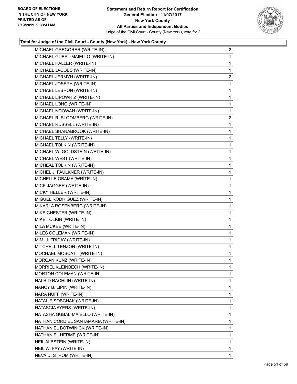

| MICHAEL GUBAL-MAIELLO (WRITE-IN)<br>MICHAEL HALLER (WRITE-IN)<br>MICHAEL JACOBS (WRITE-IN)<br>MICHAEL JERMYN (WRITE-IN)<br>MICHAEL JOSEPH (WRITE-IN)<br>MICHAEL LEBRON (WRITE-IN)<br>MICHAEL LIPOWRIZ (WRITE-IN)<br>MICHAEL LONG (WRITE-IN)<br>MICHAEL NOOWAN (WRITE-IN)<br>MICHAEL R. BLOOMBERG (WRITE-IN)<br>MICHAEL RUSSELL (WRITE-IN)<br>MICHAEL SHANABROOK (WRITE-IN)<br>MICHAEL TELLY (WRITE-IN)<br>MICHAEL TOLKIN (WRITE-IN)<br>MICHAEL W. GOLDSTEIN (WRITE-IN)<br>MICHAEL WEST (WRITE-IN)<br>MICHEAL TOLKIN (WRITE-IN)<br>MICHEL J. FAULKNER (WRITE-IN)<br>MICHELLE OBAMA (WRITE-IN)<br>MICK JAGGER (WRITE-IN)<br>MICKY HELLER (WRITE-IN)<br>MIGUEL RODRIGUEZ (WRITE-IN)<br>MIKARLA ROSENBERG (WRITE-IN)<br>MIKE CHESTER (WRITE-IN) | 1<br>1<br>1<br>2<br>1<br>1<br>1<br>1<br>1<br>2<br>1<br>1<br>1<br>1<br>1<br>1<br>1<br>1<br>1<br>1 |
|---------------------------------------------------------------------------------------------------------------------------------------------------------------------------------------------------------------------------------------------------------------------------------------------------------------------------------------------------------------------------------------------------------------------------------------------------------------------------------------------------------------------------------------------------------------------------------------------------------------------------------------------------------------------------------------------------------------------------------------------|--------------------------------------------------------------------------------------------------|
|                                                                                                                                                                                                                                                                                                                                                                                                                                                                                                                                                                                                                                                                                                                                             |                                                                                                  |
|                                                                                                                                                                                                                                                                                                                                                                                                                                                                                                                                                                                                                                                                                                                                             |                                                                                                  |
|                                                                                                                                                                                                                                                                                                                                                                                                                                                                                                                                                                                                                                                                                                                                             |                                                                                                  |
|                                                                                                                                                                                                                                                                                                                                                                                                                                                                                                                                                                                                                                                                                                                                             |                                                                                                  |
|                                                                                                                                                                                                                                                                                                                                                                                                                                                                                                                                                                                                                                                                                                                                             |                                                                                                  |
|                                                                                                                                                                                                                                                                                                                                                                                                                                                                                                                                                                                                                                                                                                                                             |                                                                                                  |
|                                                                                                                                                                                                                                                                                                                                                                                                                                                                                                                                                                                                                                                                                                                                             |                                                                                                  |
|                                                                                                                                                                                                                                                                                                                                                                                                                                                                                                                                                                                                                                                                                                                                             |                                                                                                  |
|                                                                                                                                                                                                                                                                                                                                                                                                                                                                                                                                                                                                                                                                                                                                             |                                                                                                  |
|                                                                                                                                                                                                                                                                                                                                                                                                                                                                                                                                                                                                                                                                                                                                             |                                                                                                  |
|                                                                                                                                                                                                                                                                                                                                                                                                                                                                                                                                                                                                                                                                                                                                             |                                                                                                  |
|                                                                                                                                                                                                                                                                                                                                                                                                                                                                                                                                                                                                                                                                                                                                             |                                                                                                  |
|                                                                                                                                                                                                                                                                                                                                                                                                                                                                                                                                                                                                                                                                                                                                             |                                                                                                  |
|                                                                                                                                                                                                                                                                                                                                                                                                                                                                                                                                                                                                                                                                                                                                             |                                                                                                  |
|                                                                                                                                                                                                                                                                                                                                                                                                                                                                                                                                                                                                                                                                                                                                             |                                                                                                  |
|                                                                                                                                                                                                                                                                                                                                                                                                                                                                                                                                                                                                                                                                                                                                             |                                                                                                  |
|                                                                                                                                                                                                                                                                                                                                                                                                                                                                                                                                                                                                                                                                                                                                             |                                                                                                  |
|                                                                                                                                                                                                                                                                                                                                                                                                                                                                                                                                                                                                                                                                                                                                             |                                                                                                  |
|                                                                                                                                                                                                                                                                                                                                                                                                                                                                                                                                                                                                                                                                                                                                             |                                                                                                  |
|                                                                                                                                                                                                                                                                                                                                                                                                                                                                                                                                                                                                                                                                                                                                             |                                                                                                  |
|                                                                                                                                                                                                                                                                                                                                                                                                                                                                                                                                                                                                                                                                                                                                             | 1                                                                                                |
|                                                                                                                                                                                                                                                                                                                                                                                                                                                                                                                                                                                                                                                                                                                                             | 1                                                                                                |
|                                                                                                                                                                                                                                                                                                                                                                                                                                                                                                                                                                                                                                                                                                                                             | 1                                                                                                |
|                                                                                                                                                                                                                                                                                                                                                                                                                                                                                                                                                                                                                                                                                                                                             | 1                                                                                                |
| MIKE TOLKIN (WRITE-IN)                                                                                                                                                                                                                                                                                                                                                                                                                                                                                                                                                                                                                                                                                                                      | 1                                                                                                |
| MILA MCKEE (WRITE-IN)                                                                                                                                                                                                                                                                                                                                                                                                                                                                                                                                                                                                                                                                                                                       | 1                                                                                                |
| MILES COLEMAN (WRITE-IN)                                                                                                                                                                                                                                                                                                                                                                                                                                                                                                                                                                                                                                                                                                                    | 1                                                                                                |
| MIMI J. FRIDAY (WRITE-IN)                                                                                                                                                                                                                                                                                                                                                                                                                                                                                                                                                                                                                                                                                                                   | 1                                                                                                |
| MITCHELL TENZON (WRITE-IN)                                                                                                                                                                                                                                                                                                                                                                                                                                                                                                                                                                                                                                                                                                                  | 1                                                                                                |
| MOCHAEL MOSCATT (WRITE-IN)                                                                                                                                                                                                                                                                                                                                                                                                                                                                                                                                                                                                                                                                                                                  | 1                                                                                                |
| MORGAN KUNZ (WRITE-IN)                                                                                                                                                                                                                                                                                                                                                                                                                                                                                                                                                                                                                                                                                                                      | 1                                                                                                |
| MORRIEL KLEINBECH (WRITE-IN)                                                                                                                                                                                                                                                                                                                                                                                                                                                                                                                                                                                                                                                                                                                | 1                                                                                                |
| MORTON COLEMAN (WRITE-IN)                                                                                                                                                                                                                                                                                                                                                                                                                                                                                                                                                                                                                                                                                                                   | 1                                                                                                |
| NALRID RACHLIN (WRITE-IN)                                                                                                                                                                                                                                                                                                                                                                                                                                                                                                                                                                                                                                                                                                                   | 1                                                                                                |
| NANCY B. LIPIN (WRITE-IN)                                                                                                                                                                                                                                                                                                                                                                                                                                                                                                                                                                                                                                                                                                                   | 1                                                                                                |
| NARA NUFF (WRITE-IN)                                                                                                                                                                                                                                                                                                                                                                                                                                                                                                                                                                                                                                                                                                                        | 1                                                                                                |
| NATALIE SOBCHAK (WRITE-IN)                                                                                                                                                                                                                                                                                                                                                                                                                                                                                                                                                                                                                                                                                                                  | 1                                                                                                |
| NATASCIA AYERS (WRITE-IN)                                                                                                                                                                                                                                                                                                                                                                                                                                                                                                                                                                                                                                                                                                                   | 1                                                                                                |
| NATASHA GUBAL-MAIELLO (WRITE-IN)                                                                                                                                                                                                                                                                                                                                                                                                                                                                                                                                                                                                                                                                                                            | 1                                                                                                |
| NATHAN CORDIEL SANTAMARIA (WRITE-IN)                                                                                                                                                                                                                                                                                                                                                                                                                                                                                                                                                                                                                                                                                                        | 1                                                                                                |
| NATHANIEL BOTWINICK (WRITE-IN)                                                                                                                                                                                                                                                                                                                                                                                                                                                                                                                                                                                                                                                                                                              | 1                                                                                                |
| NATHANIEL HERME (WRITE-IN)                                                                                                                                                                                                                                                                                                                                                                                                                                                                                                                                                                                                                                                                                                                  | 1                                                                                                |
| NEIL ALBSTEIN (WRITE-IN)                                                                                                                                                                                                                                                                                                                                                                                                                                                                                                                                                                                                                                                                                                                    | 1                                                                                                |
| NEIL W. FAY (WRITE-IN)                                                                                                                                                                                                                                                                                                                                                                                                                                                                                                                                                                                                                                                                                                                      | 1                                                                                                |
| NEVA D. STROM (WRITE-IN)<br>1                                                                                                                                                                                                                                                                                                                                                                                                                                                                                                                                                                                                                                                                                                               |                                                                                                  |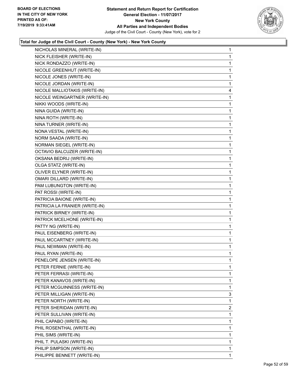

| NICHOLAS MINERAL (WRITE-IN)    | 1            |
|--------------------------------|--------------|
| NICK FLEISHER (WRITE-IN)       | 1            |
| NICK RONDAZZO (WRITE-IN)       | 1            |
| NICOLE GREENHUT (WRITE-IN)     | 1            |
| NICOLE JONES (WRITE-IN)        | 1            |
| NICOLE JORDAN (WRITE-IN)       | 1            |
| NICOLE MALLIOTAKIS (WRITE-IN)  | 4            |
| NICOLE WEINGARTNER (WRITE-IN)  | 1            |
| NIKKI WOODS (WRITE-IN)         | 1            |
| NINA GUIDA (WRITE-IN)          | 1            |
| NINA ROTH (WRITE-IN)           | 1            |
| NINA TURNER (WRITE-IN)         | 1            |
| NONA VESTAL (WRITE-IN)         | 1            |
| NORM SAADA (WRITE-IN)          | 1            |
| NORMAN SIEGEL (WRITE-IN)       | 1            |
| OCTAVIO BALCUZER (WRITE-IN)    | 1            |
| OKSANA BEDRIJ (WRITE-IN)       | 1            |
| OLGA STATZ (WRITE-IN)          | 1            |
| OLIVER ELYNER (WRITE-IN)       | 1            |
| OMARI DILLARD (WRITE-IN)       | 1            |
| PAM LUBUNGTON (WRITE-IN)       | 1            |
| PAT ROSSI (WRITE-IN)           | 1            |
| PATRICIA BAIONE (WRITE-IN)     | 1            |
| PATRICIA LA FRANIER (WRITE-IN) | 1            |
| PATRICK BIRNEY (WRITE-IN)      | 1            |
| PATRICK MCELHONE (WRITE-IN)    | 1            |
| PATTY NG (WRITE-IN)            | 1            |
| PAUL EISENBERG (WRITE-IN)      | 1            |
| PAUL MCCARTNEY (WRITE-IN)      | $\mathbf{1}$ |
| PAUL NEWMAN (WRITE-IN)         | 1            |
| PAUL RYAN (WRITE-IN)           | 1            |
| PENELOPE JENSEN (WRITE-IN)     | 1            |
| PETER FERNIE (WRITE-IN)        | 1            |
| PETER FERRASI (WRITE-IN)       | 1            |
| PETER KANAVOS (WRITE-IN)       | 1            |
| PETER MCGUINNESS (WRITE-IN)    | 1            |
| PETER MILLIGAN (WRITE-IN)      | 3            |
| PETER NORTH (WRITE-IN)         | 1            |
| PETER SHERIDAN (WRITE-IN)      | 2            |
| PETER SULLIVAN (WRITE-IN)      | 1            |
| PHIL CAPABO (WRITE-IN)         | 1            |
| PHIL ROSENTHAL (WRITE-IN)      | 1            |
| PHIL SIMS (WRITE-IN)           | 1            |
| PHIL T. PULASKI (WRITE-IN)     | 1            |
| PHILIP SIMPSON (WRITE-IN)      | 1            |
| PHILIPPE BENNETT (WRITE-IN)    | 1            |
|                                |              |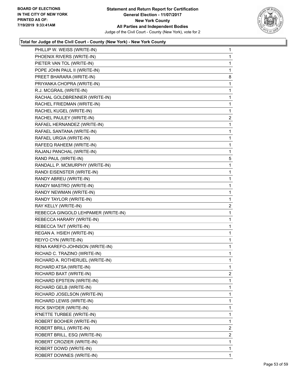

| PHILLIP W. WEISS (WRITE-IN)         | 1              |
|-------------------------------------|----------------|
| PHOENIX RIVERS (WRITE-IN)           | 1              |
| PIETER VAN TOL (WRITE-IN)           | 1              |
| POPE JOHN PAUL II (WRITE-IN)        | 1              |
| PREET BHARARA (WRITE-IN)            | 8              |
| PRIYANKA CHOPRA (WRITE-IN)          | 1              |
| R.J. MCGRAIL (WRITE-IN)             | 1              |
| RACHAL GOLDBRENNER (WRITE-IN)       | 1              |
| RACHEL FRIEDMAN (WRITE-IN)          | 1              |
| RACHEL KUGEL (WRITE-IN)             | 1              |
| RACHEL PAULEY (WRITE-IN)            | $\overline{c}$ |
| RAFAEL HERNANDEZ (WRITE-IN)         | 1              |
| RAFAEL SANTANA (WRITE-IN)           | 1              |
| RAFAEL URGIA (WRITE-IN)             | 1              |
| RAFEEQ RAHEEM (WRITE-IN)            | 1              |
| RAJANJ PANCHAL (WRITE-IN)           | 1              |
| RAND PAUL (WRITE-IN)                | 5              |
| RANDALL P. MCMURPHY (WRITE-IN)      | 1              |
| RANDI EISENSTER (WRITE-IN)          | 1              |
| RANDY ABREU (WRITE-IN)              | 1              |
| RANDY MASTRO (WRITE-IN)             | 1              |
| RANDY NEWMAN (WRITE-IN)             | 1              |
| RANDY TAYLOR (WRITE-IN)             | 1              |
| RAY KELLY (WRITE-IN)                | $\overline{2}$ |
| REBECCA GINGOLD LEHPAMER (WRITE-IN) | 1              |
| REBECCA HARARY (WRITE-IN)           | 1              |
| REBECCA TAIT (WRITE-IN)             | 1              |
| REGAN A. HSIEH (WRITE-IN)           | 1              |
| REIYO CYN (WRITE-IN)                | 1              |
| RENA KAREFO-JOHNSON (WRITE-IN)      | 1              |
| RICHAD C. TRAZINO (WRITE-IN)        | 1              |
| RICHARD A. ROTHERUEL (WRITE-IN)     | 1              |
| RICHARD ATSA (WRITE-IN)             | 1              |
| RICHARD BAXT (WRITE-IN)             | $\overline{2}$ |
| RICHARD EPSTEIN (WRITE-IN)          | 1              |
| RICHARD GELB (WRITE-IN)             | 1              |
| RICHARD JOSELSON (WRITE-IN)         | 1              |
| RICHARD LEWIS (WRITE-IN)            | 1              |
| RICK SNYDER (WRITE-IN)              | 1              |
| R'NETTE TURBEE (WRITE-IN)           | 1              |
| ROBERT BOOHER (WRITE-IN)            | 1              |
| ROBERT BRILL (WRITE-IN)             | $\overline{2}$ |
| ROBERT BRILL, ESQ (WRITE-IN)        | $\overline{2}$ |
| ROBERT CROZIER (WRITE-IN)           | 1              |
|                                     |                |
| ROBERT DOWD (WRITE-IN)              | 1              |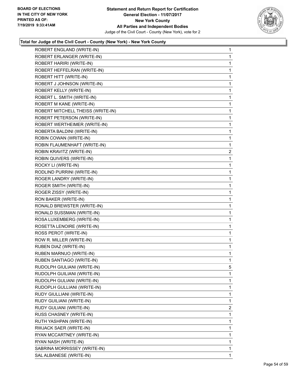

| ROBERT ENGLAND (WRITE-IN)         | $\mathbf 1$    |
|-----------------------------------|----------------|
| ROBERT ERLANGER (WRITE-IN)        | 1              |
| ROBERT HARIRI (WRITE-IN)          | 1              |
| ROBERT HEFFELRAN (WRITE-IN)       | 1              |
| ROBERT HITT (WRITE-IN)            | 1              |
| ROBERT J JOHNSON (WRITE-IN)       | 1              |
| ROBERT KELLY (WRITE-IN)           | 1              |
| ROBERT L. SMITH (WRITE-IN)        | 1              |
| ROBERT M KANE (WRITE-IN)          | 1              |
| ROBERT MITCHELL THEISS (WRITE-IN) | 1              |
| ROBERT PETERSON (WRITE-IN)        | 1              |
| ROBERT WERTHEIMER (WRITE-IN)      | 1              |
| ROBERTA BALDINI (WRITE-IN)        | 1              |
| ROBIN COWAN (WRITE-IN)            | 1              |
| ROBIN FLAUMENHAFT (WRITE-IN)      | 1              |
| ROBIN KRAVITZ (WRITE-IN)          | $\overline{a}$ |
| ROBIN QUIVERS (WRITE-IN)          | 1              |
| ROCKY LI (WRITE-IN)               | 1              |
| RODLIND PURRINI (WRITE-IN)        | 1              |
| ROGER LANDRY (WRITE-IN)           | 1              |
| ROGER SMITH (WRITE-IN)            | 1              |
| ROGER ZISSY (WRITE-IN)            | 1              |
| RON BAKER (WRITE-IN)              | 1              |
| RONALD BREWSTER (WRITE-IN)        | 1              |
| RONALD SUSSMAN (WRITE-IN)         | 1              |
| ROSA LUXEMBERG (WRITE-IN)         | 1              |
| ROSETTA LENOIRE (WRITE-IN)        | 1              |
| ROSS PEROT (WRITE-IN)             | 1              |
| ROW R. MILLER (WRITE-IN)          | 1              |
| RUBEN DIAZ (WRITE-IN)             | 1              |
| RUBEN MARNUO (WRITE-IN)           | 1              |
| RUBEN SANTIAGO (WRITE-IN)         | 1              |
| RUDOLPH GIULIANI (WRITE-IN)       | 5              |
| RUDOLPH GUILIANI (WRITE-IN)       | 1              |
| RUDOLPH GULIANI (WRITE-IN)        | 1              |
| RUDOPLH GULLIANI (WRITE-IN)       | 1              |
| RUDY GIULLIANI (WRITE-IN)         | 1              |
| RUDY GUILIANI (WRITE-IN)          | 1              |
| RUDY GULIANI (WRITE-IN)           | 2              |
| RUSS CHASNEY (WRITE-IN)           | 1              |
| RUTH YASHPAN (WRITE-IN)           | 1              |
| RWJACK SAER (WRITE-IN)            | 1              |
| RYAN MCCARTNEY (WRITE-IN)         | 1              |
| RYAN NASH (WRITE-IN)              | 1              |
| SABRINA MORRISSEY (WRITE-IN)      | 1              |
| SAL ALBANESE (WRITE-IN)           | 1.             |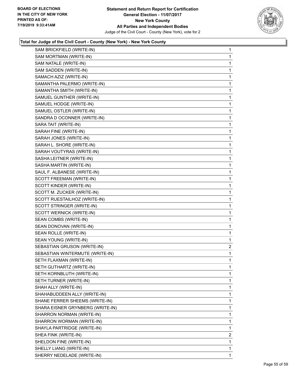

| SAM BRICKFIELD (WRITE-IN)        | $\mathbf{1}$   |
|----------------------------------|----------------|
| SAM MORTMAN (WRITE-IN)           | 1              |
| SAM NATALE (WRITE-IN)            | 1              |
| SAM SADDEN (WRITE-IN)            | 1              |
| SAMACH AZIZ (WRITE-IN)           | 1              |
| SAMANTHA PALERMO (WRITE-IN)      | 1              |
| SAMANTHA SMITH (WRITE-IN)        | 1              |
| SAMUEL GUNTHER (WRITE-IN)        | 1              |
| SAMUEL HODGE (WRITE-IN)          | 1              |
| SAMUEL OSTLER (WRITE-IN)         | 1              |
| SANDRA D OCONNER (WRITE-IN)      | 1              |
| SARA TAIT (WRITE-IN)             | 1              |
| SARAH FINE (WRITE-IN)            | 1              |
| SARAH JONES (WRITE-IN)           | 1              |
| SARAH L. SHORE (WRITE-IN)        | 1              |
| SARAH VOUTYRAS (WRITE-IN)        | 1              |
| SASHA LEITNER (WRITE-IN)         | 1              |
| SASHA MARTIN (WRITE-IN)          | 1              |
| SAUL F. ALBANESE (WRITE-IN)      | 1              |
| SCOTT FREEMAN (WRITE-IN)         | 1              |
| SCOTT KINDER (WRITE-IN)          | 1              |
| SCOTT M. ZUCKER (WRITE-IN)       | 1              |
| SCOTT RUESTAILHOZ (WRITE-IN)     | 1              |
| SCOTT STRINGER (WRITE-IN)        | 1              |
| SCOTT WERNICK (WRITE-IN)         | 1              |
| SEAN COMBS (WRITE-IN)            | 1              |
| SEAN DONOVAN (WRITE-IN)          | 1              |
| SEAN ROLLE (WRITE-IN)            | 1              |
| SEAN YOUNG (WRITE-IN)            | 1              |
| SEBASTIAN GRUSON (WRITE-IN)      | $\overline{2}$ |
| SEBASTIAN WINTERMUTE (WRITE-IN)  | 1              |
| SETH FLAXMAN (WRITE-IN)          | 1              |
| SETH GUTHARTZ (WRITE-IN)         | 1              |
| SETH KORNBLUTH (WRITE-IN)        | 1              |
| SETH TURNER (WRITE-IN)           | 1              |
| SHAH ALLY (WRITE-IN)             | 1              |
| SHAHABUDDEEN ALLY (WRITE-IN)     | 1              |
| SHANE FERRER SHEEMS (WRITE-IN)   | 1              |
| SHARA EISNER GRYNBERG (WRITE-IN) | 1              |
| SHARRON NORMAN (WRITE-IN)        | 1              |
| SHARRON WORMAN (WRITE-IN)        | 1              |
| SHAYLA PARTRIDGE (WRITE-IN)      | 1              |
| SHEA FINK (WRITE-IN)             | 2              |
| SHELDON FINE (WRITE-IN)          | 1              |
| SHELLY LIANG (WRITE-IN)          | 1              |
| SHERRY NEDELADE (WRITE-IN)       | 1              |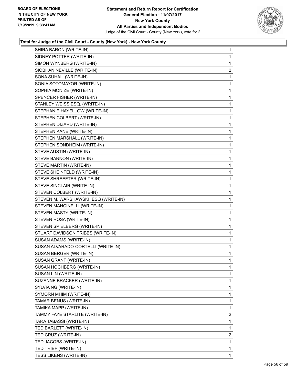

| SHIRA BARON (WRITE-IN)               | 1            |
|--------------------------------------|--------------|
| SIDNEY POTTER (WRITE-IN)             | 1            |
| SIMON WYNBERG (WRITE-IN)             | 1            |
| SIOBHAN NEVILLE (WRITE-IN)           | 2            |
| SONA SUHAIL (WRITE-IN)               | 1            |
| SONIA SOTOMAYOR (WRITE-IN)           | 1            |
| SOPHIA MONIZE (WRITE-IN)             | 1            |
| SPENCER FISHER (WRITE-IN)            | 1            |
| STANLEY WEISS ESQ. (WRITE-IN)        | 1            |
| STEPHANIE HAYELLOW (WRITE-IN)        | 1            |
| STEPHEN COLBERT (WRITE-IN)           | 1            |
| STEPHEN DIZARD (WRITE-IN)            | 1            |
| STEPHEN KANE (WRITE-IN)              | 1            |
| STEPHEN MARSHALL (WRITE-IN)          | 1            |
| STEPHEN SONDHEIM (WRITE-IN)          | 1            |
| STEVE AUSTIN (WRITE-IN)              | 1            |
| STEVE BANNON (WRITE-IN)              | 1            |
| STEVE MARTIN (WRITE-IN)              | 1            |
| STEVE SHEINFELD (WRITE-IN)           | 1            |
| STEVE SHREEFTER (WRITE-IN)           | 1            |
| STEVE SINCLAIR (WRITE-IN)            | 1            |
| STEVEN COLBERT (WRITE-IN)            | 1            |
| STEVEN M. WARSHAWSKI, ESQ (WRITE-IN) | 1            |
| STEVEN MANCINELLI (WRITE-IN)         | 1            |
| STEVEN MASTY (WRITE-IN)              | 1            |
| STEVEN ROSA (WRITE-IN)               | 1            |
| STEVEN SPIELBERG (WRITE-IN)          | 1            |
| STUART DAVIDSON TRIBBS (WRITE-IN)    | 1            |
| SUSAN ADAMS (WRITE-IN)               | 1            |
| SUSAN ALVARADO-CORTELLI (WRITE-IN)   | 1            |
| SUSAN BERGER (WRITE-IN)              | 1            |
| SUSAN GRANT (WRITE-IN)               | 1            |
| SUSAN HOCHBERG (WRITE-IN)            | 1            |
| SUSAN LIN (WRITE-IN)                 | 1            |
| SUZANNE BRACKER (WRITE-IN)           | 1            |
| SYLVIA NG (WRITE-IN)                 | 1            |
| SYMORN MHIM (WRITE-IN)               | 1            |
| TAMAR BENUS (WRITE-IN)               | 1            |
| TAMIKA MAPP (WRITE-IN)               | 1            |
| TAMMY FAYE STARLITE (WRITE-IN)       | 2            |
| TARA TABASSI (WRITE-IN)              | 1            |
| TED BARLETT (WRITE-IN)               | 1            |
| TED CRUZ (WRITE-IN)                  | 2            |
| TED JACOBS (WRITE-IN)                | 1            |
| TED TRIEF (WRITE-IN)                 | 1            |
| TESS LIKENS (WRITE-IN)               | $\mathbf{1}$ |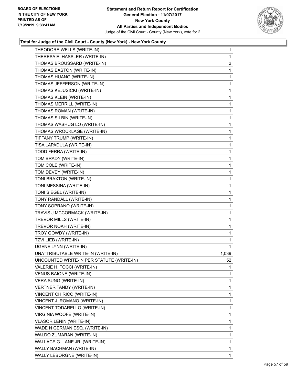

| THEODORE WELLS (WRITE-IN)                 | $\mathbf{1}$   |
|-------------------------------------------|----------------|
| THERESA E. HASSLER (WRITE-IN)             | $\mathbf{1}$   |
| THOMAS BROUSSARD (WRITE-IN)               | $\overline{2}$ |
| THOMAS EASTON (WRITE-IN)                  | 1              |
| THOMAS HUANG (WRITE-IN)                   | 1              |
| THOMAS JEFFERSON (WRITE-IN)               | 1              |
| THOMAS KEJUSICKI (WRITE-IN)               | $\mathbf{1}$   |
| THOMAS KLEIN (WRITE-IN)                   | 1              |
| THOMAS MERRILL (WRITE-IN)                 | 1              |
| THOMAS ROMAN (WRITE-IN)                   | 1              |
| THOMAS SILBIN (WRITE-IN)                  | 1              |
| THOMAS WASHUG LO (WRITE-IN)               | 1              |
| THOMAS WROCKLAGE (WRITE-IN)               | $\mathbf{1}$   |
| TIFFANY TRUMP (WRITE-IN)                  | 1              |
| TISA LAPADULA (WRITE-IN)                  | 1              |
| TODD FERRA (WRITE-IN)                     | 1              |
| TOM BRADY (WRITE-IN)                      | 1              |
| TOM COLE (WRITE-IN)                       | 1              |
| TOM DEVEY (WRITE-IN)                      | $\mathbf{1}$   |
| TONI BRAXTON (WRITE-IN)                   | 1              |
| TONI MESSINA (WRITE-IN)                   | 1              |
| TONI SIEGEL (WRITE-IN)                    | 1              |
| TONY RANDALL (WRITE-IN)                   | 1              |
| TONY SOPRANO (WRITE-IN)                   | 1              |
| TRAVIS J MCCORMACK (WRITE-IN)             | 1              |
| TREVOR MILLS (WRITE-IN)                   | 1              |
| TREVOR NOAH (WRITE-IN)                    | 1              |
| TROY GOWDY (WRITE-IN)                     | 1              |
| TZVI LIEB (WRITE-IN)                      | 1              |
| UGENE LYNN (WRITE-IN)                     | 1              |
| UNATTRIBUTABLE WRITE-IN (WRITE-IN)        | 1,039          |
| UNCOUNTED WRITE-IN PER STATUTE (WRITE-IN) | 52             |
| VALERIE H. TOCCI (WRITE-IN)               | 1              |
| <b>VENUS BAIONE (WRITE-IN)</b>            | 1              |
| VERA SUNG (WRITE-IN)                      | 1              |
| VERTNER TANDY (WRITE-IN)                  | 1              |
| VINCENT CHIRICO (WRITE-IN)                | 1              |
| VINCENT J. ROMANO (WRITE-IN)              | 1              |
| VINCENT TODARELLO (WRITE-IN)              | 1              |
| VIRGINIA WOOFE (WRITE-IN)                 | 1              |
| <b>VLASOR LENIN (WRITE-IN)</b>            | 1              |
| WADE N GERMAN ESQ. (WRITE-IN)             | 1              |
| WALDO ZUMARAN (WRITE-IN)                  | 1              |
| WALLACE G. LANE JR. (WRITE-IN)            | 1              |
| WALLY BACHMAN (WRITE-IN)                  | 1              |
| WALLY LEBORGNE (WRITE-IN)                 | 1              |
|                                           |                |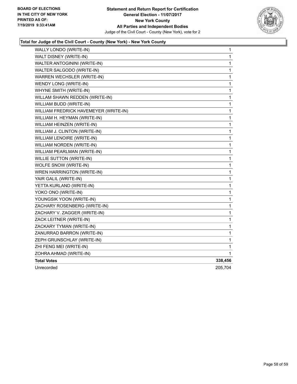

| WALLY LONDO (WRITE-IN)                | $\mathbf 1$  |
|---------------------------------------|--------------|
| WALT DISNEY (WRITE-IN)                | 1            |
| WALTER ANTOGININI (WRITE-IN)          | $\mathbf{1}$ |
| WALTER SALGODO (WRITE-IN)             | 1            |
| WARREN WECHSLER (WRITE-IN)            | $\mathbf{1}$ |
| WENDY LONG (WRITE-IN)                 | $\mathbf{1}$ |
| WHYNE SMITH (WRITE-IN)                | $\mathbf{1}$ |
| WILLAM SHAWN REDDEN (WRITE-IN)        | $\mathbf{1}$ |
| WILLIAM BUDD (WRITE-IN)               | 1            |
| WILLIAM FREDRICK HAVEMEYER (WRITE-IN) | $\mathbf{1}$ |
| WILLIAM H. HEYMAN (WRITE-IN)          | $\mathbf{1}$ |
| WILLIAM HEINZEN (WRITE-IN)            | $\mathbf{1}$ |
| WILLIAM J. CLINTON (WRITE-IN)         | $\mathbf 1$  |
| WILLIAM LENOIRE (WRITE-IN)            | $\mathbf{1}$ |
| WILLIAM NORDEN (WRITE-IN)             | $\mathbf{1}$ |
| WILLIAM PEARLMAN (WRITE-IN)           | $\mathbf{1}$ |
| WILLIE SUTTON (WRITE-IN)              | $\mathbf{1}$ |
| WOLFE SNOW (WRITE-IN)                 | $\mathbf{1}$ |
| WREN HARRINGTON (WRITE-IN)            | $\mathbf{1}$ |
| YAIR GALIL (WRITE-IN)                 | 1            |
| YETTA KURLAND (WRITE-IN)              | 1            |
| YOKO ONO (WRITE-IN)                   | 1            |
| YOUNGSIK YOON (WRITE-IN)              | 1            |
| ZACHARY ROSENBERG (WRITE-IN)          | 1            |
| ZACHARY V. ZAGGER (WRITE-IN)          | $\mathbf{1}$ |
| ZACK LEITNER (WRITE-IN)               | $\mathbf{1}$ |
| ZACKARY TYMAN (WRITE-IN)              | $\mathbf{1}$ |
| ZANURRAD BARRON (WRITE-IN)            | 1            |
| ZEPH GRUNSCHLAY (WRITE-IN)            | $\mathbf{1}$ |
| ZHI FENG MEI (WRITE-IN)               | $\mathbf{1}$ |
| ZOHRA AHMAD (WRITE-IN)                | 1            |
| <b>Total Votes</b>                    | 338,456      |
| Unrecorded                            | 205,704      |